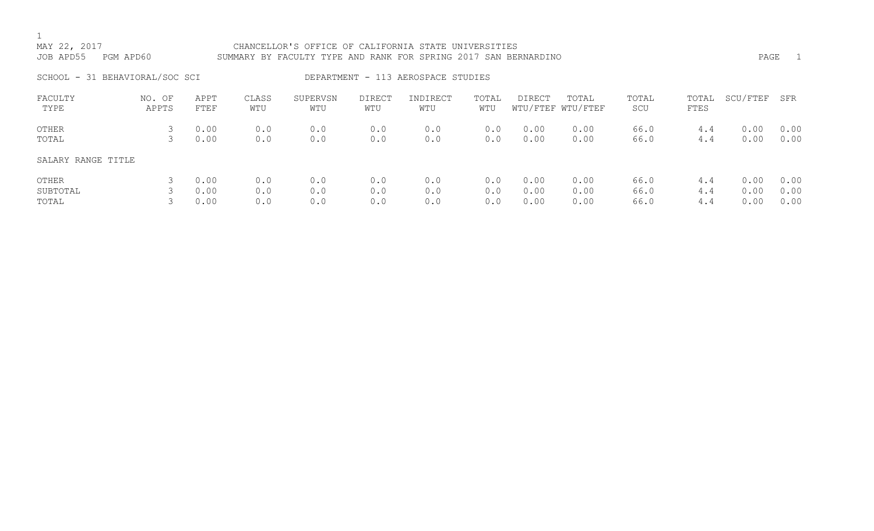# MAY 22, 2017 CHANCELLOR'S OFFICE OF CALIFORNIA STATE UNIVERSITIES JOB APD55 PGM APD60 SUMMARY BY FACULTY TYPE AND RANK FOR SPRING 2017 SAN BERNARDINO PAGE 1 SCHOOL - 31 BEHAVIORAL/SOC SCI DEPARTMENT - 113 AEROSPACE STUDIES FACULTY NO. OF APPT CLASS SUPERVSN DIRECT INDIRECT TOTAL DIRECT TOTAL TOTAL TOTAL SCU/FTEF SFR

| PACULII<br>TYPE    | NU. UE<br>APPTS | AFFI<br>FTEF | פפאיר<br>WTU | <b>SUPLKVSN</b><br>WTU | DIRECT<br>WTU | INDIKECT<br>WTU | TUIAL<br>WTU | DIRECT | TUTAL<br>WTU/FTEF WTU/FTEF | TUTAL<br>SCU | TUTAL<br>FTES | SUU/FILF | 5 L K |
|--------------------|-----------------|--------------|--------------|------------------------|---------------|-----------------|--------------|--------|----------------------------|--------------|---------------|----------|-------|
| OTHER              |                 | 0.00         | 0.0          | 0.0                    | 0.0           | 0.0             | 0.0          | 0.00   | 0.00                       | 66.0         | 4.4           | 0.00     | 0.00  |
| TOTAL              |                 | 0.00         | 0.0          | 0.0                    | 0.0           | 0.0             | 0.0          | 0.00   | 0.00                       | 66.0         | 4.4           | 0.00     | 0.00  |
| SALARY RANGE TITLE |                 |              |              |                        |               |                 |              |        |                            |              |               |          |       |
| OTHER              |                 | 0.00         | 0.0          | 0.0                    | 0.0           | 0.0             | 0.0          | 0.00   | 0.00                       | 66.0         | 4.4           | 0.00     | 0.00  |
| SUBTOTAL           |                 | 0.00         | 0.0          | 0.0                    | 0.0           | 0.0             | 0.0          | 0.00   | 0.00                       | 66.0         | 4.4           | 0.00     | 0.00  |
| TOTAL              |                 | 0.00         | 0.0          | 0.0                    | 0.0           | 0.0             | 0.0          | 0.00   | 0.00                       | 66.0         | 4.4           | 0.00     | 0.00  |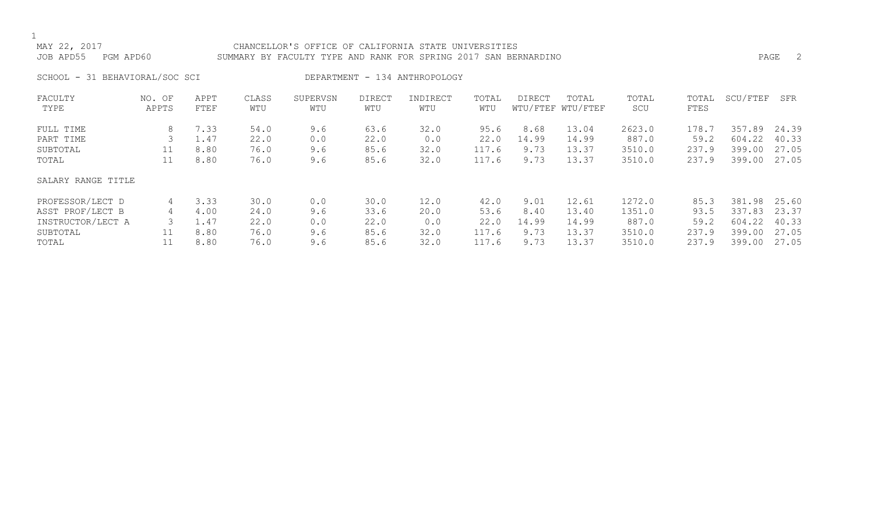## MAY 22, 2017 CHANCELLOR'S OFFICE OF CALIFORNIA STATE UNIVERSITIES JOB APD55 PGM APD60 SUMMARY BY FACULTY TYPE AND RANK FOR SPRING 2017 SAN BERNARDINO PAGE 2

SCHOOL - 31 BEHAVIORAL/SOC SCI DEPARTMENT - 134 ANTHROPOLOGY

| FACULTY            | NO. OF | APPT | CLASS | SUPERVSN | <b>DIRECT</b> | INDIRECT | TOTAL | <b>DIRECT</b> | TOTAL             | TOTAL  | TOTAL | SCU/FTEF | SFR   |
|--------------------|--------|------|-------|----------|---------------|----------|-------|---------------|-------------------|--------|-------|----------|-------|
| TYPE               | APPTS  | FTEF | WTU   | WTU      | WTU           | WTU      | WTU   |               | WTU/FTEF WTU/FTEF | SCU    | FTES  |          |       |
| FULL TIME          | 8      | 7.33 | 54.0  | 9.6      | 63.6          | 32.0     | 95.6  | 8.68          | 13.04             | 2623.0 | 178.7 | 357.89   | 24.39 |
| PART TIME          | 3      | 1.47 | 22.0  | 0.0      | 22.0          | 0.0      | 22.0  | 14.99         | 14.99             | 887.0  | 59.2  | 604.22   | 40.33 |
| SUBTOTAL           | 11     | 8.80 | 76.0  | 9.6      | 85.6          | 32.0     | 117.6 | 9.73          | 13.37             | 3510.0 | 237.9 | 399.00   | 27.05 |
| TOTAL              | 11     | 8.80 | 76.0  | 9.6      | 85.6          | 32.0     | 117.6 | 9.73          | 13.37             | 3510.0 | 237.9 | 399.00   | 27.05 |
| SALARY RANGE TITLE |        |      |       |          |               |          |       |               |                   |        |       |          |       |
| PROFESSOR/LECT D   | 4      | 3.33 | 30.0  | 0.0      | 30.0          | 12.0     | 42.0  | 9.01          | 12.61             | 1272.0 | 85.3  | 381.98   | 25.60 |
| ASST PROF/LECT B   | 4      | 4.00 | 24.0  | 9.6      | 33.6          | 20.0     | 53.6  | 8.40          | 13.40             | 1351.0 | 93.5  | 337.83   | 23.37 |
| INSTRUCTOR/LECT A  |        | 1.47 | 22.0  | 0.0      | 22.0          | 0.0      | 22.0  | 14.99         | 14.99             | 887.0  | 59.2  | 604.22   | 40.33 |
| SUBTOTAL           |        | 8.80 | 76.0  | 9.6      | 85.6          | 32.0     | 117.6 | 9.73          | 13.37             | 3510.0 | 237.9 | 399.00   | 27.05 |
| TOTAL              |        | 8.80 | 76.0  | 9.6      | 85.6          | 32.0     | 117.6 | 9.73          | 13.37             | 3510.0 | 237.9 | 399.00   | 27.05 |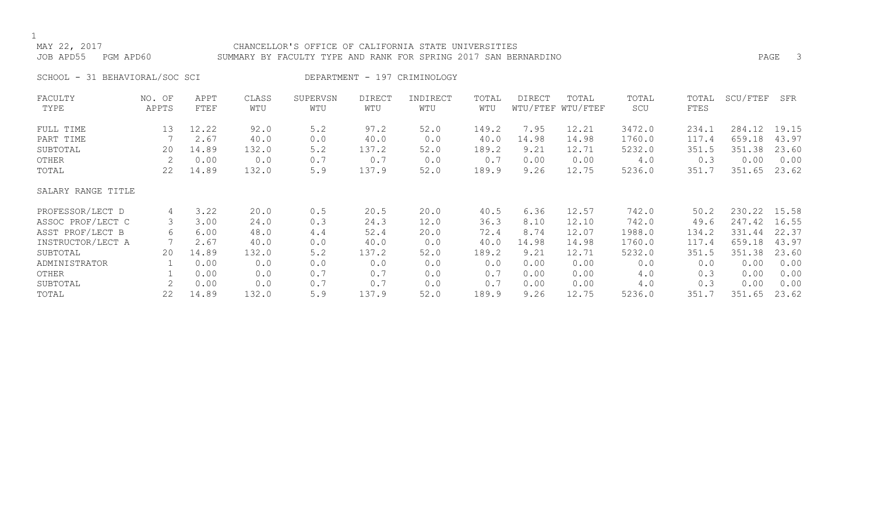## MAY 22, 2017 CHANCELLOR'S OFFICE OF CALIFORNIA STATE UNIVERSITIES JOB APD55 PGM APD60 SUMMARY BY FACULTY TYPE AND RANK FOR SPRING 2017 SAN BERNARDINO PAGE 3

SCHOOL - 31 BEHAVIORAL/SOC SCI DEPARTMENT - 197 CRIMINOLOGY

| FACULTY            | NO. OF | APPT  | CLASS | SUPERVSN | <b>DIRECT</b> | INDIRECT | TOTAL | <b>DIRECT</b> | TOTAL             | TOTAL  | TOTAL | SCU/FTEF | SFR   |
|--------------------|--------|-------|-------|----------|---------------|----------|-------|---------------|-------------------|--------|-------|----------|-------|
| TYPE               | APPTS  | FTEF  | WTU   | WTU      | WTU           | WTU      | WTU   |               | WTU/FTEF WTU/FTEF | SCU    | FTES  |          |       |
| FULL TIME          | 13     | 12.22 | 92.0  | 5.2      | 97.2          | 52.0     | 149.2 | 7.95          | 12.21             | 3472.0 | 234.1 | 284.12   | 19.15 |
| PART TIME          |        | 2.67  | 40.0  | 0.0      | 40.0          | 0.0      | 40.0  | 14.98         | 14.98             | 1760.0 | 117.4 | 659.18   | 43.97 |
| SUBTOTAL           | 20     | 14.89 | 132.0 | 5.2      | 137.2         | 52.0     | 189.2 | 9.21          | 12.71             | 5232.0 | 351.5 | 351.38   | 23.60 |
| OTHER              |        | 0.00  | 0.0   | 0.7      | 0.7           | 0.0      | 0.7   | 0.00          | 0.00              | 4.0    | 0.3   | 0.00     | 0.00  |
| TOTAL              | 22     | 14.89 | 132.0 | 5.9      | 137.9         | 52.0     | 189.9 | 9.26          | 12.75             | 5236.0 | 351.7 | 351.65   | 23.62 |
| SALARY RANGE TITLE |        |       |       |          |               |          |       |               |                   |        |       |          |       |
| PROFESSOR/LECT D   | 4      | 3.22  | 20.0  | 0.5      | 20.5          | 20.0     | 40.5  | 6.36          | 12.57             | 742.0  | 50.2  | 230.22   | 15.58 |
| ASSOC PROF/LECT C  |        | 3.00  | 24.0  | 0.3      | 24.3          | 12.0     | 36.3  | 8.10          | 12.10             | 742.0  | 49.6  | 247.42   | 16.55 |
| ASST PROF/LECT B   | 6      | 6.00  | 48.0  | 4.4      | 52.4          | 20.0     | 72.4  | 8.74          | 12.07             | 1988.0 | 134.2 | 331.44   | 22.37 |
| INSTRUCTOR/LECT A  |        | 2.67  | 40.0  | 0.0      | 40.0          | 0.0      | 40.0  | 14.98         | 14.98             | 1760.0 | 117.4 | 659.18   | 43.97 |
| SUBTOTAL           | 20     | 14.89 | 132.0 | 5.2      | 137.2         | 52.0     | 189.2 | 9.21          | 12.71             | 5232.0 | 351.5 | 351.38   | 23.60 |
| ADMINISTRATOR      |        | 0.00  | 0.0   | 0.0      | 0.0           | 0.0      | 0.0   | 0.00          | 0.00              | 0.0    | 0.0   | 0.00     | 0.00  |
| OTHER              |        | 0.00  | 0.0   | 0.7      | 0.7           | 0.0      | 0.7   | 0.00          | 0.00              | 4.0    | 0.3   | 0.00     | 0.00  |
| SUBTOTAL           |        | 0.00  | 0.0   | 0.7      | 0.7           | 0.0      | 0.7   | 0.00          | 0.00              | 4.0    | 0.3   | 0.00     | 0.00  |
| TOTAL              | 22     | 14.89 | 132.0 | 5.9      | 137.9         | 52.0     | 189.9 | 9.26          | 12.75             | 5236.0 | 351.7 | 351.65   | 23.62 |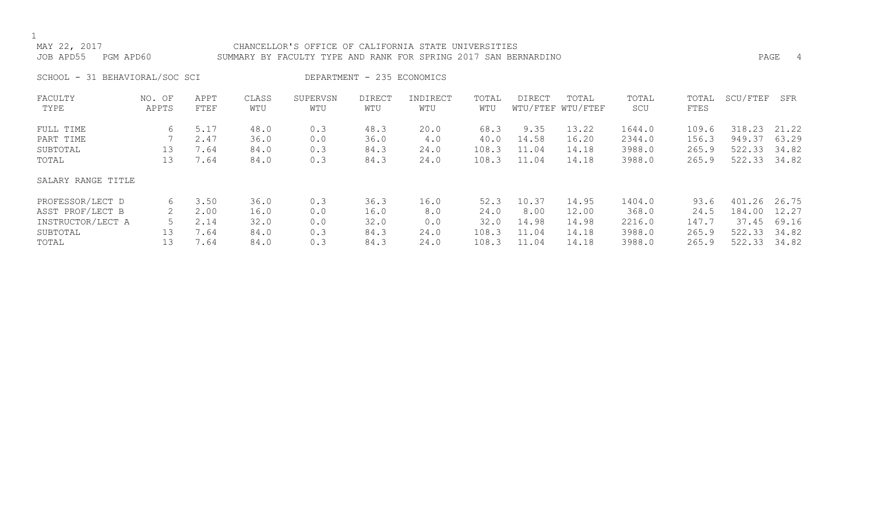## MAY 22, 2017 CHANCELLOR'S OFFICE OF CALIFORNIA STATE UNIVERSITIES JOB APD55 PGM APD60 SUMMARY BY FACULTY TYPE AND RANK FOR SPRING 2017 SAN BERNARDINO PAGE 4

SCHOOL - 31 BEHAVIORAL/SOC SCI DEPARTMENT - 235 ECONOMICS

| FACULTY            | NO. OF | APPT | CLASS | SUPERVSN | <b>DIRECT</b> | INDIRECT | TOTAL | <b>DIRECT</b> | TOTAL             | TOTAL  | TOTAL | SCU/FTEF | SFR   |
|--------------------|--------|------|-------|----------|---------------|----------|-------|---------------|-------------------|--------|-------|----------|-------|
| TYPE               | APPTS  | FTEF | WTU   | WTU      | WTU           | WTU      | WTU   |               | WTU/FTEF WTU/FTEF | SCU    | FTES  |          |       |
| FULL TIME          | 6      | 5.17 | 48.0  | 0.3      | 48.3          | 20.0     | 68.3  | 9.35          | 13.22             | 1644.0 | 109.6 | 318.23   | 21.22 |
| PART TIME          |        | 2.47 | 36.0  | 0.0      | 36.0          | 4.0      | 40.0  | 14.58         | 16.20             | 2344.0 | 156.3 | 949.37   | 63.29 |
| SUBTOTAL           | 13     | 7.64 | 84.0  | 0.3      | 84.3          | 24.0     | 108.3 | 11.04         | 14.18             | 3988.0 | 265.9 | 522.33   | 34.82 |
| TOTAL              | 13     | 7.64 | 84.0  | 0.3      | 84.3          | 24.0     | 108.3 | 11.04         | 14.18             | 3988.0 | 265.9 | 522.33   | 34.82 |
| SALARY RANGE TITLE |        |      |       |          |               |          |       |               |                   |        |       |          |       |
| PROFESSOR/LECT D   | 6      | 3.50 | 36.0  | 0.3      | 36.3          | 16.0     | 52.3  | 10.37         | 14.95             | 1404.0 | 93.6  | 401.26   | 26.75 |
| ASST PROF/LECT B   |        | 2.00 | 16.0  | 0.0      | 16.0          | 8.0      | 24.0  | 8.00          | 12.00             | 368.0  | 24.5  | 184.00   | 12.27 |
| INSTRUCTOR/LECT A  |        | 2.14 | 32.0  | 0.0      | 32.0          | 0.0      | 32.0  | 14.98         | 14.98             | 2216.0 | 147.7 | 37.45    | 69.16 |
| SUBTOTAL           | 13     | 7.64 | 84.0  | 0.3      | 84.3          | 24.0     | 108.3 | 11.04         | 14.18             | 3988.0 | 265.9 | 522.33   | 34.82 |
| TOTAL              | 13     | 7.64 | 84.0  | 0.3      | 84.3          | 24.0     | 108.3 | 11.04         | 14.18             | 3988.0 | 265.9 | 522.33   | 34.82 |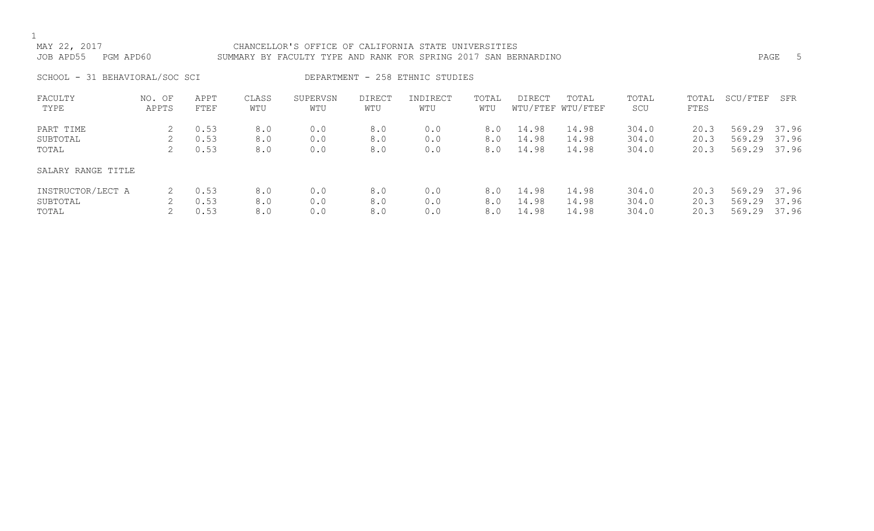## MAY 22, 2017 CHANCELLOR'S OFFICE OF CALIFORNIA STATE UNIVERSITIES JOB APD55 PGM APD60 SUMMARY BY FACULTY TYPE AND RANK FOR SPRING 2017 SAN BERNARDINO PAGE 5

SCHOOL - 31 BEHAVIORAL/SOC SCI DEPARTMENT - 258 ETHNIC STUDIES

| FACULTY<br>TYPE    | NO. OF<br>APPTS | APPT<br>FTEF | CLASS<br>WTU | SUPERVSN<br>WTU | <b>DIRECT</b><br>WTU | INDIRECT<br>WTU | TOTAL<br>WTU | DIRECT | TOTAL<br>WTU/FTEF WTU/FTEF | TOTAL<br>SCU | TOTAL<br>FTES | SCU/FTEF     | SFR   |
|--------------------|-----------------|--------------|--------------|-----------------|----------------------|-----------------|--------------|--------|----------------------------|--------------|---------------|--------------|-------|
| PART TIME          |                 | 0.53         | 8.0          | 0.0             | 8.0                  | 0.0             | 8.0          | 14.98  | 14.98                      | 304.0        | 20.3          | 569.29 37.96 |       |
| SUBTOTAL           |                 | 0.53         | 8.0          | 0.0             | 8.0                  | 0.0             | 8.0          | 14.98  | 14.98                      | 304.0        | 20.3          | 569.29       | 37.96 |
| TOTAL              | 2.              | 0.53         | 8.0          | 0.0             | 8.0                  | 0.0             | 8.0          | 14.98  | 14.98                      | 304.0        | 20.3          | 569.29       | 37.96 |
| SALARY RANGE TITLE |                 |              |              |                 |                      |                 |              |        |                            |              |               |              |       |
| INSTRUCTOR/LECT A  |                 | 0.53         | 8.0          | 0.0             | 8.0                  | 0.0             | 8.0          | 14.98  | 14.98                      | 304.0        | 20.3          | 569.29       | 37.96 |
| SUBTOTAL           |                 | 0.53         | 8.0          | 0.0             | 8.0                  | 0.0             | 8.0          | 14.98  | 14.98                      | 304.0        | 20.3          | 569.29       | 37.96 |
| TOTAL              |                 | 0.53         | 8.0          | 0.0             | 8.0                  | 0.0             | 8.0          | 14.98  | 14.98                      | 304.0        | 20.3          | 569.29       | 37.96 |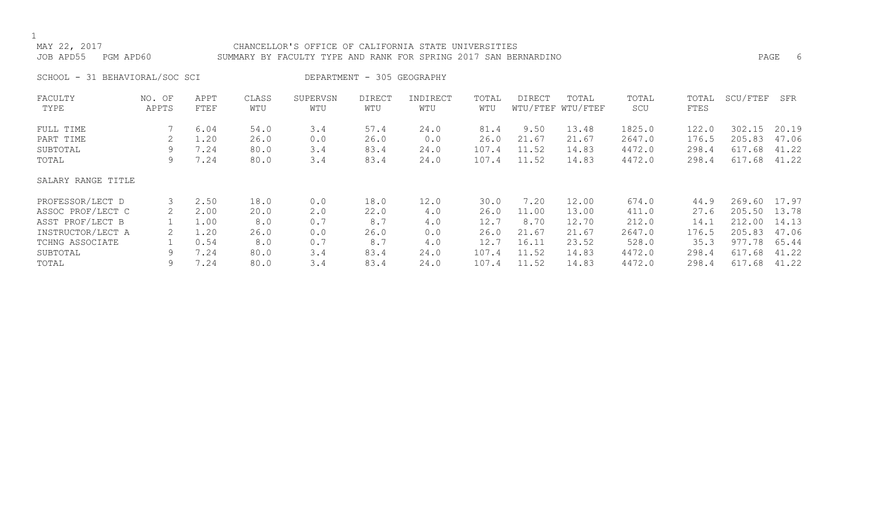## MAY 22, 2017 CHANCELLOR'S OFFICE OF CALIFORNIA STATE UNIVERSITIES JOB APD55 PGM APD60 SUMMARY BY FACULTY TYPE AND RANK FOR SPRING 2017 SAN BERNARDINO PAGE 6

SCHOOL - 31 BEHAVIORAL/SOC SCI DEPARTMENT - 305 GEOGRAPHY

| FACULTY            | NO. OF | APPT | CLASS | SUPERVSN | <b>DIRECT</b> | INDIRECT | TOTAL | DIRECT | TOTAL             | TOTAL  | TOTAL | SCU/FTEF | SFR   |
|--------------------|--------|------|-------|----------|---------------|----------|-------|--------|-------------------|--------|-------|----------|-------|
| TYPE               | APPTS  | FTEF | WTU   | WTU      | WTU           | WTU      | WTU   |        | WTU/FTEF WTU/FTEF | SCU    | FTES  |          |       |
| FULL TIME          |        | 6.04 | 54.0  | 3.4      | 57.4          | 24.0     | 81.4  | 9.50   | 13.48             | 1825.0 | 122.0 | 302.15   | 20.19 |
| PART TIME          |        | 1.20 | 26.0  | 0.0      | 26.0          | 0.0      | 26.0  | 21.67  | 21.67             | 2647.0 | 176.5 | 205.83   | 47.06 |
| SUBTOTAL           | 9      | 7.24 | 80.0  | 3.4      | 83.4          | 24.0     | 107.4 | 11.52  | 14.83             | 4472.0 | 298.4 | 617.68   | 41.22 |
| TOTAL              | 9      | 7.24 | 80.0  | 3.4      | 83.4          | 24.0     | 107.4 | 11.52  | 14.83             | 4472.0 | 298.4 | 617.68   | 41.22 |
| SALARY RANGE TITLE |        |      |       |          |               |          |       |        |                   |        |       |          |       |
| PROFESSOR/LECT D   | 3      | 2.50 | 18.0  | 0.0      | 18.0          | 12.0     | 30.0  | 7.20   | 12.00             | 674.0  | 44.9  | 269.60   | 17.97 |
| ASSOC PROF/LECT C  | 2      | 2.00 | 20.0  | 2.0      | 22.0          | 4.0      | 26.0  | 11.00  | 13.00             | 411.0  | 27.6  | 205.50   | 13.78 |
| ASST PROF/LECT B   |        | 1.00 | 8.0   | 0.7      | 8.7           | 4.0      | 12.7  | 8.70   | 12.70             | 212.0  | 14.1  | 212.00   | 14.13 |
| INSTRUCTOR/LECT A  |        | 1.20 | 26.0  | 0.0      | 26.0          | 0.0      | 26.0  | 21.67  | 21.67             | 2647.0 | 176.5 | 205.83   | 47.06 |
| TCHNG ASSOCIATE    |        | 0.54 | 8.0   | 0.7      | 8.7           | 4.0      | 12.7  | 16.11  | 23.52             | 528.0  | 35.3  | 977.78   | 65.44 |
| SUBTOTAL           | 9      | 7.24 | 80.0  | 3.4      | 83.4          | 24.0     | 107.4 | 11.52  | 14.83             | 4472.0 | 298.4 | 617.68   | 41.22 |
| TOTAL              | 9      | 7.24 | 80.0  | 3.4      | 83.4          | 24.0     | 107.4 | 11.52  | 14.83             | 4472.0 | 298.4 | 617.68   | 41.22 |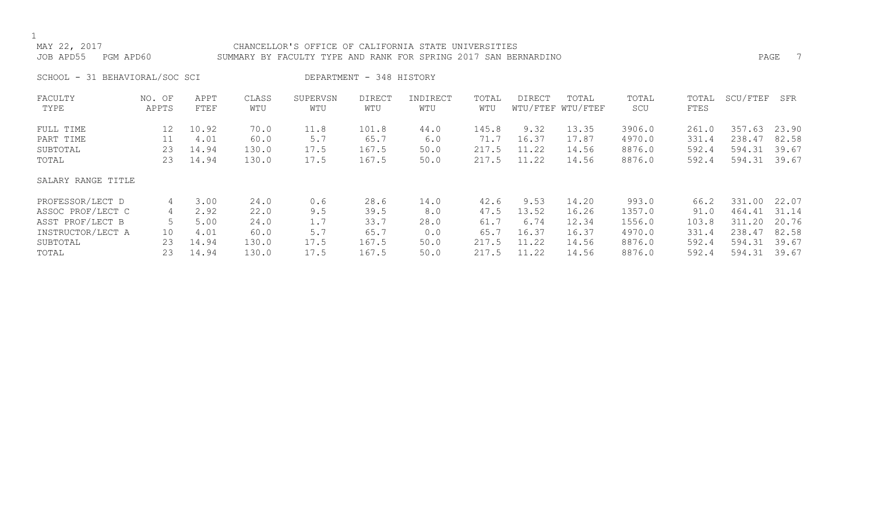## MAY 22, 2017 CHANCELLOR'S OFFICE OF CALIFORNIA STATE UNIVERSITIES JOB APD55 PGM APD60 SUMMARY BY FACULTY TYPE AND RANK FOR SPRING 2017 SAN BERNARDINO PAGE 7

SCHOOL - 31 BEHAVIORAL/SOC SCI DEPARTMENT - 348 HISTORY

| FACULTY            | NO. OF | APPT  | CLASS | SUPERVSN | <b>DIRECT</b> | INDIRECT | TOTAL | <b>DIRECT</b> | TOTAL             | TOTAL  | TOTAL | SCU/FTEF | SFR   |
|--------------------|--------|-------|-------|----------|---------------|----------|-------|---------------|-------------------|--------|-------|----------|-------|
| TYPE               | APPTS  | FTEF  | WTU   | WTU      | WTU           | WTU      | WTU   |               | WTU/FTEF WTU/FTEF | SCU    | FTES  |          |       |
| FULL TIME          | 12     | 10.92 | 70.0  | 11.8     | 101.8         | 44.0     | 145.8 | 9.32          | 13.35             | 3906.0 | 261.0 | 357.63   | 23.90 |
| PART TIME          | 11     | 4.01  | 60.0  | 5.7      | 65.7          | 6.0      | 71.7  | 16.37         | 17.87             | 4970.0 | 331.4 | 238.47   | 82.58 |
| SUBTOTAL           | 23     | 14.94 | 130.0 | 17.5     | 167.5         | 50.0     | 217.5 | 11.22         | 14.56             | 8876.0 | 592.4 | 594.31   | 39.67 |
| TOTAL              | 23     | 14.94 | 130.0 | 17.5     | 167.5         | 50.0     | 217.5 | 11.22         | 14.56             | 8876.0 | 592.4 | 594.31   | 39.67 |
| SALARY RANGE TITLE |        |       |       |          |               |          |       |               |                   |        |       |          |       |
| PROFESSOR/LECT D   | 4      | 3.00  | 24.0  | 0.6      | 28.6          | 14.0     | 42.6  | 9.53          | 14.20             | 993.0  | 66.2  | 331.00   | 22.07 |
| ASSOC PROF/LECT C  | 4      | 2.92  | 22.0  | 9.5      | 39.5          | 8.0      | 47.5  | 13.52         | 16.26             | 1357.0 | 91.0  | 464.41   | 31.14 |
| ASST PROF/LECT B   |        | 5.00  | 24.0  | 1.7      | 33.7          | 28.0     | 61.7  | 6.74          | 12.34             | 1556.0 | 103.8 | 311.20   | 20.76 |
| INSTRUCTOR/LECT A  | 10     | 4.01  | 60.0  | 5.7      | 65.7          | 0.0      | 65.7  | 16.37         | 16.37             | 4970.0 | 331.4 | 238.47   | 82.58 |
| SUBTOTAL           | 23     | 14.94 | 130.0 | 17.5     | 167.5         | 50.0     | 217.5 | 11.22         | 14.56             | 8876.0 | 592.4 | 594.31   | 39.67 |
| TOTAL              | 23     | 14.94 | 130.0 | 17.5     | 167.5         | 50.0     | 217.5 | 11.22         | 14.56             | 8876.0 | 592.4 | 594.31   | 39.67 |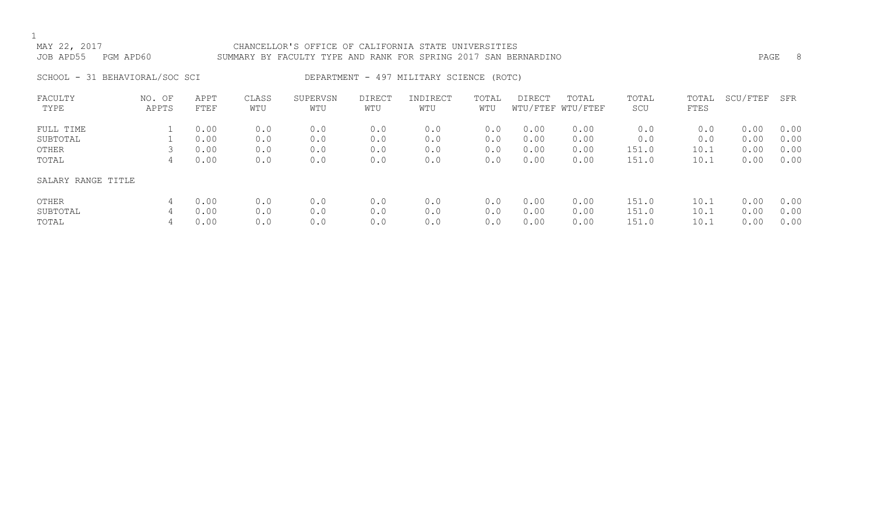## MAY 22, 2017 CHANCELLOR'S OFFICE OF CALIFORNIA STATE UNIVERSITIES JOB APD55 PGM APD60 SUMMARY BY FACULTY TYPE AND RANK FOR SPRING 2017 SAN BERNARDINO PAGE 8

# SCHOOL - 31 BEHAVIORAL/SOC SCI DEPARTMENT - 497 MILITARY SCIENCE (ROTC)

| FACULTY<br>TYPE    | NO. OF<br>APPTS | APPT<br>FTEF | CLASS<br>WTU | SUPERVSN<br>WTU | <b>DIRECT</b><br>WTU | INDIRECT<br>WTU | TOTAL<br>WTU | <b>DIRECT</b> | TOTAL<br>WTU/FTEF WTU/FTEF | TOTAL<br>SCU | TOTAL<br>FTES | SCU/FTEF | SFR  |
|--------------------|-----------------|--------------|--------------|-----------------|----------------------|-----------------|--------------|---------------|----------------------------|--------------|---------------|----------|------|
|                    |                 |              |              |                 |                      |                 |              |               |                            |              |               |          |      |
| FULL TIME          |                 | 0.00         | 0.0          | 0.0             | 0.0                  | 0.0             | 0.0          | 0.00          | 0.00                       | 0.0          | 0.0           | 0.00     | 0.00 |
| SUBTOTAL           |                 | 0.00         | 0.0          | 0.0             | 0.0                  | 0.0             | 0.0          | 0.00          | 0.00                       | 0.0          | 0.0           | 0.00     | 0.00 |
| OTHER              |                 | 0.00         | 0.0          | 0.0             | 0.0                  | 0.0             | 0.0          | 0.00          | 0.00                       | 151.0        | 10.1          | 0.00     | 0.00 |
| TOTAL              | 4               | 0.00         | 0.0          | 0.0             | 0.0                  | 0.0             | 0.0          | 0.00          | 0.00                       | 151.0        | 10.1          | 0.00     | 0.00 |
| SALARY RANGE TITLE |                 |              |              |                 |                      |                 |              |               |                            |              |               |          |      |
| OTHER              | 4               | 0.00         | 0.0          | 0.0             | 0.0                  | 0.0             | 0.0          | 0.00          | 0.00                       | 151.0        | 10.1          | 0.00     | 0.00 |
| SUBTOTAL           | 4               | 0.00         | 0.0          | 0.0             | 0.0                  | 0.0             | 0.0          | 0.00          | 0.00                       | 151.0        | 10.1          | 0.00     | 0.00 |
| TOTAL              | 4               | 0.00         | 0.0          | 0.0             | 0.0                  | 0.0             | 0.0          | 0.00          | 0.00                       | 151.0        | 10.1          | 0.00     | 0.00 |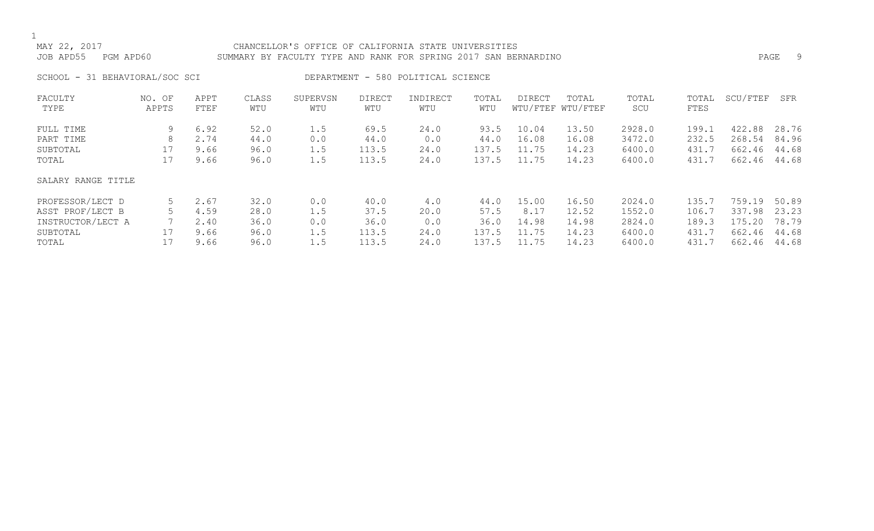## MAY 22, 2017 CHANCELLOR'S OFFICE OF CALIFORNIA STATE UNIVERSITIES JOB APD55 PGM APD60 SUMMARY BY FACULTY TYPE AND RANK FOR SPRING 2017 SAN BERNARDINO PAGE 9

SCHOOL - 31 BEHAVIORAL/SOC SCI DEPARTMENT - 580 POLITICAL SCIENCE

| FACULTY            | NO. OF | APPT | CLASS | SUPERVSN | <b>DIRECT</b> | INDIRECT | TOTAL | DIRECT | TOTAL             | TOTAL  | TOTAL | SCU/FTEF    | SFR   |
|--------------------|--------|------|-------|----------|---------------|----------|-------|--------|-------------------|--------|-------|-------------|-------|
| TYPE               | APPTS  | FTEF | WTU   | WTU      | WTU           | WTU      | WTU   |        | WTU/FTEF WTU/FTEF | SCU    | FTES  |             |       |
| FULL TIME          | 9      | 6.92 | 52.0  | 1.5      | 69.5          | 24.0     | 93.5  | 10.04  | 13.50             | 2928.0 | 199.1 | 422.88      | 28.76 |
| PART TIME          | 8      | 2.74 | 44.0  | 0.0      | 44.0          | 0.0      | 44.0  | 16.08  | 16.08             | 3472.0 | 232.5 | 268.54      | 84.96 |
| SUBTOTAL           |        | 9.66 | 96.0  | 1.5      | 113.5         | 24.0     | 137.5 | 11.75  | 14.23             | 6400.0 | 431.7 | 662.46      | 44.68 |
| TOTAL              | 17     | 9.66 | 96.0  | 1.5      | 113.5         | 24.0     | 137.5 | 11.75  | 14.23             | 6400.0 | 431.7 | 662.46      | 44.68 |
| SALARY RANGE TITLE |        |      |       |          |               |          |       |        |                   |        |       |             |       |
| PROFESSOR/LECT D   | 5      | 2.67 | 32.0  | 0.0      | 40.0          | 4.0      | 44.0  | 15.00  | 16.50             | 2024.0 | 135.7 | 759.19      | 50.89 |
| ASST PROF/LECT B   |        | 4.59 | 28.0  | 1.5      | 37.5          | 20.0     | 57.5  | 8.17   | 12.52             | 1552.0 | 106.7 | 337.98      | 23.23 |
| INSTRUCTOR/LECT A  |        | 2.40 | 36.0  | 0.0      | 36.0          | 0.0      | 36.0  | 14.98  | 14.98             | 2824.0 | 189.3 | 175.<br>.20 | 78.79 |
| SUBTOTAL           |        | 9.66 | 96.0  | 1.5      | 113.5         | 24.0     | 137.5 | 11.75  | 14.23             | 6400.0 | 431.7 | 662.46      | 44.68 |
| TOTAL              |        | 9.66 | 96.0  | 1.5      | 113.5         | 24.0     | 137.5 | 11.75  | 14.23             | 6400.0 | 431.7 | 662.46      | 44.68 |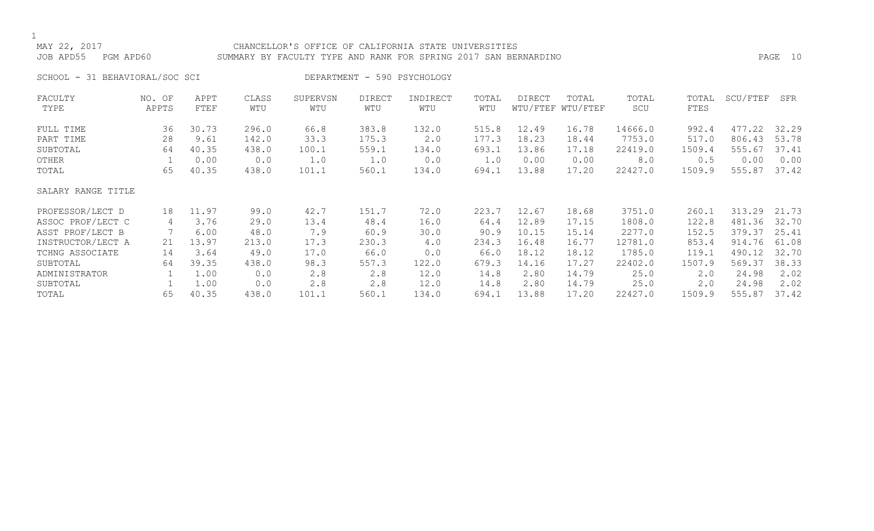## MAY 22, 2017 CHANCELLOR'S OFFICE OF CALIFORNIA STATE UNIVERSITIES JOB APD55 PGM APD60 SUMMARY BY FACULTY TYPE AND RANK FOR SPRING 2017 SAN BERNARDINO PAGE 10

SCHOOL - 31 BEHAVIORAL/SOC SCI DEPARTMENT - 590 PSYCHOLOGY

| FACULTY            | NO. OF | APPT  | CLASS | SUPERVSN | <b>DIRECT</b> | INDIRECT | TOTAL | <b>DIRECT</b> | TOTAL             | TOTAL   | TOTAL  | SCU/FTEF | SFR   |
|--------------------|--------|-------|-------|----------|---------------|----------|-------|---------------|-------------------|---------|--------|----------|-------|
| TYPE               | APPTS  | FTEF  | WTU   | WTU      | WTU           | WTU      | WTU   |               | WTU/FTEF WTU/FTEF | SCU     | FTES   |          |       |
| FULL TIME          | 36     | 30.73 | 296.0 | 66.8     | 383.8         | 132.0    | 515.8 | 12.49         | 16.78             | 14666.0 | 992.4  | 477.22   | 32.29 |
| PART TIME          | 28     | 9.61  | 142.0 | 33.3     | 175.3         | 2.0      | 177.3 | 18.23         | 18.44             | 7753.0  | 517.0  | 806.43   | 53.78 |
| SUBTOTAL           | 64     | 40.35 | 438.0 | 100.1    | 559.1         | 134.0    | 693.1 | 13.86         | 17.18             | 22419.0 | 1509.4 | 555.67   | 37.41 |
| OTHER              |        | 0.00  | 0.0   | 1.0      | 1.0           | 0.0      | 1.0   | 0.00          | 0.00              | 8.0     | 0.5    | 0.00     | 0.00  |
| TOTAL              | 65     | 40.35 | 438.0 | 101.1    | 560.1         | 134.0    | 694.1 | 13.88         | 17.20             | 22427.0 | 1509.9 | 555.87   | 37.42 |
| SALARY RANGE TITLE |        |       |       |          |               |          |       |               |                   |         |        |          |       |
| PROFESSOR/LECT D   | 18     | 11.97 | 99.0  | 42.7     | 151.7         | 72.0     | 223.7 | 12.67         | 18.68             | 3751.0  | 260.1  | 313.29   | 21.73 |
| ASSOC PROF/LECT C  | 4      | 3.76  | 29.0  | 13.4     | 48.4          | 16.0     | 64.4  | 12.89         | 17.15             | 1808.0  | 122.8  | 481.36   | 32.70 |
| ASST PROF/LECT B   |        | 6.00  | 48.0  | 7.9      | 60.9          | 30.0     | 90.9  | 10.15         | 15.14             | 2277.0  | 152.5  | 379.37   | 25.41 |
| INSTRUCTOR/LECT A  | 21     | 13.97 | 213.0 | 17.3     | 230.3         | 4.0      | 234.3 | 16.48         | 16.77             | 12781.0 | 853.4  | 914.76   | 61.08 |
| TCHNG ASSOCIATE    | 14     | 3.64  | 49.0  | 17.0     | 66.0          | 0.0      | 66.0  | 18.12         | 18.12             | 1785.0  | 119.1  | 490.12   | 32.70 |
| SUBTOTAL           | 64     | 39.35 | 438.0 | 98.3     | 557.3         | 122.0    | 679.3 | 14.16         | 17.27             | 22402.0 | 1507.9 | 569.37   | 38.33 |
| ADMINISTRATOR      |        | 1.00  | 0.0   | 2.8      | 2.8           | 12.0     | 14.8  | 2.80          | 14.79             | 25.0    | 2.0    | 24.98    | 2.02  |
| SUBTOTAL           |        | 1.00  | 0.0   | 2.8      | 2.8           | 12.0     | 14.8  | 2.80          | 14.79             | 25.0    | 2.0    | 24.98    | 2.02  |
| TOTAL              | 65     | 40.35 | 438.0 | 101.1    | 560.1         | 134.0    | 694.1 | 13.88         | 17.20             | 22427.0 | 1509.9 | 555.87   | 37.42 |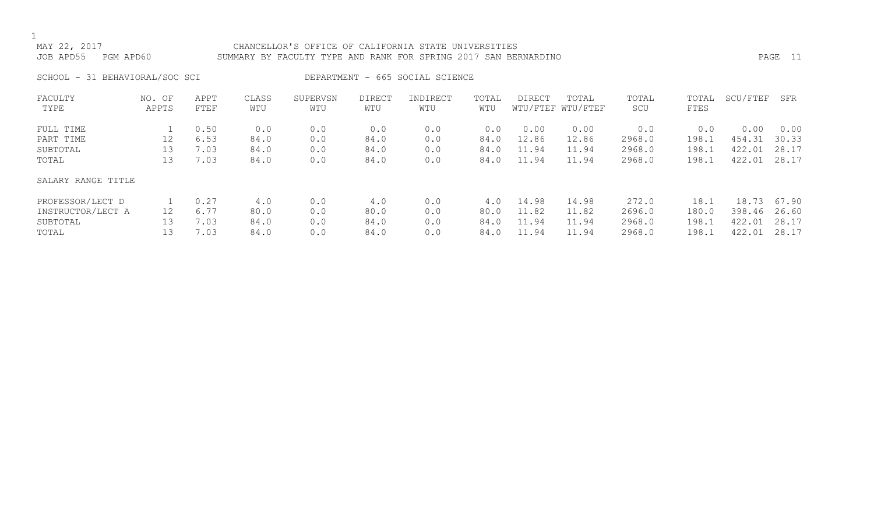MAY 22, 2017 CHANCELLOR'S OFFICE OF CALIFORNIA STATE UNIVERSITIES JOB APD55 PGM APD60 SUMMARY BY FACULTY TYPE AND RANK FOR SPRING 2017 SAN BERNARDINO PAGE 11

SCHOOL - 31 BEHAVIORAL/SOC SCI DEPARTMENT - 665 SOCIAL SCIENCE

| FACULTY            | NO. OF | APPT | CLASS | SUPERVSN | <b>DIRECT</b> | INDIRECT | TOTAL | <b>DIRECT</b> | TOTAL             | TOTAL  | TOTAL | SCU/FTEF | SFR   |
|--------------------|--------|------|-------|----------|---------------|----------|-------|---------------|-------------------|--------|-------|----------|-------|
| TYPE               | APPTS  | FTEF | WTU   | WTU      | WTU           | WTU      | WTU   |               | WTU/FTEF WTU/FTEF | SCU    | FTES  |          |       |
| FULL TIME          |        | 0.50 | 0.0   | 0.0      | 0.0           | 0.0      | 0.0   | 0.00          | 0.00              | 0.0    | 0.0   | 0.00     | 0.00  |
| PART TIME          | 12     | 6.53 | 84.0  | 0.0      | 84.0          | 0.0      | 84.0  | 12.86         | 12.86             | 2968.0 | 198.1 | 454.31   | 30.33 |
| SUBTOTAL           | 13     | 7.03 | 84.0  | 0.0      | 84.0          | 0.0      | 84.0  | 11.94         | 11.94             | 2968.0 | 198.1 | 422.01   | 28.17 |
| TOTAL              | 13     | 7.03 | 84.0  | 0.0      | 84.0          | 0.0      | 84.0  | 11.94         | 11.94             | 2968.0 | 198.1 | 422.01   | 28.17 |
| SALARY RANGE TITLE |        |      |       |          |               |          |       |               |                   |        |       |          |       |
| PROFESSOR/LECT D   |        | 0.27 | 4.0   | 0.0      | 4.0           | 0.0      | 4.0   | 14.98         | 14.98             | 272.0  | 18.1  | 18.73    | 67.90 |
| INSTRUCTOR/LECT A  | 12     | 6.77 | 80.0  | 0.0      | 80.0          | 0.0      | 80.0  | 11.82         | 11.82             | 2696.0 | 180.0 | 398.46   | 26.60 |
| SUBTOTAL           | 13     | 7.03 | 84.0  | 0.0      | 84.0          | 0.0      | 84.0  | 11.94         | 11.94             | 2968.0 | 198.1 | 422.01   | 28.17 |
| TOTAL              | 13     | 7.03 | 84.0  | 0.0      | 84.0          | 0.0      | 84.0  | 11.94         | 11.94             | 2968.0 | 198.1 | 422.01   | 28.17 |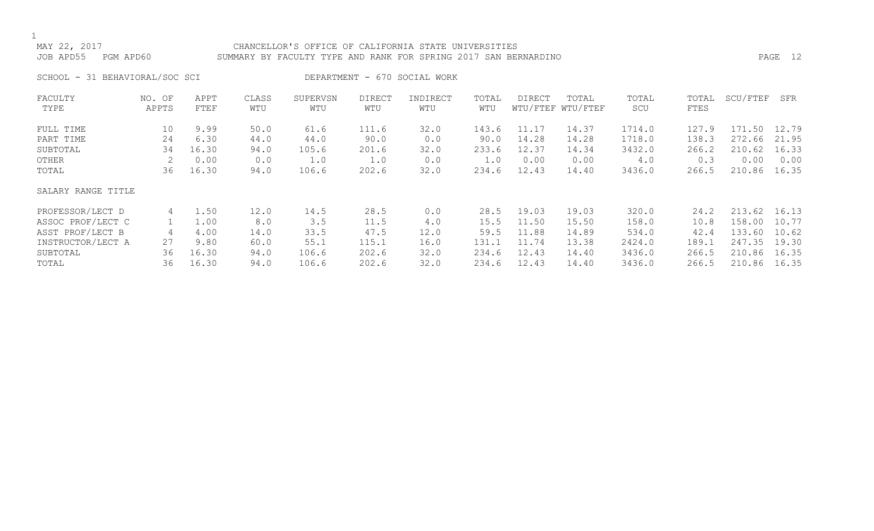## MAY 22, 2017 CHANCELLOR'S OFFICE OF CALIFORNIA STATE UNIVERSITIES JOB APD55 PGM APD60 SUMMARY BY FACULTY TYPE AND RANK FOR SPRING 2017 SAN BERNARDINO PAGE 12

SCHOOL - 31 BEHAVIORAL/SOC SCI DEPARTMENT - 670 SOCIAL WORK

| FACULTY            | NO. OF | APPT  | CLASS | SUPERVSN | <b>DIRECT</b> | INDIRECT | TOTAL | <b>DIRECT</b> | TOTAL             | TOTAL  | TOTAL | SCU/FTEF | SFR   |
|--------------------|--------|-------|-------|----------|---------------|----------|-------|---------------|-------------------|--------|-------|----------|-------|
| TYPE               | APPTS  | FTEF  | WTU   | WTU      | WTU           | WTU      | WTU   |               | WTU/FTEF WTU/FTEF | SCU    | FTES  |          |       |
| FULL TIME          | 10     | 9.99  | 50.0  | 61.6     | 111.6         | 32.0     | 143.6 | 11.17         | 14.37             | 1714.0 | 127.9 | 171.50   | 12.79 |
| PART TIME          | 24     | 6.30  | 44.0  | 44.0     | 90.0          | 0.0      | 90.0  | 14.28         | 14.28             | 1718.0 | 138.3 | 272.66   | 21.95 |
| SUBTOTAL           | 34     | 16.30 | 94.0  | 105.6    | 201.6         | 32.0     | 233.6 | 12.37         | 14.34             | 3432.0 | 266.2 | 210.62   | 16.33 |
| OTHER              |        | 0.00  | 0.0   | 1.0      | 1.0           | 0.0      | 1.0   | 0.00          | 0.00              | 4.0    | 0.3   | 0.00     | 0.00  |
| TOTAL              | 36     | 16.30 | 94.0  | 106.6    | 202.6         | 32.0     | 234.6 | 12.43         | 14.40             | 3436.0 | 266.5 | 210.86   | 16.35 |
| SALARY RANGE TITLE |        |       |       |          |               |          |       |               |                   |        |       |          |       |
| PROFESSOR/LECT D   | 4      | 1.50  | 12.0  | 14.5     | 28.5          | 0.0      | 28.5  | 19.03         | 19.03             | 320.0  | 24.2  | 213.62   | 16.13 |
| ASSOC PROF/LECT C  |        | 1.00  | 8.0   | 3.5      | 11.5          | 4.0      | 15.5  | 11.50         | 15.50             | 158.0  | 10.8  | 158.00   | 10.77 |
| ASST PROF/LECT B   | 4      | 4.00  | 14.0  | 33.5     | 47.5          | 12.0     | 59.5  | 11.88         | 14.89             | 534.0  | 42.4  | 133.60   | 10.62 |
| INSTRUCTOR/LECT A  | 27     | 9.80  | 60.0  | 55.1     | 115.1         | 16.0     | 131.1 | 11.74         | 13.38             | 2424.0 | 189.1 | 247.35   | 19.30 |
| SUBTOTAL           | 36     | 16.30 | 94.0  | 106.6    | 202.6         | 32.0     | 234.6 | 12.43         | 14.40             | 3436.0 | 266.5 | 210.86   | 16.35 |
| TOTAL              | 36     | 16.30 | 94.0  | 106.6    | 202.6         | 32.0     | 234.6 | 12.43         | 14.40             | 3436.0 | 266.5 | 210.86   | 16.35 |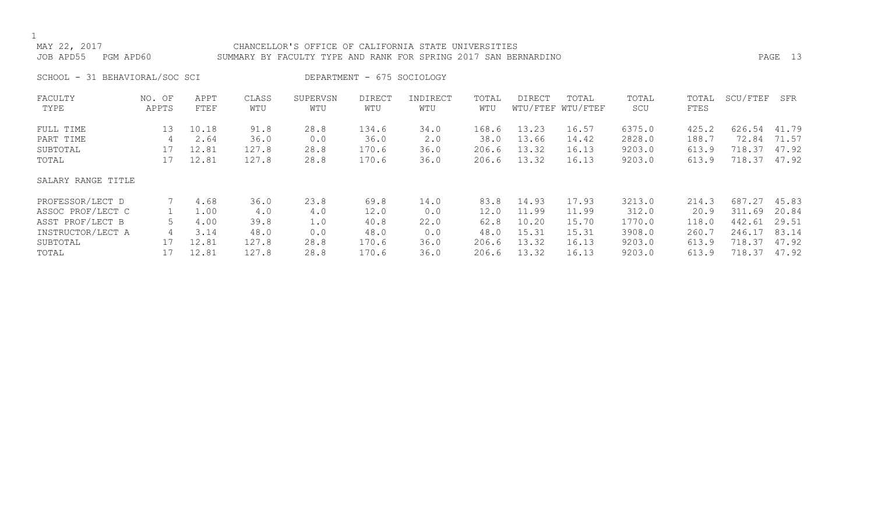## MAY 22, 2017 CHANCELLOR'S OFFICE OF CALIFORNIA STATE UNIVERSITIES JOB APD55 PGM APD60 SUMMARY BY FACULTY TYPE AND RANK FOR SPRING 2017 SAN BERNARDINO PAGE 13

SCHOOL - 31 BEHAVIORAL/SOC SCI DEPARTMENT - 675 SOCIOLOGY

| FACULTY            | NO. OF | APPT  | CLASS | SUPERVSN | DIRECT | INDIRECT    | TOTAL | <b>DIRECT</b> | TOTAL             | TOTAL  | TOTAL | SCU/FTEF | SFR   |
|--------------------|--------|-------|-------|----------|--------|-------------|-------|---------------|-------------------|--------|-------|----------|-------|
| TYPE               | APPTS  | FTEF  | WTU   | WTU      | WTU    | WTU         | WTU   |               | WTU/FTEF WTU/FTEF | SCU    | FTES  |          |       |
| FULL TIME          | 13     | 10.18 | 91.8  | 28.8     | 134.6  | 34.0        | 168.6 | 13.23         | 16.57             | 6375.0 | 425.2 | 626.54   | 41.79 |
| PART TIME          | 4      | 2.64  | 36.0  | 0.0      | 36.0   | $2 \cdot 0$ | 38.0  | 13.66         | 14.42             | 2828.0 | 188.7 | 72.84    | 71.57 |
| SUBTOTAL           | 17     | 12.81 | 127.8 | 28.8     | 170.6  | 36.0        | 206.6 | 13.32         | 16.13             | 9203.0 | 613.9 | 718.37   | 47.92 |
| TOTAL              | 17     | 12.81 | 127.8 | 28.8     | 170.6  | 36.0        | 206.6 | 13.32         | 16.13             | 9203.0 | 613.9 | 718.37   | 47.92 |
| SALARY RANGE TITLE |        |       |       |          |        |             |       |               |                   |        |       |          |       |
| PROFESSOR/LECT D   |        | 4.68  | 36.0  | 23.8     | 69.8   | 14.0        | 83.8  | 14.93         | 17.93             | 3213.0 | 214.3 | 687.27   | 45.83 |
| ASSOC PROF/LECT C  |        | 1.00  | 4.0   | 4.0      | 12.0   | 0.0         | 12.0  | 11.99         | 11.99             | 312.0  | 20.9  | 311.69   | 20.84 |
| ASST PROF/LECT B   |        | 4.00  | 39.8  | 1.0      | 40.8   | 22.0        | 62.8  | 10.20         | 15.70             | 1770.0 | 118.0 | 442.61   | 29.51 |
| INSTRUCTOR/LECT A  | 4      | 3.14  | 48.0  | 0.0      | 48.0   | 0.0         | 48.0  | 15.31         | 15.31             | 3908.0 | 260.7 | 246.17   | 83.14 |
| SUBTOTAL           | 17     | 12.81 | 127.8 | 28.8     | 170.6  | 36.0        | 206.6 | 13.32         | 16.13             | 9203.0 | 613.9 | 718.37   | 47.92 |
| TOTAL              |        | 12.81 | 127.8 | 28.8     | 170.6  | 36.0        | 206.6 | 13.32         | 16.13             | 9203.0 | 613.9 | 718.37   | 47.92 |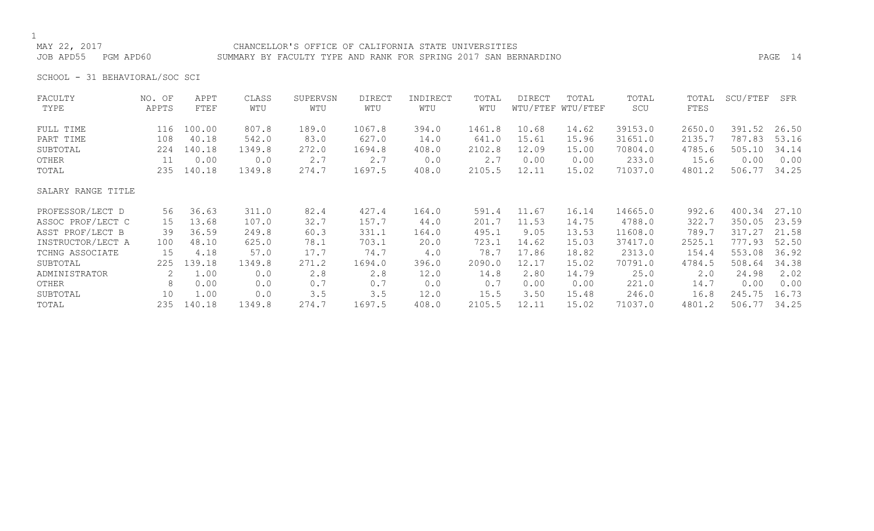## MAY 22, 2017 CHANCELLOR'S OFFICE OF CALIFORNIA STATE UNIVERSITIES JOB APD55 PGM APD60 SUMMARY BY FACULTY TYPE AND RANK FOR SPRING 2017 SAN BERNARDINO PAGE 14

SCHOOL - 31 BEHAVIORAL/SOC SCI

| FACULTY            | NO. OF | APPT   | CLASS  | SUPERVSN | DIRECT | INDIRECT | TOTAL  | DIRECT | TOTAL             | TOTAL   | TOTAL  | SCU/FTEF | SFR   |
|--------------------|--------|--------|--------|----------|--------|----------|--------|--------|-------------------|---------|--------|----------|-------|
| TYPE               | APPTS  | FTEF   | WTU    | WTU      | WTU    | WTU      | WTU    |        | WTU/FTEF WTU/FTEF | SCU     | FTES   |          |       |
| FULL TIME          | 116    | 100.00 | 807.8  | 189.0    | 1067.8 | 394.0    | 1461.8 | 10.68  | 14.62             | 39153.0 | 2650.0 | 391.52   | 26.50 |
| PART TIME          | 108    | 40.18  | 542.0  | 83.0     | 627.0  | 14.0     | 641.0  | 15.61  | 15.96             | 31651.0 | 2135.7 | 787.83   | 53.16 |
| SUBTOTAL           | 224    | 140.18 | 1349.8 | 272.0    | 1694.8 | 408.0    | 2102.8 | 12.09  | 15.00             | 70804.0 | 4785.6 | 505.10   | 34.14 |
| OTHER              | 11     | 0.00   | 0.0    | 2.7      | 2.7    | 0.0      | 2.7    | 0.00   | 0.00              | 233.0   | 15.6   | 0.00     | 0.00  |
| TOTAL              | 235    | 140.18 | 1349.8 | 274.7    | 1697.5 | 408.0    | 2105.5 | 12.11  | 15.02             | 71037.0 | 4801.2 | 506.77   | 34.25 |
| SALARY RANGE TITLE |        |        |        |          |        |          |        |        |                   |         |        |          |       |
| PROFESSOR/LECT D   | 56     | 36.63  | 311.0  | 82.4     | 427.4  | 164.0    | 591.4  | 11.67  | 16.14             | 14665.0 | 992.6  | 400.34   | 27.10 |
| ASSOC PROF/LECT C  | 15     | 13.68  | 107.0  | 32.7     | 157.7  | 44.0     | 201.7  | 11.53  | 14.75             | 4788.0  | 322.7  | 350.05   | 23.59 |
| ASST PROF/LECT B   | 39     | 36.59  | 249.8  | 60.3     | 331.1  | 164.0    | 495.1  | 9.05   | 13.53             | 11608.0 | 789.7  | 317.27   | 21.58 |
| INSTRUCTOR/LECT A  | 100    | 48.10  | 625.0  | 78.1     | 703.1  | 20.0     | 723.1  | 14.62  | 15.03             | 37417.0 | 2525.1 | 777.93   | 52.50 |
| TCHNG ASSOCIATE    | 15     | 4.18   | 57.0   | 17.7     | 74.7   | 4.0      | 78.7   | 17.86  | 18.82             | 2313.0  | 154.4  | 553.08   | 36.92 |
| SUBTOTAL           | 225    | 139.18 | 1349.8 | 271.2    | 1694.0 | 396.0    | 2090.0 | 12.17  | 15.02             | 70791.0 | 4784.5 | 508.64   | 34.38 |
| ADMINISTRATOR      | 2      | 1.00   | 0.0    | 2.8      | 2.8    | 12.0     | 14.8   | 2.80   | 14.79             | 25.0    | 2.0    | 24.98    | 2.02  |
| OTHER              | 8      | 0.00   | 0.0    | 0.7      | 0.7    | 0.0      | 0.7    | 0.00   | 0.00              | 221.0   | 14.7   | 0.00     | 0.00  |
| SUBTOTAL           | 10     | 1.00   | 0.0    | 3.5      | 3.5    | 12.0     | 15.5   | 3.50   | 15.48             | 246.0   | 16.8   | 245.75   | 16.73 |
| TOTAL              | 235    | 140.18 | 1349.8 | 274.7    | 1697.5 | 408.0    | 2105.5 | 12.11  | 15.02             | 71037.0 | 4801.2 | 506.77   | 34.25 |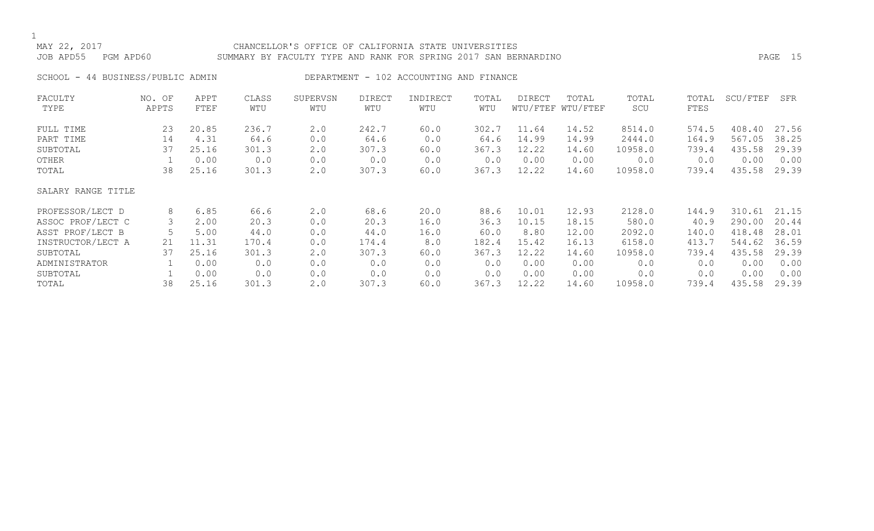# MAY 22, 2017 CHANCELLOR'S OFFICE OF CALIFORNIA STATE UNIVERSITIES JOB APD55 PGM APD60 SUMMARY BY FACULTY TYPE AND RANK FOR SPRING 2017 SAN BERNARDINO PAGE 15

SCHOOL - 44 BUSINESS/PUBLIC ADMIN DEPARTMENT - 102 ACCOUNTING AND FINANCE

| FACULTY            | NO. OF | APPT  | CLASS | SUPERVSN | DIRECT | INDIRECT | TOTAL | DIRECT | TOTAL             | TOTAL   | TOTAL | SCU/FTEF | SFR   |
|--------------------|--------|-------|-------|----------|--------|----------|-------|--------|-------------------|---------|-------|----------|-------|
| TYPE               | APPTS  | FTEF  | WTU   | WTU      | WTU    | WTU      | WTU   |        | WTU/FTEF WTU/FTEF | SCU     | FTES  |          |       |
| FULL TIME          | 23     | 20.85 | 236.7 | 2.0      | 242.7  | 60.0     | 302.7 | 11.64  | 14.52             | 8514.0  | 574.5 | 408.40   | 27.56 |
| PART TIME          | 14     | 4.31  | 64.6  | 0.0      | 64.6   | 0.0      | 64.6  | 14.99  | 14.99             | 2444.0  | 164.9 | 567.05   | 38.25 |
| SUBTOTAL           | 37     | 25.16 | 301.3 | 2.0      | 307.3  | 60.0     | 367.3 | 12.22  | 14.60             | 10958.0 | 739.4 | 435.58   | 29.39 |
| OTHER              |        | 0.00  | 0.0   | 0.0      | 0.0    | 0.0      | 0.0   | 0.00   | 0.00              | 0.0     | 0.0   | 0.00     | 0.00  |
| TOTAL              | 38     | 25.16 | 301.3 | 2.0      | 307.3  | 60.0     | 367.3 | 12.22  | 14.60             | 10958.0 | 739.4 | 435.58   | 29.39 |
| SALARY RANGE TITLE |        |       |       |          |        |          |       |        |                   |         |       |          |       |
| PROFESSOR/LECT D   | 8      | 6.85  | 66.6  | 2.0      | 68.6   | 20.0     | 88.6  | 10.01  | 12.93             | 2128.0  | 144.9 | 310.61   | 21.15 |
| ASSOC PROF/LECT C  | 3      | 2.00  | 20.3  | 0.0      | 20.3   | 16.0     | 36.3  | 10.15  | 18.15             | 580.0   | 40.9  | 290.00   | 20.44 |
| ASST PROF/LECT B   |        | 5.00  | 44.0  | 0.0      | 44.0   | 16.0     | 60.0  | 8.80   | 12.00             | 2092.0  | 140.0 | 418.48   | 28.01 |
| INSTRUCTOR/LECT A  | 21     | 11.31 | 170.4 | 0.0      | 174.4  | 8.0      | 182.4 | 15.42  | 16.13             | 6158.0  | 413.7 | 544.62   | 36.59 |
| SUBTOTAL           | 37     | 25.16 | 301.3 | 2.0      | 307.3  | 60.0     | 367.3 | 12.22  | 14.60             | 10958.0 | 739.4 | 435.58   | 29.39 |
| ADMINISTRATOR      |        | 0.00  | 0.0   | 0.0      | 0.0    | 0.0      | 0.0   | 0.00   | 0.00              | 0.0     | 0.0   | 0.00     | 0.00  |
| SUBTOTAL           |        | 0.00  | 0.0   | 0.0      | 0.0    | 0.0      | 0.0   | 0.00   | 0.00              | 0.0     | 0.0   | 0.00     | 0.00  |
| TOTAL              | 38     | 25.16 | 301.3 | 2.0      | 307.3  | 60.0     | 367.3 | 12.22  | 14.60             | 10958.0 | 739.4 | 435.58   | 29.39 |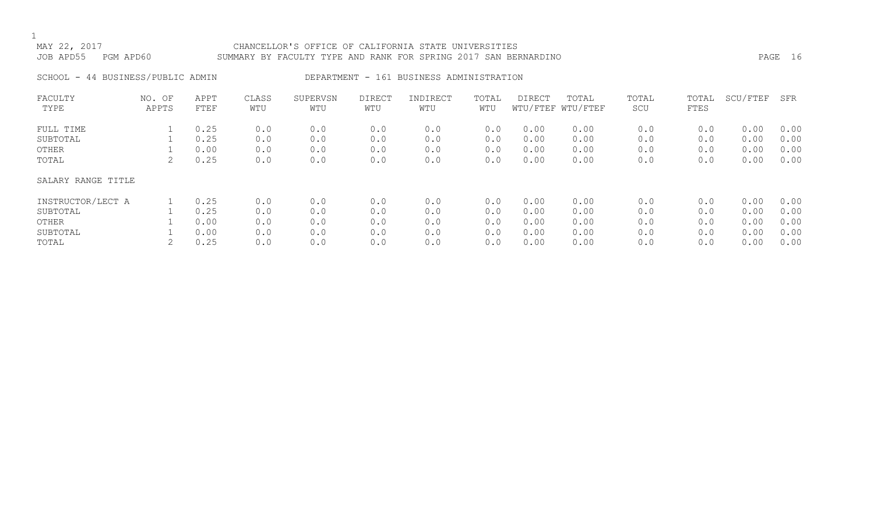# MAY 22, 2017 CHANCELLOR'S OFFICE OF CALIFORNIA STATE UNIVERSITIES JOB APD55 PGM APD60 SUMMARY BY FACULTY TYPE AND RANK FOR SPRING 2017 SAN BERNARDINO PAGE 16

SCHOOL - 44 BUSINESS/PUBLIC ADMIN DEPARTMENT - 161 BUSINESS ADMINISTRATION

| FACULTY            | NO. OF | APPT | CLASS | SUPERVSN | <b>DIRECT</b> | INDIRECT | TOTAL | <b>DIRECT</b> | TOTAL             | TOTAL | TOTAL | SCU/FTEF | SFR  |
|--------------------|--------|------|-------|----------|---------------|----------|-------|---------------|-------------------|-------|-------|----------|------|
| TYPE               | APPTS  | FTEF | WTU   | WTU      | WTU           | WTU      | WTU   |               | WTU/FTEF WTU/FTEF | SCU   | FTES  |          |      |
| FULL TIME          |        | 0.25 | 0.0   | 0.0      | 0.0           | 0.0      | 0.0   | 0.00          | 0.00              | 0.0   | 0.0   | 0.00     | 0.00 |
| SUBTOTAL           |        | 0.25 | 0.0   | 0.0      | 0.0           | 0.0      | 0.0   | 0.00          | 0.00              | 0.0   | 0.0   | 0.00     | 0.00 |
| OTHER              |        | 0.00 | 0.0   | 0.0      | 0.0           | 0.0      | 0.0   | 0.00          | 0.00              | 0.0   | 0.0   | 0.00     | 0.00 |
| TOTAL              |        | 0.25 | 0.0   | 0.0      | 0.0           | 0.0      | 0.0   | 0.00          | 0.00              | 0.0   | 0.0   | 0.00     | 0.00 |
| SALARY RANGE TITLE |        |      |       |          |               |          |       |               |                   |       |       |          |      |
| INSTRUCTOR/LECT A  |        | 0.25 | 0.0   | 0.0      | 0.0           | 0.0      | 0.0   | 0.00          | 0.00              | 0.0   | 0.0   | 0.00     | 0.00 |
| SUBTOTAL           |        | 0.25 | 0.0   | 0.0      | 0.0           | 0.0      | 0.0   | 0.00          | 0.00              | 0.0   | 0.0   | 0.00     | 0.00 |
| OTHER              |        | 0.00 | 0.0   | 0.0      | 0.0           | 0.0      | 0.0   | 0.00          | 0.00              | 0.0   | 0.0   | 0.00     | 0.00 |
| SUBTOTAL           |        | 0.00 | 0.0   | 0.0      | 0.0           | 0.0      | 0.0   | 0.00          | 0.00              | 0.0   | 0.0   | 0.00     | 0.00 |
| TOTAL              |        | 0.25 | 0.0   | 0.0      | 0.0           | 0.0      | 0.0   | 0.00          | 0.00              | 0.0   | 0.0   | 0.00     | 0.00 |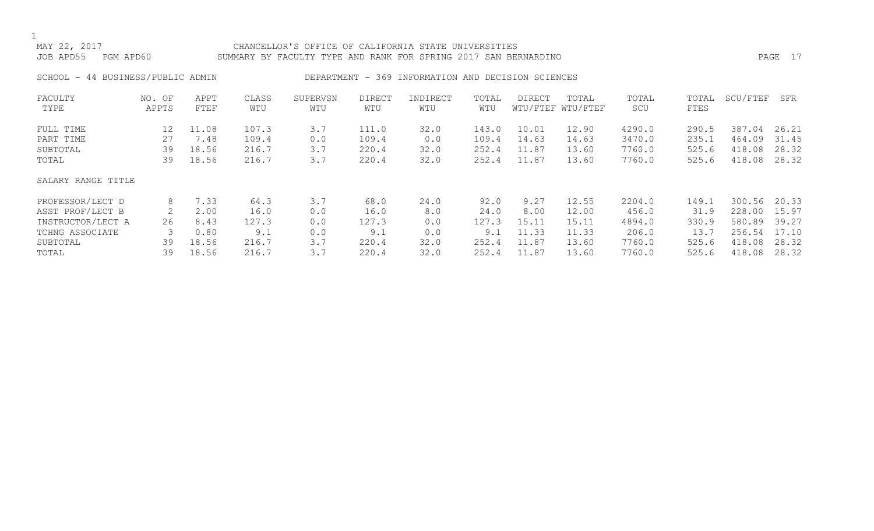# MAY 22, 2017 CHANCELLOR'S OFFICE OF CALIFORNIA STATE UNIVERSITIES JOB APD55 PGM APD60 SUMMARY BY FACULTY TYPE AND RANK FOR SPRING 2017 SAN BERNARDINO PAGE 17

SCHOOL - 44 BUSINESS/PUBLIC ADMIN DEPARTMENT - 369 INFORMATION AND DECISION SCIENCES

| FACULTY            | NO. OF | APPT  | CLASS | SUPERVSN | DIRECT | INDIRECT | TOTAL | DIRECT | TOTAL             | TOTAL  | TOTAL | SCU/FTEF | SFR   |
|--------------------|--------|-------|-------|----------|--------|----------|-------|--------|-------------------|--------|-------|----------|-------|
| TYPE               | APPTS  | FTEF  | WTU   | WTU      | WTU    | WTU      | WTU   |        | WTU/FTEF WTU/FTEF | SCU    | FTES  |          |       |
| FULL TIME          | 12     | 11.08 | 107.3 | 3.7      | 111.0  | 32.0     | 143.0 | 10.01  | 12.90             | 4290.0 | 290.5 | 387.04   | 26.21 |
| PART TIME          | 27     | 7.48  | 109.4 | 0.0      | 109.4  | 0.0      | 109.4 | 14.63  | 14.63             | 3470.0 | 235.1 | 464.09   | 31.45 |
| SUBTOTAL           | 39     | 18.56 | 216.7 | 3.7      | 220.4  | 32.0     | 252.4 | 11.87  | 13.60             | 7760.0 | 525.6 | 418.08   | 28.32 |
| TOTAL              | 39     | 18.56 | 216.7 | 3.7      | 220.4  | 32.0     | 252.4 | 11.87  | 13.60             | 7760.0 | 525.6 | 418.08   | 28.32 |
| SALARY RANGE TITLE |        |       |       |          |        |          |       |        |                   |        |       |          |       |
| PROFESSOR/LECT D   | 8      | 7.33  | 64.3  | 3.7      | 68.0   | 24.0     | 92.0  | 9.27   | 12.55             | 2204.0 | 149.1 | 300.56   | 20.33 |
| ASST PROF/LECT B   | 2      | 2.00  | 16.0  | 0.0      | 16.0   | 8.0      | 24.0  | 8.00   | 12.00             | 456.0  | 31.9  | 228.00   | 15.97 |
| INSTRUCTOR/LECT A  | 26     | 8.43  | 127.3 | 0.0      | 127.3  | 0.0      | 127.3 | 15.11  | 15.11             | 4894.0 | 330.9 | 580.89   | 39.27 |
| TCHNG ASSOCIATE    |        | 0.80  | 9.1   | 0.0      | 9.1    | 0.0      | 9.1   | 11.33  | 11.33             | 206.0  | 13.7  | 256.54   | 17.10 |
| SUBTOTAL           | 39     | 18.56 | 216.7 | 3.7      | 220.4  | 32.0     | 252.4 | 11.87  | 13.60             | 7760.0 | 525.6 | 418.08   | 28.32 |
| TOTAL              | 39     | 18.56 | 216.7 | 3.7      | 220.4  | 32.0     | 252.4 | 11.87  | 13.60             | 7760.0 | 525.6 | 418.08   | 28.32 |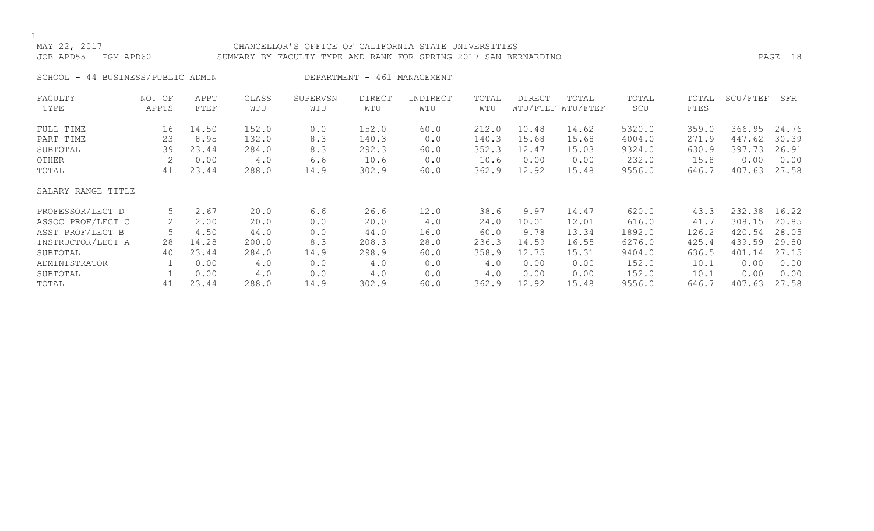# MAY 22, 2017 CHANCELLOR'S OFFICE OF CALIFORNIA STATE UNIVERSITIES JOB APD55 PGM APD60 SUMMARY BY FACULTY TYPE AND RANK FOR SPRING 2017 SAN BERNARDINO PAGE 18

SCHOOL - 44 BUSINESS/PUBLIC ADMIN DEPARTMENT - 461 MANAGEMENT

| FACULTY            | NO. OF | APPT  | CLASS | SUPERVSN | <b>DIRECT</b> | INDIRECT | TOTAL | <b>DIRECT</b> | TOTAL             | TOTAL  | TOTAL | SCU/FTEF | SFR   |
|--------------------|--------|-------|-------|----------|---------------|----------|-------|---------------|-------------------|--------|-------|----------|-------|
| TYPE               | APPTS  | FTEF  | WTU   | WTU      | WTU           | WTU      | WTU   |               | WTU/FTEF WTU/FTEF | SCU    | FTES  |          |       |
| FULL TIME          | 16     | 14.50 | 152.0 | 0.0      | 152.0         | 60.0     | 212.0 | 10.48         | 14.62             | 5320.0 | 359.0 | 366.95   | 24.76 |
| PART TIME          | 23     | 8.95  | 132.0 | 8.3      | 140.3         | 0.0      | 140.3 | 15.68         | 15.68             | 4004.0 | 271.9 | 447.62   | 30.39 |
| SUBTOTAL           | 39     | 23.44 | 284.0 | 8.3      | 292.3         | 60.0     | 352.3 | 12.47         | 15.03             | 9324.0 | 630.9 | 397.73   | 26.91 |
| OTHER              |        | 0.00  | 4.0   | 6.6      | 10.6          | 0.0      | 10.6  | 0.00          | 0.00              | 232.0  | 15.8  | 0.00     | 0.00  |
| TOTAL              | 41     | 23.44 | 288.0 | 14.9     | 302.9         | 60.0     | 362.9 | 12.92         | 15.48             | 9556.0 | 646.7 | 407.63   | 27.58 |
| SALARY RANGE TITLE |        |       |       |          |               |          |       |               |                   |        |       |          |       |
| PROFESSOR/LECT D   | 5      | 2.67  | 20.0  | 6.6      | 26.6          | 12.0     | 38.6  | 9.97          | 14.47             | 620.0  | 43.3  | 232.38   | 16.22 |
| ASSOC PROF/LECT C  |        | 2.00  | 20.0  | 0.0      | 20.0          | 4.0      | 24.0  | 10.01         | 12.01             | 616.0  | 41.7  | 308.15   | 20.85 |
| ASST PROF/LECT B   |        | 4.50  | 44.0  | 0.0      | 44.0          | 16.0     | 60.0  | 9.78          | 13.34             | 1892.0 | 126.2 | 420.54   | 28.05 |
| INSTRUCTOR/LECT A  | 28     | 14.28 | 200.0 | 8.3      | 208.3         | 28.0     | 236.3 | 14.59         | 16.55             | 6276.0 | 425.4 | 439.59   | 29.80 |
| SUBTOTAL           | 40     | 23.44 | 284.0 | 14.9     | 298.9         | 60.0     | 358.9 | 12.75         | 15.31             | 9404.0 | 636.5 | 401.14   | 27.15 |
| ADMINISTRATOR      |        | 0.00  | 4.0   | 0.0      | 4.0           | 0.0      | 4.0   | 0.00          | 0.00              | 152.0  | 10.1  | 0.00     | 0.00  |
| SUBTOTAL           |        | 0.00  | 4.0   | 0.0      | 4.0           | 0.0      | 4.0   | 0.00          | 0.00              | 152.0  | 10.1  | 0.00     | 0.00  |
| TOTAL              | 41     | 23.44 | 288.0 | 14.9     | 302.9         | 60.0     | 362.9 | 12.92         | 15.48             | 9556.0 | 646.7 | 407.63   | 27.58 |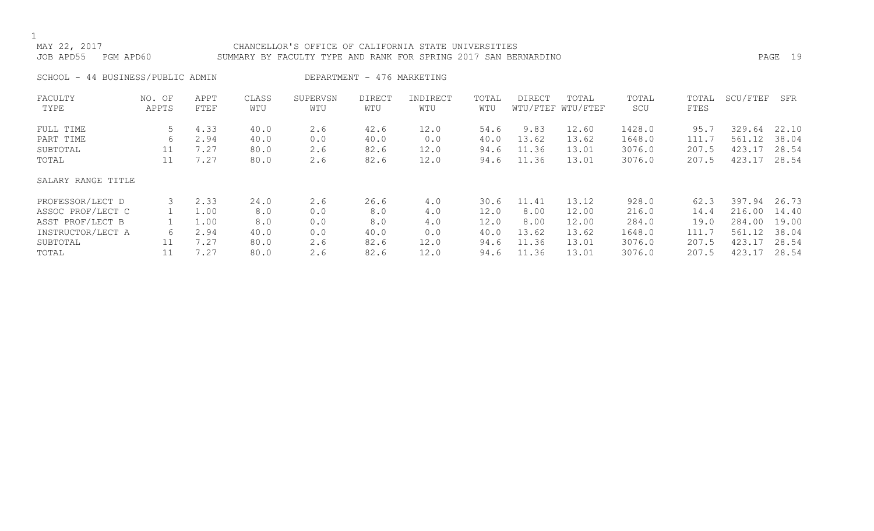# MAY 22, 2017 CHANCELLOR'S OFFICE OF CALIFORNIA STATE UNIVERSITIES JOB APD55 PGM APD60 SUMMARY BY FACULTY TYPE AND RANK FOR SPRING 2017 SAN BERNARDINO PAGE 19

SCHOOL - 44 BUSINESS/PUBLIC ADMIN DEPARTMENT - 476 MARKETING

| FACULTY            | NO. OF | APPT | CLASS | SUPERVSN | <b>DIRECT</b> | INDIRECT | TOTAL | DIRECT | TOTAL             | TOTAL  | TOTAL | SCU/FTEF    | SFR   |
|--------------------|--------|------|-------|----------|---------------|----------|-------|--------|-------------------|--------|-------|-------------|-------|
| TYPE               | APPTS  | FTEF | WTU   | WTU      | WTU           | WTU      | WTU   |        | WTU/FTEF WTU/FTEF | SCU    | FTES  |             |       |
| FULL TIME          | 5      | 4.33 | 40.0  | 2.6      | 42.6          | 12.0     | 54.6  | 9.83   | 12.60             | 1428.0 | 95.7  | 329.<br>.64 | 22.10 |
| PART TIME          | 6      | 2.94 | 40.0  | 0.0      | 40.0          | 0.0      | 40.0  | 13.62  | 13.62             | 1648.0 | 111.7 | 561.12      | 38.04 |
| SUBTOTAL           | 11     | 7.27 | 80.0  | 2.6      | 82.6          | 12.0     | 94.6  | 11.36  | 13.01             | 3076.0 | 207.5 | 423.1       | 28.54 |
| TOTAL              | 11     | 7.27 | 80.0  | 2.6      | 82.6          | 12.0     | 94.6  | 11.36  | 13.01             | 3076.0 | 207.5 | 423.17      | 28.54 |
| SALARY RANGE TITLE |        |      |       |          |               |          |       |        |                   |        |       |             |       |
| PROFESSOR/LECT D   |        | 2.33 | 24.0  | 2.6      | 26.6          | 4.0      | 30.6  | 11.41  | 13.12             | 928.0  | 62.3  | 397.94      | 26.73 |
| ASSOC PROF/LECT C  |        | 1.00 | 8.0   | 0.0      | 8.0           | 4.0      | 12.0  | 8.00   | 12.00             | 216.0  | 14.4  | 216.00      | 14.40 |
| ASST PROF/LECT B   |        | 1.00 | 8.0   | 0.0      | 8.0           | 4.0      | 12.0  | 8.00   | 12.00             | 284.0  | 19.0  | 284.00      | 19.00 |
| INSTRUCTOR/LECT A  | 6      | 2.94 | 40.0  | 0.0      | 40.0          | 0.0      | 40.0  | 13.62  | 13.62             | 1648.0 | 111.7 | 561.12      | 38.04 |
| SUBTOTAL           | 11     | 7.27 | 80.0  | 2.6      | 82.6          | 12.0     | 94.6  | 11.36  | 13.01             | 3076.0 | 207.5 | 423.1       | 28.54 |
| TOTAL              |        | 7.27 | 80.0  | 2.6      | 82.6          | 12.0     | 94.6  | 11.36  | 13.01             | 3076.0 | 207.5 | 423.17      | 28.54 |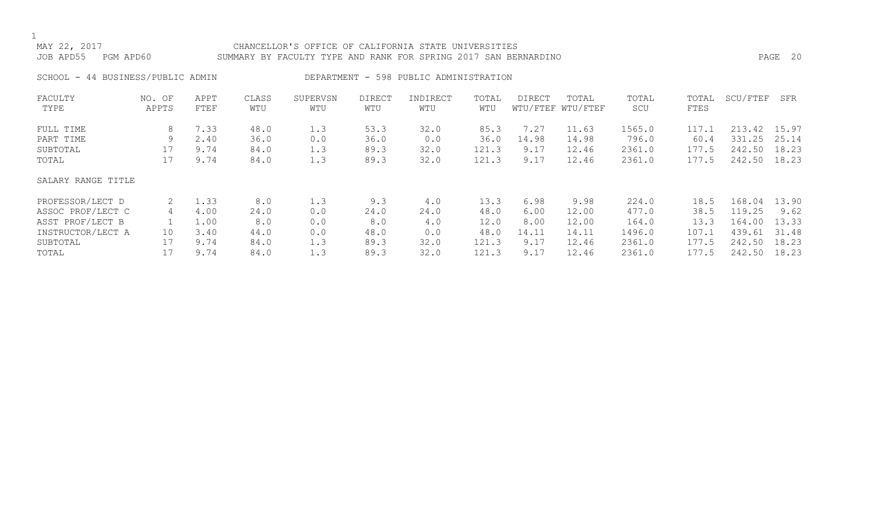# MAY 22, 2017 CHANCELLOR'S OFFICE OF CALIFORNIA STATE UNIVERSITIES JOB APD55 PGM APD60 SUMMARY BY FACULTY TYPE AND RANK FOR SPRING 2017 SAN BERNARDINO PAGE 20

SCHOOL - 44 BUSINESS/PUBLIC ADMIN DEPARTMENT - 598 PUBLIC ADMINISTRATION

| FACULTY            | NO. OF | APPT | CLASS | SUPERVSN | <b>DIRECT</b> | INDIRECT | TOTAL | DIRECT | TOTAL             | TOTAL  | TOTAL | SCU/FTEF   | SFR   |
|--------------------|--------|------|-------|----------|---------------|----------|-------|--------|-------------------|--------|-------|------------|-------|
| TYPE               | APPTS  | FTEF | WTU   | WTU      | WTU           | WTU      | WTU   |        | WTU/FTEF WTU/FTEF | SCU    | FTES  |            |       |
| FULL TIME          | 8      | 7.33 | 48.0  | 1.3      | 53.3          | 32.0     | 85.3  | 7.27   | 11.63             | 1565.0 | 117.1 | 213.42     | 15.97 |
| PART TIME          | 9      | 2.40 | 36.0  | 0.0      | 36.0          | 0.0      | 36.0  | 14.98  | 14.98             | 796.0  | 60.4  | .25<br>331 | 25.14 |
| SUBTOTAL           | 17     | 9.74 | 84.0  | 1.3      | 89.3          | 32.0     | 121.3 | 9.17   | 12.46             | 2361.0 | 177.5 | 242.50     | 18.23 |
| TOTAL              |        | 9.74 | 84.0  | 1.3      | 89.3          | 32.0     | 121.3 | 9.17   | 12.46             | 2361.0 | 177.5 | 242.50     | 18.23 |
| SALARY RANGE TITLE |        |      |       |          |               |          |       |        |                   |        |       |            |       |
| PROFESSOR/LECT D   |        | 1.33 | 8.0   | 1.3      | 9.3           | 4.0      | 13.3  | 6.98   | 9.98              | 224.0  | 18.5  | 168.04     | 13.90 |
| ASSOC PROF/LECT C  | 4      | 4.00 | 24.0  | 0.0      | 24.0          | 24.0     | 48.0  | 6.00   | 12.00             | 477.0  | 38.5  | 119.25     | 9.62  |
| ASST PROF/LECT B   |        | 1.00 | 8.0   | 0.0      | 8.0           | 4.0      | 12.0  | 8.00   | 12.00             | 164.0  | 13.3  | 164.00     | 13.33 |
| INSTRUCTOR/LECT A  | 10     | 3.40 | 44.0  | 0.0      | 48.0          | 0.0      | 48.0  | 14.11  | 14.11             | 1496.0 | 107.1 | 439.61     | 31.48 |
| SUBTOTAL           |        | 9.74 | 84.0  | 1.3      | 89.3          | 32.0     | 121.3 | 9.17   | 12.46             | 2361.0 | 177.5 | 242.50     | 18.23 |
| TOTAL              |        | 9.74 | 84.0  | 1.3      | 89.3          | 32.0     | 121.3 | 9.17   | 12.46             | 2361.0 | 177.5 | 242.50     | 18.23 |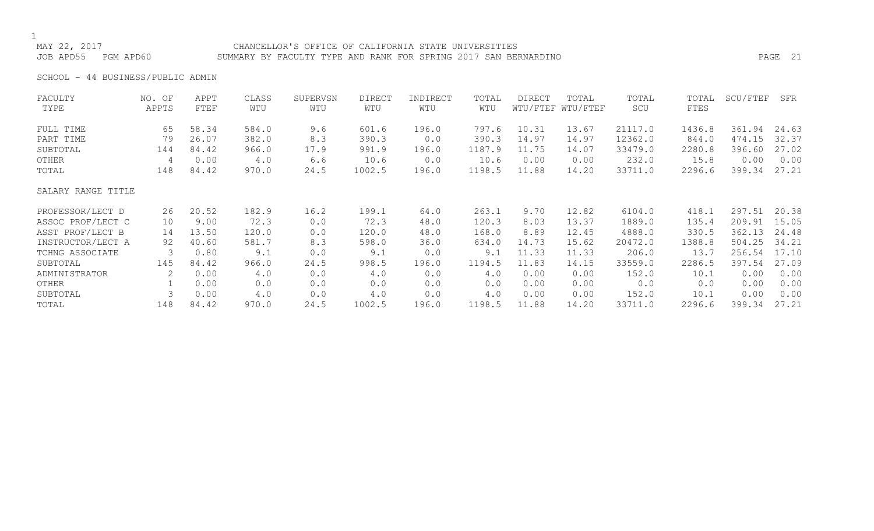## MAY 22, 2017 CHANCELLOR'S OFFICE OF CALIFORNIA STATE UNIVERSITIES JOB APD55 PGM APD60 SUMMARY BY FACULTY TYPE AND RANK FOR SPRING 2017 SAN BERNARDINO PAGE 21

SCHOOL - 44 BUSINESS/PUBLIC ADMIN

| FACULTY            | NO. OF | APPT  | CLASS | SUPERVSN | DIRECT | INDIRECT | TOTAL  | DIRECT | TOTAL             | TOTAL   | TOTAL  | SCU/FTEF | SFR   |
|--------------------|--------|-------|-------|----------|--------|----------|--------|--------|-------------------|---------|--------|----------|-------|
| TYPE               | APPTS  | FTEF  | WTU   | WTU      | WTU    | WTU      | WTU    |        | WTU/FTEF WTU/FTEF | SCU     | FTES   |          |       |
| FULL TIME          | 65     | 58.34 | 584.0 | 9.6      | 601.6  | 196.0    | 797.6  | 10.31  | 13.67             | 21117.0 | 1436.8 | 361.94   | 24.63 |
| PART TIME          | 79     | 26.07 | 382.0 | 8.3      | 390.3  | 0.0      | 390.3  | 14.97  | 14.97             | 12362.0 | 844.0  | 474.15   | 32.37 |
| SUBTOTAL           | 144    | 84.42 | 966.0 | 17.9     | 991.9  | 196.0    | 1187.9 | 11.75  | 14.07             | 33479.0 | 2280.8 | 396.60   | 27.02 |
| OTHER              | 4      | 0.00  | 4.0   | 6.6      | 10.6   | 0.0      | 10.6   | 0.00   | 0.00              | 232.0   | 15.8   | 0.00     | 0.00  |
| TOTAL              | 148    | 84.42 | 970.0 | 24.5     | 1002.5 | 196.0    | 1198.5 | 11.88  | 14.20             | 33711.0 | 2296.6 | 399.34   | 27.21 |
| SALARY RANGE TITLE |        |       |       |          |        |          |        |        |                   |         |        |          |       |
| PROFESSOR/LECT D   | 26     | 20.52 | 182.9 | 16.2     | 199.1  | 64.0     | 263.1  | 9.70   | 12.82             | 6104.0  | 418.1  | 297.51   | 20.38 |
| ASSOC PROF/LECT C  | 10     | 9.00  | 72.3  | 0.0      | 72.3   | 48.0     | 120.3  | 8.03   | 13.37             | 1889.0  | 135.4  | 209.91   | 15.05 |
| ASST PROF/LECT B   | 14     | 13.50 | 120.0 | 0.0      | 120.0  | 48.0     | 168.0  | 8.89   | 12.45             | 4888.0  | 330.5  | 362.13   | 24.48 |
| INSTRUCTOR/LECT A  | 92     | 40.60 | 581.7 | 8.3      | 598.0  | 36.0     | 634.0  | 14.73  | 15.62             | 20472.0 | 1388.8 | 504.25   | 34.21 |
| TCHNG ASSOCIATE    | 3      | 0.80  | 9.1   | 0.0      | 9.1    | 0.0      | 9.1    | 11.33  | 11.33             | 206.0   | 13.7   | 256.54   | 17.10 |
| SUBTOTAL           | 145    | 84.42 | 966.0 | 24.5     | 998.5  | 196.0    | 1194.5 | 11.83  | 14.15             | 33559.0 | 2286.5 | 397.54   | 27.09 |
| ADMINISTRATOR      | 2      | 0.00  | 4.0   | 0.0      | 4.0    | 0.0      | 4.0    | 0.00   | 0.00              | 152.0   | 10.1   | 0.00     | 0.00  |
| OTHER              |        | 0.00  | 0.0   | 0.0      | 0.0    | 0.0      | 0.0    | 0.00   | 0.00              | 0.0     | 0.0    | 0.00     | 0.00  |
| SUBTOTAL           |        | 0.00  | 4.0   | 0.0      | 4.0    | 0.0      | 4.0    | 0.00   | 0.00              | 152.0   | 10.1   | 0.00     | 0.00  |
| TOTAL              | 148    | 84.42 | 970.0 | 24.5     | 1002.5 | 196.0    | 1198.5 | 11.88  | 14.20             | 33711.0 | 2296.6 | 399.34   | 27.21 |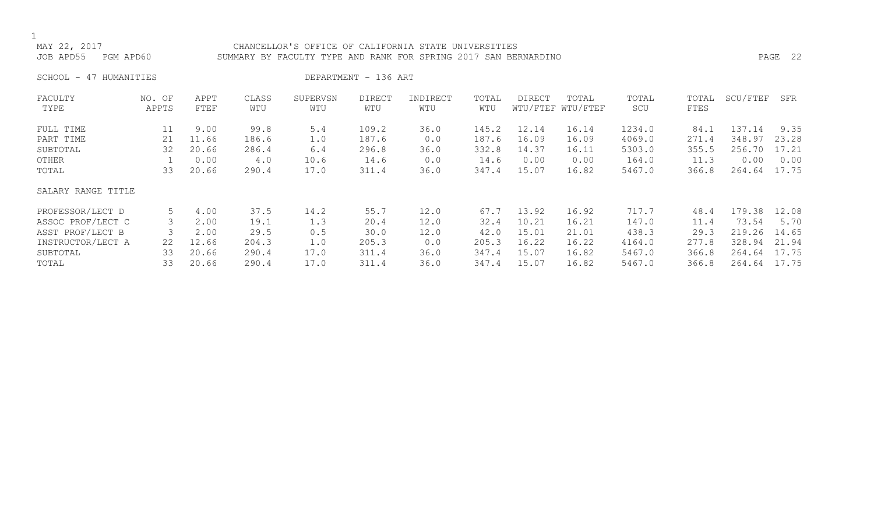## CHANCELLOR'S OFFICE OF CALIFORNIA STATE UNIVERSITIES JOB APD55 PGM APD60 SUMMARY BY FACULTY TYPE AND RANK FOR SPRING 2017 SAN BERNARDINO PAGE 22

SCHOOL - 47 HUMANITIES DEPARTMENT - 136 ART

| FACULTY            | NO. OF | APPT  | CLASS | SUPERVSN | <b>DIRECT</b> | INDIRECT | TOTAL | <b>DIRECT</b> | TOTAL             | TOTAL  | TOTAL | SCU/FTEF | SFR   |
|--------------------|--------|-------|-------|----------|---------------|----------|-------|---------------|-------------------|--------|-------|----------|-------|
| TYPE               | APPTS  | FTEF  | WTU   | WTU      | WTU           | WTU      | WTU   |               | WTU/FTEF WTU/FTEF | SCU    | FTES  |          |       |
| FULL TIME          | 11     | 9.00  | 99.8  | 5.4      | 109.2         | 36.0     | 145.2 | 12.14         | 16.14             | 1234.0 | 84.1  | 137.14   | 9.35  |
| PART TIME          | 21     | 11.66 | 186.6 | 1.0      | 187.6         | 0.0      | 187.6 | 16.09         | 16.09             | 4069.0 | 271.4 | 348.97   | 23.28 |
| SUBTOTAL           | 32     | 20.66 | 286.4 | 6.4      | 296.8         | 36.0     | 332.8 | 14.37         | 16.11             | 5303.0 | 355.5 | 256.70   | 17.21 |
| OTHER              |        | 0.00  | 4.0   | 10.6     | 14.6          | 0.0      | 14.6  | 0.00          | 0.00              | 164.0  | 11.3  | 0.00     | 0.00  |
| TOTAL              | 33     | 20.66 | 290.4 | 17.0     | 311.4         | 36.0     | 347.4 | 15.07         | 16.82             | 5467.0 | 366.8 | 264.64   | 17.75 |
| SALARY RANGE TITLE |        |       |       |          |               |          |       |               |                   |        |       |          |       |
| PROFESSOR/LECT D   | 5      | 4.00  | 37.5  | 14.2     | 55.7          | 12.0     | 67.7  | 13.92         | 16.92             | 717.7  | 48.4  | 179.38   | 12.08 |
| ASSOC PROF/LECT C  |        | 2.00  | 19.1  | 1.3      | 20.4          | 12.0     | 32.4  | 10.21         | 16.21             | 147.0  | 11.4  | 73.54    | 5.70  |
| ASST PROF/LECT B   |        | 2.00  | 29.5  | 0.5      | 30.0          | 12.0     | 42.0  | 15.01         | 21.01             | 438.3  | 29.3  | 219.26   | 14.65 |
| INSTRUCTOR/LECT A  | 22     | 12.66 | 204.3 | 1.0      | 205.3         | 0.0      | 205.3 | 16.22         | 16.22             | 4164.0 | 277.8 | 328.94   | 21.94 |
| SUBTOTAL           | 33     | 20.66 | 290.4 | 17.0     | 311.4         | 36.0     | 347.4 | 15.07         | 16.82             | 5467.0 | 366.8 | 264.64   | 17.75 |
| TOTAL              | 33     | 20.66 | 290.4 | 17.0     | 311.4         | 36.0     | 347.4 | 15.07         | 16.82             | 5467.0 | 366.8 | 264.64   | 17.75 |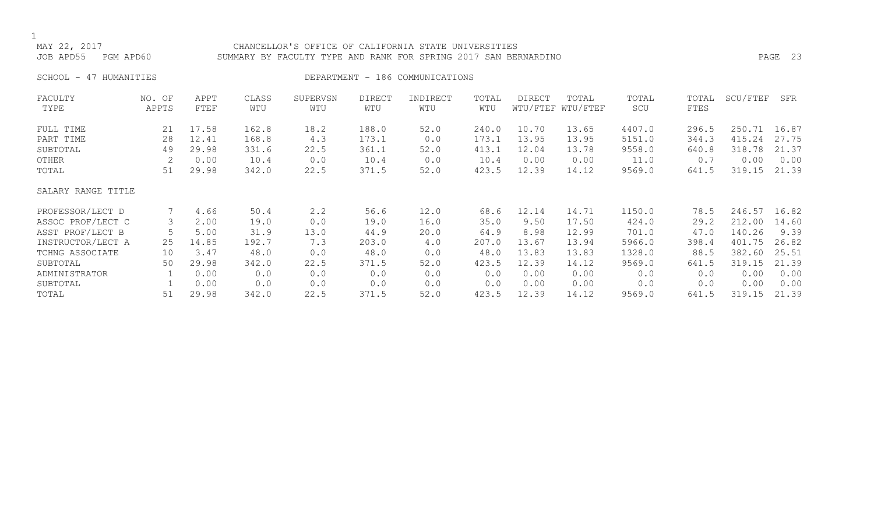## MAY 22, 2017 CHANCELLOR'S OFFICE OF CALIFORNIA STATE UNIVERSITIES JOB APD55 PGM APD60 SUMMARY BY FACULTY TYPE AND RANK FOR SPRING 2017 SAN BERNARDINO PAGE 23

SCHOOL - 47 HUMANITIES SERVICES DEPARTMENT - 186 COMMUNICATIONS

| FACULTY            | NO. OF | APPT  | CLASS | SUPERVSN    | <b>DIRECT</b> | INDIRECT | TOTAL | DIRECT | TOTAL             | TOTAL  | TOTAL | SCU/FTEF | SFR   |
|--------------------|--------|-------|-------|-------------|---------------|----------|-------|--------|-------------------|--------|-------|----------|-------|
| TYPE               | APPTS  | FTEF  | WTU   | WTU         | WTU           | WTU      | WTU   |        | WTU/FTEF WTU/FTEF | SCU    | FTES  |          |       |
| FULL TIME          | 21     | 17.58 | 162.8 | 18.2        | 188.0         | 52.0     | 240.0 | 10.70  | 13.65             | 4407.0 | 296.5 | 250.71   | 16.87 |
| PART TIME          | 28     | 12.41 | 168.8 | 4.3         | 173.1         | 0.0      | 173.1 | 13.95  | 13.95             | 5151.0 | 344.3 | 415.24   | 27.75 |
| SUBTOTAL           | 49     | 29.98 | 331.6 | 22.5        | 361.1         | 52.0     | 413.1 | 12.04  | 13.78             | 9558.0 | 640.8 | 318.78   | 21.37 |
| OTHER              | 2      | 0.00  | 10.4  | 0.0         | 10.4          | 0.0      | 10.4  | 0.00   | 0.00              | 11.0   | 0.7   | 0.00     | 0.00  |
| TOTAL              | 51     | 29.98 | 342.0 | 22.5        | 371.5         | 52.0     | 423.5 | 12.39  | 14.12             | 9569.0 | 641.5 | 319.15   | 21.39 |
| SALARY RANGE TITLE |        |       |       |             |               |          |       |        |                   |        |       |          |       |
| PROFESSOR/LECT D   |        | 4.66  | 50.4  | $2 \cdot 2$ | 56.6          | 12.0     | 68.6  | 12.14  | 14.71             | 1150.0 | 78.5  | 246.57   | 16.82 |
| ASSOC PROF/LECT C  | 3      | 2.00  | 19.0  | 0.0         | 19.0          | 16.0     | 35.0  | 9.50   | 17.50             | 424.0  | 29.2  | 212.00   | 14.60 |
| ASST PROF/LECT B   |        | 5.00  | 31.9  | 13.0        | 44.9          | 20.0     | 64.9  | 8.98   | 12.99             | 701.0  | 47.0  | 140.26   | 9.39  |
| INSTRUCTOR/LECT A  | 25     | 14.85 | 192.7 | 7.3         | 203.0         | 4.0      | 207.0 | 13.67  | 13.94             | 5966.0 | 398.4 | 401.75   | 26.82 |
| TCHNG ASSOCIATE    | 10     | 3.47  | 48.0  | 0.0         | 48.0          | 0.0      | 48.0  | 13.83  | 13.83             | 1328.0 | 88.5  | 382.60   | 25.51 |
| SUBTOTAL           | 50     | 29.98 | 342.0 | 22.5        | 371.5         | 52.0     | 423.5 | 12.39  | 14.12             | 9569.0 | 641.5 | 319.15   | 21.39 |
| ADMINISTRATOR      |        | 0.00  | 0.0   | 0.0         | 0.0           | 0.0      | 0.0   | 0.00   | 0.00              | 0.0    | 0.0   | 0.00     | 0.00  |
| SUBTOTAL           |        | 0.00  | 0.0   | 0.0         | 0.0           | 0.0      | 0.0   | 0.00   | 0.00              | 0.0    | 0.0   | 0.00     | 0.00  |
| TOTAL              | 51     | 29.98 | 342.0 | 22.5        | 371.5         | 52.0     | 423.5 | 12.39  | 14.12             | 9569.0 | 641.5 | 319.15   | 21.39 |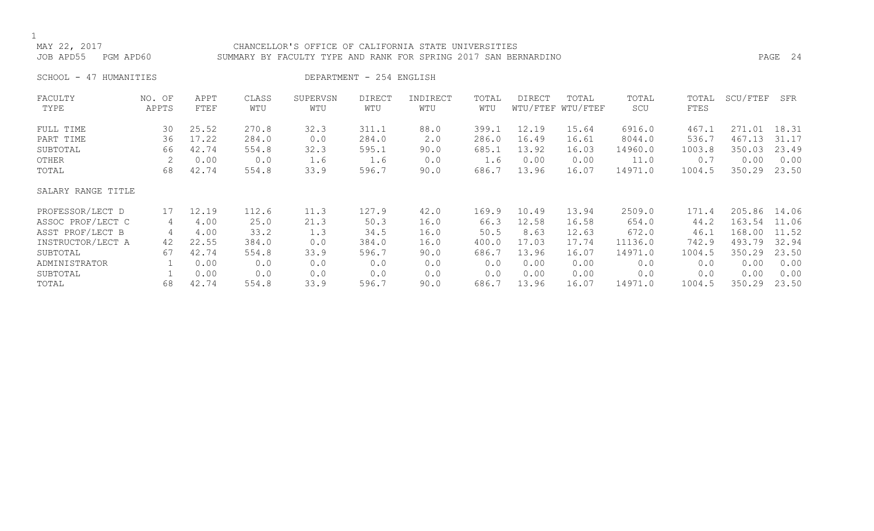## CHANCELLOR'S OFFICE OF CALIFORNIA STATE UNIVERSITIES JOB APD55 PGM APD60 SUMMARY BY FACULTY TYPE AND RANK FOR SPRING 2017 SAN BERNARDINO PAGE 24

SCHOOL - 47 HUMANITIES DEPARTMENT - 254 ENGLISH

| FACULTY            | NO. OF | APPT  | CLASS | SUPERVSN | DIRECT | INDIRECT | TOTAL | DIRECT | TOTAL             | TOTAL   | TOTAL  | SCU/FTEF | SFR   |
|--------------------|--------|-------|-------|----------|--------|----------|-------|--------|-------------------|---------|--------|----------|-------|
| TYPE               | APPTS  | FTEF  | WTU   | WTU      | WTU    | WTU      | WTU   |        | WTU/FTEF WTU/FTEF | SCU     | FTES   |          |       |
| FULL TIME          | 30     | 25.52 | 270.8 | 32.3     | 311.1  | 88.0     | 399.1 | 12.19  | 15.64             | 6916.0  | 467.1  | 271.01   | 18.31 |
| PART TIME          | 36     | 17.22 | 284.0 | 0.0      | 284.0  | 2.0      | 286.0 | 16.49  | 16.61             | 8044.0  | 536.7  | 467.13   | 31.17 |
| SUBTOTAL           | 66     | 42.74 | 554.8 | 32.3     | 595.1  | 90.0     | 685.1 | 13.92  | 16.03             | 14960.0 | 1003.8 | 350.03   | 23.49 |
| OTHER              |        | 0.00  | 0.0   | 1.6      | 1.6    | 0.0      | 1.6   | 0.00   | 0.00              | 11.0    | 0.7    | 0.00     | 0.00  |
| TOTAL              | 68     | 42.74 | 554.8 | 33.9     | 596.7  | 90.0     | 686.7 | 13.96  | 16.07             | 14971.0 | 1004.5 | 350.29   | 23.50 |
| SALARY RANGE TITLE |        |       |       |          |        |          |       |        |                   |         |        |          |       |
| PROFESSOR/LECT D   | 17     | 12.19 | 112.6 | 11.3     | 127.9  | 42.0     | 169.9 | 10.49  | 13.94             | 2509.0  | 171.4  | 205.86   | 14.06 |
| ASSOC PROF/LECT C  | 4      | 4.00  | 25.0  | 21.3     | 50.3   | 16.0     | 66.3  | 12.58  | 16.58             | 654.0   | 44.2   | 163.54   | 11.06 |
| ASST PROF/LECT B   | 4      | 4.00  | 33.2  | 1.3      | 34.5   | 16.0     | 50.5  | 8.63   | 12.63             | 672.0   | 46.1   | 168.00   | 11.52 |
| INSTRUCTOR/LECT A  | 42     | 22.55 | 384.0 | 0.0      | 384.0  | 16.0     | 400.0 | 17.03  | 17.74             | 11136.0 | 742.9  | 493.79   | 32.94 |
| SUBTOTAL           | 67     | 42.74 | 554.8 | 33.9     | 596.7  | 90.0     | 686.7 | 13.96  | 16.07             | 14971.0 | 1004.5 | 350.29   | 23.50 |
| ADMINISTRATOR      |        | 0.00  | 0.0   | 0.0      | 0.0    | 0.0      | 0.0   | 0.00   | 0.00              | 0.0     | 0.0    | 0.00     | 0.00  |
| SUBTOTAL           |        | 0.00  | 0.0   | 0.0      | 0.0    | 0.0      | 0.0   | 0.00   | 0.00              | 0.0     | 0.0    | 0.00     | 0.00  |
| TOTAL              | 68     | 42.74 | 554.8 | 33.9     | 596.7  | 90.0     | 686.7 | 13.96  | 16.07             | 14971.0 | 1004.5 | 350.29   | 23.50 |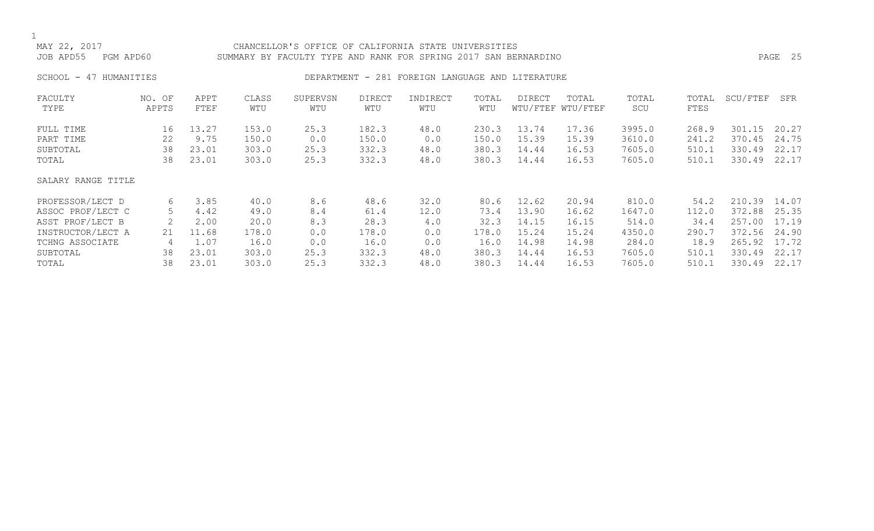# CHANCELLOR'S OFFICE OF CALIFORNIA STATE UNIVERSITIES JOB APD55 PGM APD60 SUMMARY BY FACULTY TYPE AND RANK FOR SPRING 2017 SAN BERNARDINO PAGE 25

## SCHOOL - 47 HUMANITIES SERVICES DEPARTMENT - 281 FOREIGN LANGUAGE AND LITERATURE

| FACULTY            | NO. OF | APPT  | CLASS | SUPERVSN | <b>DIRECT</b> | INDIRECT | TOTAL | <b>DIRECT</b> | TOTAL             | TOTAL  | TOTAL | SCU/FTEF | SFR   |
|--------------------|--------|-------|-------|----------|---------------|----------|-------|---------------|-------------------|--------|-------|----------|-------|
| TYPE               | APPTS  | FTEF  | WTU   | WTU      | WTU           | WTU      | WTU   |               | WTU/FTEF WTU/FTEF | SCU    | FTES  |          |       |
| FULL TIME          | 16     | 13.27 | 153.0 | 25.3     | 182.3         | 48.0     | 230.3 | 13.74         | 17.36             | 3995.0 | 268.9 | 301.15   | 20.27 |
| PART TIME          | 22     | 9.75  | 150.0 | 0.0      | 150.0         | 0.0      | 150.0 | 15.39         | 15.39             | 3610.0 | 241.2 | 370.45   | 24.75 |
| SUBTOTAL           | 38     | 23.01 | 303.0 | 25.3     | 332.3         | 48.0     | 380.3 | 14.44         | 16.53             | 7605.0 | 510.1 | 330.49   | 22.17 |
| TOTAL              | 38     | 23.01 | 303.0 | 25.3     | 332.3         | 48.0     | 380.3 | 14.44         | 16.53             | 7605.0 | 510.1 | 330.49   | 22.17 |
| SALARY RANGE TITLE |        |       |       |          |               |          |       |               |                   |        |       |          |       |
| PROFESSOR/LECT D   | 6      | 3.85  | 40.0  | 8.6      | 48.6          | 32.0     | 80.6  | 12.62         | 20.94             | 810.0  | 54.2  | 210.39   | 14.07 |
| ASSOC PROF/LECT C  | 5      | 4.42  | 49.0  | 8.4      | 61.4          | 12.0     | 73.4  | 13.90         | 16.62             | 1647.0 | 112.0 | 372.88   | 25.35 |
| ASST PROF/LECT B   |        | 2.00  | 20.0  | 8.3      | 28.3          | 4.0      | 32.3  | 14.15         | 16.15             | 514.0  | 34.4  | 257.00   | 17.19 |
| INSTRUCTOR/LECT A  | 21     | 11.68 | 178.0 | 0.0      | 178.0         | 0.0      | 178.0 | 15.24         | 15.24             | 4350.0 | 290.7 | 372.56   | 24.90 |
| TCHNG ASSOCIATE    | 4      | 1.07  | 16.0  | 0.0      | 16.0          | 0.0      | 16.0  | 14.98         | 14.98             | 284.0  | 18.9  | 265.92   | 17.72 |
| SUBTOTAL           | 38     | 23.01 | 303.0 | 25.3     | 332.3         | 48.0     | 380.3 | 14.44         | 16.53             | 7605.0 | 510.1 | 330.49   | 22.17 |
| TOTAL              | 38     | 23.01 | 303.0 | 25.3     | 332.3         | 48.0     | 380.3 | 14.44         | 16.53             | 7605.0 | 510.1 | 330.49   | 22.17 |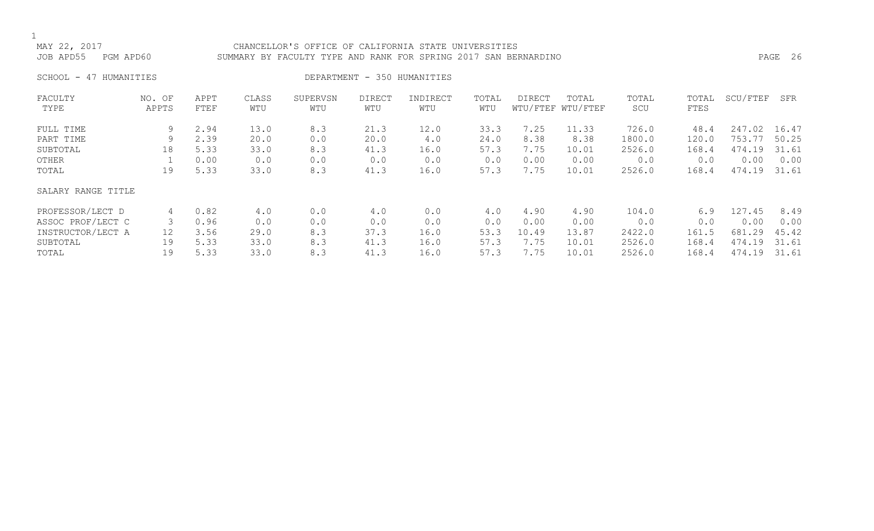## CHANCELLOR'S OFFICE OF CALIFORNIA STATE UNIVERSITIES JOB APD55 PGM APD60 SUMMARY BY FACULTY TYPE AND RANK FOR SPRING 2017 SAN BERNARDINO PAGE 26

SCHOOL - 47 HUMANITIES DEPARTMENT - 350 HUMANITIES

| FACULTY            | NO. OF | APPT | CLASS | SUPERVSN | <b>DIRECT</b> | INDIRECT | TOTAL | DIRECT | TOTAL             | TOTAL  | TOTAL | SCU/FTEF | SFR   |
|--------------------|--------|------|-------|----------|---------------|----------|-------|--------|-------------------|--------|-------|----------|-------|
| TYPE               | APPTS  | FTEF | WTU   | WTU      | WTU           | WTU      | WTU   |        | WTU/FTEF WTU/FTEF | SCU    | FTES  |          |       |
| FULL TIME          | 9      | 2.94 | 13.0  | 8.3      | 21.3          | 12.0     | 33.3  | 7.25   | 11.33             | 726.0  | 48.4  | 247.02   | 16.47 |
| PART TIME          | 9      | 2.39 | 20.0  | 0.0      | 20.0          | 4.0      | 24.0  | 8.38   | 8.38              | 1800.0 | 120.0 | 753.77   | 50.25 |
| SUBTOTAL           | 18     | 5.33 | 33.0  | 8.3      | 41.3          | 16.0     | 57.3  | 7.75   | 10.01             | 2526.0 | 168.4 | 474.19   | 31.61 |
| OTHER              |        | 0.00 | 0.0   | 0.0      | 0.0           | 0.0      | 0.0   | 0.00   | 0.00              | 0.0    | 0.0   | 0.00     | 0.00  |
| TOTAL              | 19     | 5.33 | 33.0  | 8.3      | 41.3          | 16.0     | 57.3  | 7.75   | 10.01             | 2526.0 | 168.4 | 474.19   | 31.61 |
| SALARY RANGE TITLE |        |      |       |          |               |          |       |        |                   |        |       |          |       |
| PROFESSOR/LECT D   | 4      | 0.82 | 4.0   | 0.0      | 4.0           | 0.0      | 4.0   | 4.90   | 4.90              | 104.0  | 6.9   | 127.45   | 8.49  |
| ASSOC PROF/LECT C  | 3      | 0.96 | 0.0   | 0.0      | 0.0           | 0.0      | 0.0   | 0.00   | 0.00              | 0.0    | 0.0   | 0.00     | 0.00  |
| INSTRUCTOR/LECT A  | 12     | 3.56 | 29.0  | 8.3      | 37.3          | 16.0     | 53.3  | 10.49  | 13.87             | 2422.0 | 161.5 | 681.29   | 45.42 |
| SUBTOTAL           | 19     | 5.33 | 33.0  | 8.3      | 41.3          | 16.0     | 57.3  | 7.75   | 10.01             | 2526.0 | 168.4 | 474.19   | 31.61 |
| TOTAL              | 19     | 5.33 | 33.0  | 8.3      | 41.3          | 16.0     | 57.3  | 7.75   | 10.01             | 2526.0 | 168.4 | 474.19   | 31.61 |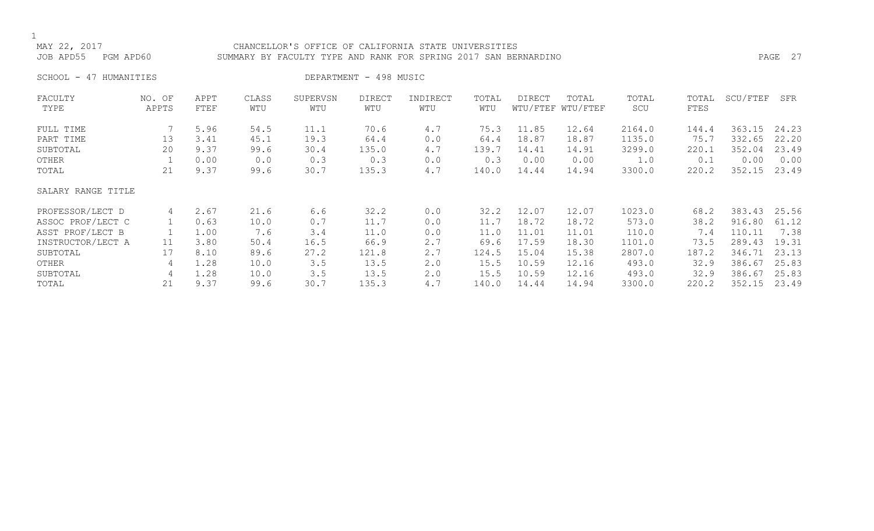## CHANCELLOR'S OFFICE OF CALIFORNIA STATE UNIVERSITIES JOB APD55 PGM APD60 SUMMARY BY FACULTY TYPE AND RANK FOR SPRING 2017 SAN BERNARDINO PAGE 27

SCHOOL - 47 HUMANITIES DEPARTMENT - 498 MUSIC

| FACULTY            | NO. OF | APPT | CLASS | SUPERVSN | DIRECT | INDIRECT | TOTAL | DIRECT | TOTAL             | TOTAL  | TOTAL | SCU/FTEF | SFR   |
|--------------------|--------|------|-------|----------|--------|----------|-------|--------|-------------------|--------|-------|----------|-------|
| TYPE               | APPTS  | FTEF | WTU   | WTU      | WTU    | WTU      | WTU   |        | WTU/FTEF WTU/FTEF | SCU    | FTES  |          |       |
| FULL TIME          |        | 5.96 | 54.5  | 11.1     | 70.6   | 4.7      | 75.3  | 11.85  | 12.64             | 2164.0 | 144.4 | 363.15   | 24.23 |
| PART TIME          | 13     | 3.41 | 45.1  | 19.3     | 64.4   | 0.0      | 64.4  | 18.87  | 18.87             | 1135.0 | 75.7  | 332.65   | 22.20 |
| SUBTOTAL           | 20     | 9.37 | 99.6  | 30.4     | 135.0  | 4.7      | 139.7 | 14.41  | 14.91             | 3299.0 | 220.1 | 352.04   | 23.49 |
| OTHER              |        | 0.00 | 0.0   | 0.3      | 0.3    | 0.0      | 0.3   | 0.00   | 0.00              | 1.0    | 0.1   | 0.00     | 0.00  |
| TOTAL              | 21     | 9.37 | 99.6  | 30.7     | 135.3  | 4.7      | 140.0 | 14.44  | 14.94             | 3300.0 | 220.2 | 352.15   | 23.49 |
| SALARY RANGE TITLE |        |      |       |          |        |          |       |        |                   |        |       |          |       |
| PROFESSOR/LECT D   | 4      | 2.67 | 21.6  | 6.6      | 32.2   | 0.0      | 32.2  | 12.07  | 12.07             | 1023.0 | 68.2  | 383.43   | 25.56 |
| ASSOC PROF/LECT C  |        | 0.63 | 10.0  | 0.7      | 11.7   | 0.0      | 11.7  | 18.72  | 18.72             | 573.0  | 38.2  | 916.80   | 61.12 |
| ASST PROF/LECT B   |        | 1.00 | 7.6   | 3.4      | 11.0   | 0.0      | 11.0  | 11.01  | 11.01             | 110.0  | 7.4   | 110.11   | 7.38  |
| INSTRUCTOR/LECT A  | 11     | 3.80 | 50.4  | 16.5     | 66.9   | 2.7      | 69.6  | 17.59  | 18.30             | 1101.0 | 73.5  | 289.43   | 19.31 |
| SUBTOTAL           | 17     | 8.10 | 89.6  | 27.2     | 121.8  | 2.7      | 124.5 | 15.04  | 15.38             | 2807.0 | 187.2 | 346.71   | 23.13 |
| OTHER              | 4      | 1.28 | 10.0  | 3.5      | 13.5   | 2.0      | 15.5  | 10.59  | 12.16             | 493.0  | 32.9  | 386.67   | 25.83 |
| SUBTOTAL           | 4      | 1.28 | 10.0  | 3.5      | 13.5   | 2.0      | 15.5  | 10.59  | 12.16             | 493.0  | 32.9  | 386.67   | 25.83 |
| TOTAL              | 21     | 9.37 | 99.6  | 30.7     | 135.3  | 4.7      | 140.0 | 14.44  | 14.94             | 3300.0 | 220.2 | 352.15   | 23.49 |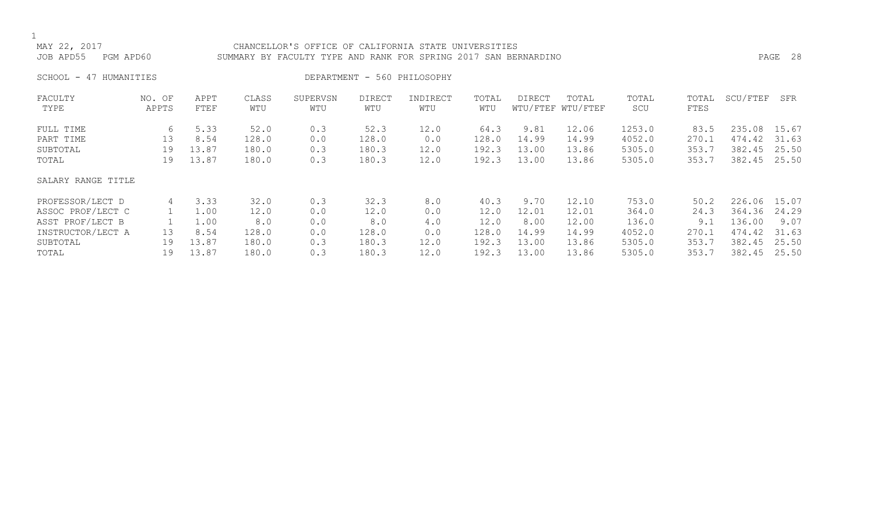## CHANCELLOR'S OFFICE OF CALIFORNIA STATE UNIVERSITIES JOB APD55 PGM APD60 SUMMARY BY FACULTY TYPE AND RANK FOR SPRING 2017 SAN BERNARDINO PAGE 28

SCHOOL - 47 HUMANITIES DEPARTMENT - 560 PHILOSOPHY

| FACULTY            | NO. OF | APPT  | CLASS | SUPERVSN | <b>DIRECT</b> | INDIRECT | TOTAL | <b>DIRECT</b> | TOTAL             | TOTAL  | TOTAL | SCU/FTEF | SFR   |
|--------------------|--------|-------|-------|----------|---------------|----------|-------|---------------|-------------------|--------|-------|----------|-------|
| TYPE               | APPTS  | FTEF  | WTU   | WTU      | WTU           | WTU      | WTU   |               | WTU/FTEF WTU/FTEF | SCU    | FTES  |          |       |
| FULL TIME          | 6      | 5.33  | 52.0  | 0.3      | 52.3          | 12.0     | 64.3  | 9.81          | 12.06             | 1253.0 | 83.5  | 235.08   | 15.67 |
| PART TIME          | 13     | 8.54  | 128.0 | 0.0      | 128.0         | 0.0      | 128.0 | 14.99         | 14.99             | 4052.0 | 270.1 | 474.42   | 31.63 |
| SUBTOTAL           | 19     | 13.87 | 180.0 | 0.3      | 180.3         | 12.0     | 192.3 | 13.00         | 13.86             | 5305.0 | 353.7 | 382.45   | 25.50 |
| TOTAL              | 19     | 13.87 | 180.0 | 0.3      | 180.3         | 12.0     | 192.3 | 13.00         | 13.86             | 5305.0 | 353.7 | 382.45   | 25.50 |
| SALARY RANGE TITLE |        |       |       |          |               |          |       |               |                   |        |       |          |       |
| PROFESSOR/LECT D   | 4      | 3.33  | 32.0  | 0.3      | 32.3          | 8.0      | 40.3  | 9.70          | 12.10             | 753.0  | 50.2  | 226.06   | 15.07 |
| ASSOC PROF/LECT C  |        | 1.00  | 12.0  | 0.0      | 12.0          | 0.0      | 12.0  | 12.01         | 12.01             | 364.0  | 24.3  | 364.36   | 24.29 |
| ASST PROF/LECT B   |        | 1.00  | 8.0   | 0.0      | 8.0           | 4.0      | 12.0  | 8.00          | 12.00             | 136.0  | 9.1   | 136.00   | 9.07  |
| INSTRUCTOR/LECT A  | 13     | 8.54  | 128.0 | 0.0      | 128.0         | 0.0      | 128.0 | 14.99         | 14.99             | 4052.0 | 270.1 | 474.42   | 31.63 |
| SUBTOTAL           | 19     | 13.87 | 180.0 | 0.3      | 180.3         | 12.0     | 192.3 | 13.00         | 13.86             | 5305.0 | 353.7 | 382.45   | 25.50 |
| TOTAL              | 19     | 13.87 | 180.0 | 0.3      | 180.3         | 12.0     | 192.3 | 13.00         | 13.86             | 5305.0 | 353.7 | 382.45   | 25.50 |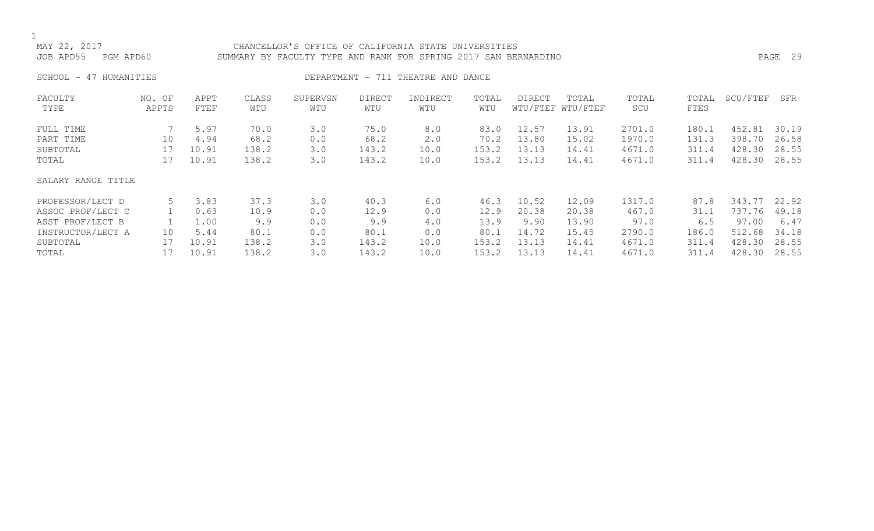## CHANCELLOR'S OFFICE OF CALIFORNIA STATE UNIVERSITIES JOB APD55 PGM APD60 SUMMARY BY FACULTY TYPE AND RANK FOR SPRING 2017 SAN BERNARDINO PAGE 29

SCHOOL - 47 HUMANITIES SERVICES DEPARTMENT - 711 THEATRE AND DANCE

| FACULTY            | NO. OF | APPT  | CLASS | SUPERVSN | <b>DIRECT</b> | INDIRECT | TOTAL | <b>DIRECT</b> | TOTAL             | TOTAL  | TOTAL | SCU/FTEF | SFR   |
|--------------------|--------|-------|-------|----------|---------------|----------|-------|---------------|-------------------|--------|-------|----------|-------|
| TYPE               | APPTS  | FTEF  | WTU   | WTU      | WTU           | WTU      | WTU   |               | WTU/FTEF WTU/FTEF | SCU    | FTES  |          |       |
| FULL TIME          |        | 5.97  | 70.0  | 3.0      | 75.0          | 8.0      | 83.0  | 12.57         | 13.91             | 2701.0 | 180.1 | 452.81   | 30.19 |
| PART TIME          | 10     | 4.94  | 68.2  | 0.0      | 68.2          | 2.0      | 70.2  | 13.80         | 15.02             | 1970.0 | 131.3 | 398.70   | 26.58 |
| SUBTOTAL           | 17     | 10.91 | 138.2 | 3.0      | 143.2         | 10.0     | 153.2 | 13.13         | 14.41             | 4671.0 | 311.4 | 428.30   | 28.55 |
| TOTAL              | 17     | 10.91 | 138.2 | 3.0      | 143.2         | 10.0     | 153.2 | 13.13         | 14.41             | 4671.0 | 311.4 | 428.30   | 28.55 |
| SALARY RANGE TITLE |        |       |       |          |               |          |       |               |                   |        |       |          |       |
| PROFESSOR/LECT D   |        | 3.83  | 37.3  | 3.0      | 40.3          | 6.0      | 46.3  | 10.52         | 12.09             | 1317.0 | 87.8  | 343.77   | 22.92 |
| ASSOC PROF/LECT C  |        | 0.63  | 10.9  | 0.0      | 12.9          | 0.0      | 12.9  | 20.38         | 20.38             | 467.0  | 31.1  | 737.76   | 49.18 |
| ASST PROF/LECT B   |        | 1.00  | 9.9   | 0.0      | 9.9           | 4.0      | 13.9  | 9.90          | 13.90             | 97.0   | 6.5   | 97.00    | 6.47  |
| INSTRUCTOR/LECT A  | 10     | 5.44  | 80.1  | 0.0      | 80.1          | 0.0      | 80.1  | 14.72         | 15.45             | 2790.0 | 186.0 | 512.68   | 34.18 |
| SUBTOTAL           | 17     | 10.91 | 138.2 | 3.0      | 143.2         | 10.0     | 153.2 | 13.13         | 14.41             | 4671.0 | 311.4 | 428.30   | 28.55 |
| TOTAL              |        | 10.91 | 138.2 | 3.0      | 143.2         | 10.0     | 153.2 | 13.13         | 14.41             | 4671.0 | 311.4 | 428.30   | 28.55 |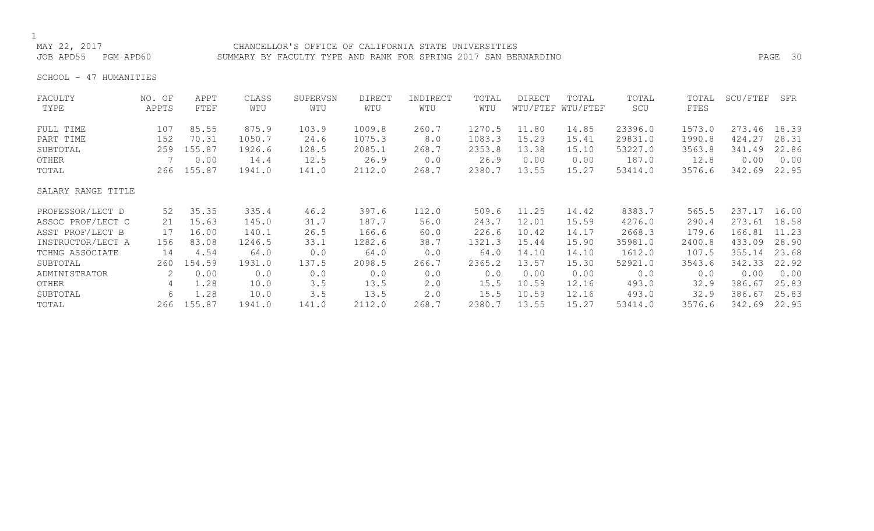## CHANCELLOR'S OFFICE OF CALIFORNIA STATE UNIVERSITIES JOB APD55 PGM APD60 SUMMARY BY FACULTY TYPE AND RANK FOR SPRING 2017 SAN BERNARDINO PAGE 30

SCHOOL - 47 HUMANITIES

| FACULTY            | NO. OF | APPT   | CLASS  | SUPERVSN | <b>DIRECT</b> | INDIRECT | TOTAL  | <b>DIRECT</b> | TOTAL             | TOTAL   | TOTAL  | SCU/FTEF | SFR   |
|--------------------|--------|--------|--------|----------|---------------|----------|--------|---------------|-------------------|---------|--------|----------|-------|
| TYPE               | APPTS  | FTEF   | WTU    | WTU      | WTU           | WTU      | WTU    |               | WTU/FTEF WTU/FTEF | SCU     | FTES   |          |       |
| FULL TIME          | 107    | 85.55  | 875.9  | 103.9    | 1009.8        | 260.7    | 1270.5 | 11.80         | 14.85             | 23396.0 | 1573.0 | 273.46   | 18.39 |
| PART TIME          | 152    | 70.31  | 1050.7 | 24.6     | 1075.3        | 8.0      | 1083.3 | 15.29         | 15.41             | 29831.0 | 1990.8 | 424.27   | 28.31 |
| SUBTOTAL           | 259    | 155.87 | 1926.6 | 128.5    | 2085.1        | 268.7    | 2353.8 | 13.38         | 15.10             | 53227.0 | 3563.8 | 341.49   | 22.86 |
| OTHER              |        | 0.00   | 14.4   | 12.5     | 26.9          | 0.0      | 26.9   | 0.00          | 0.00              | 187.0   | 12.8   | 0.00     | 0.00  |
| TOTAL              | 266    | 155.87 | 1941.0 | 141.0    | 2112.0        | 268.7    | 2380.7 | 13.55         | 15.27             | 53414.0 | 3576.6 | 342.69   | 22.95 |
| SALARY RANGE TITLE |        |        |        |          |               |          |        |               |                   |         |        |          |       |
| PROFESSOR/LECT D   | 52     | 35.35  | 335.4  | 46.2     | 397.6         | 112.0    | 509.6  | 11.25         | 14.42             | 8383.7  | 565.5  | 237.17   | 16.00 |
| ASSOC PROF/LECT C  | 21     | 15.63  | 145.0  | 31.7     | 187.7         | 56.0     | 243.7  | 12.01         | 15.59             | 4276.0  | 290.4  | 273.61   | 18.58 |
| ASST PROF/LECT B   | 17     | 16.00  | 140.1  | 26.5     | 166.6         | 60.0     | 226.6  | 10.42         | 14.17             | 2668.3  | 179.6  | 166.81   | 11.23 |
| INSTRUCTOR/LECT A  | 156    | 83.08  | 1246.5 | 33.1     | 1282.6        | 38.7     | 1321.3 | 15.44         | 15.90             | 35981.0 | 2400.8 | 433.09   | 28.90 |
| TCHNG ASSOCIATE    | 14     | 4.54   | 64.0   | 0.0      | 64.0          | 0.0      | 64.0   | 14.10         | 14.10             | 1612.0  | 107.5  | 355.14   | 23.68 |
| SUBTOTAL           | 260    | 154.59 | 1931.0 | 137.5    | 2098.5        | 266.7    | 2365.2 | 13.57         | 15.30             | 52921.0 | 3543.6 | 342.33   | 22.92 |
| ADMINISTRATOR      | 2      | 0.00   | 0.0    | 0.0      | 0.0           | 0.0      | 0.0    | 0.00          | 0.00              | 0.0     | 0.0    | 0.00     | 0.00  |
| OTHER              | 4      | 1.28   | 10.0   | 3.5      | 13.5          | 2.0      | 15.5   | 10.59         | 12.16             | 493.0   | 32.9   | 386.67   | 25.83 |
| SUBTOTAL           | 6      | 1.28   | 10.0   | 3.5      | 13.5          | 2.0      | 15.5   | 10.59         | 12.16             | 493.0   | 32.9   | 386.67   | 25.83 |
| TOTAL              | 266    | 155.87 | 1941.0 | 141.0    | 2112.0        | 268.7    | 2380.7 | 13.55         | 15.27             | 53414.0 | 3576.6 | 342.69   | 22.95 |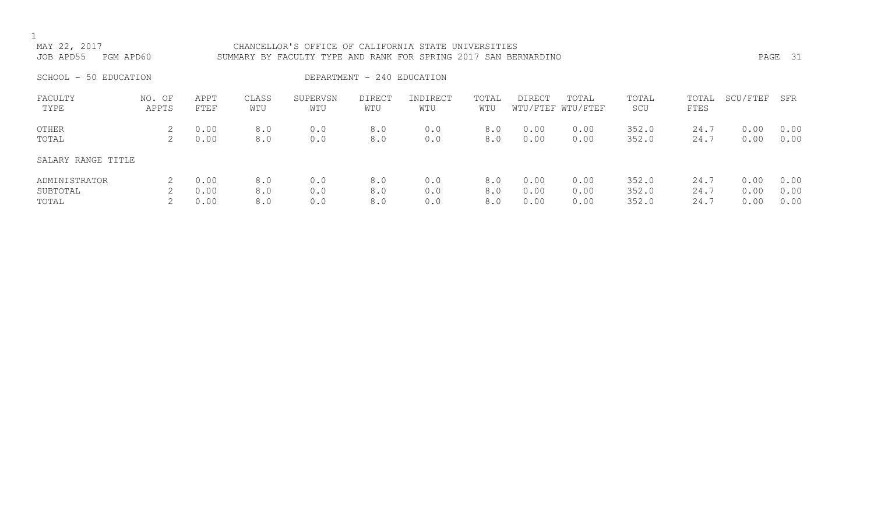| MAY 22, 2017<br>JOB APD55          | PGM APD60       |                      |                   | CHANCELLOR'S OFFICE OF CALIFORNIA STATE UNIVERSITIES<br>SUMMARY BY FACULTY TYPE AND RANK FOR SPRING 2017 SAN BERNARDINO |                            |                   |                   |                      |                            |                         |                      |                      | PAGE 31              |
|------------------------------------|-----------------|----------------------|-------------------|-------------------------------------------------------------------------------------------------------------------------|----------------------------|-------------------|-------------------|----------------------|----------------------------|-------------------------|----------------------|----------------------|----------------------|
| SCHOOL - 50 EDUCATION              |                 |                      |                   |                                                                                                                         | DEPARTMENT - 240 EDUCATION |                   |                   |                      |                            |                         |                      |                      |                      |
| FACULTY<br>TYPE                    | NO. OF<br>APPTS | APPT<br>FTEF         | CLASS<br>WTU      | SUPERVSN<br>WTU                                                                                                         | <b>DIRECT</b><br>WTU       | INDIRECT<br>WTU   | TOTAL<br>WTU      | DIRECT               | TOTAL<br>WTU/FTEF WTU/FTEF | TOTAL<br>SCU            | TOTAL<br>FTES        | SCU/FTEF             | SFR                  |
| OTHER<br>TOTAL                     | 2               | 0.00<br>0.00         | 8.0<br>8.0        | 0.0<br>0.0                                                                                                              | 8.0<br>8.0                 | 0.0<br>0.0        | 8.0<br>8.0        | 0.00<br>0.00         | 0.00<br>0.00               | 352.0<br>352.0          | 24.7<br>24.7         | 0.00<br>0.00         | 0.00<br>0.00         |
| SALARY RANGE TITLE                 |                 |                      |                   |                                                                                                                         |                            |                   |                   |                      |                            |                         |                      |                      |                      |
| ADMINISTRATOR<br>SUBTOTAL<br>TOTAL |                 | 0.00<br>0.00<br>0.00 | 8.0<br>8.0<br>8.0 | 0.0<br>0.0<br>0.0                                                                                                       | 8.0<br>8.0<br>8.0          | 0.0<br>0.0<br>0.0 | 8.0<br>8.0<br>8.0 | 0.00<br>0.00<br>0.00 | 0.00<br>0.00<br>0.00       | 352.0<br>352.0<br>352.0 | 24.7<br>24.7<br>24.7 | 0.00<br>0.00<br>0.00 | 0.00<br>0.00<br>0.00 |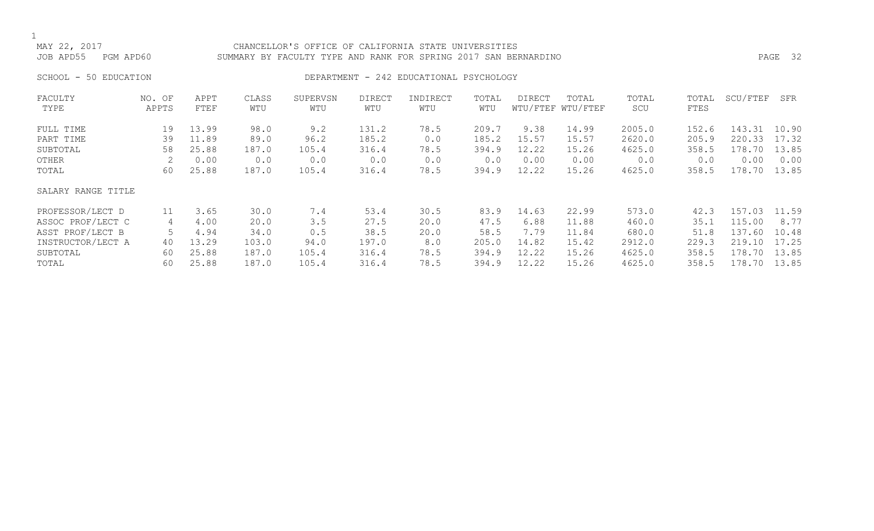## MAY 22, 2017 CHANCELLOR'S OFFICE OF CALIFORNIA STATE UNIVERSITIES JOB APD55 PGM APD60 SUMMARY BY FACULTY TYPE AND RANK FOR SPRING 2017 SAN BERNARDINO PAGE 32

## SCHOOL - 50 EDUCATION **DEPARTMENT - 242 EDUCATIONAL PSYCHOLOGY**

| FACULTY            | NO. OF | APPT  | CLASS | SUPERVSN | <b>DIRECT</b> | INDIRECT | TOTAL | DIRECT | TOTAL             | TOTAL  | TOTAL | SCU/FTEF | SFR   |
|--------------------|--------|-------|-------|----------|---------------|----------|-------|--------|-------------------|--------|-------|----------|-------|
| TYPE               | APPTS  | FTEF  | WTU   | WTU      | WTU           | WTU      | WTU   |        | WTU/FTEF WTU/FTEF | SCU    | FTES  |          |       |
| FULL TIME          | 19     | 13.99 | 98.0  | 9.2      | 131.2         | 78.5     | 209.7 | 9.38   | 14.99             | 2005.0 | 152.6 | 143.31   | 10.90 |
| PART TIME          | 39     | 11.89 | 89.0  | 96.2     | 185.2         | 0.0      | 185.2 | 15.57  | 15.57             | 2620.0 | 205.9 | 220.33   | 17.32 |
| SUBTOTAL           | 58     | 25.88 | 187.0 | 105.4    | 316.4         | 78.5     | 394.9 | 12.22  | 15.26             | 4625.0 | 358.5 | 178.70   | 13.85 |
| OTHER              |        | 0.00  | 0.0   | 0.0      | 0.0           | 0.0      | 0.0   | 0.00   | 0.00              | 0.0    | 0.0   | 0.00     | 0.00  |
| TOTAL              | 60     | 25.88 | 187.0 | 105.4    | 316.4         | 78.5     | 394.9 | 12.22  | 15.26             | 4625.0 | 358.5 | 178.70   | 13.85 |
| SALARY RANGE TITLE |        |       |       |          |               |          |       |        |                   |        |       |          |       |
| PROFESSOR/LECT D   | 11     | 3.65  | 30.0  | 7.4      | 53.4          | 30.5     | 83.9  | 14.63  | 22.99             | 573.0  | 42.3  | 157.03   | 11.59 |
| ASSOC PROF/LECT C  | 4      | 4.00  | 20.0  | 3.5      | 27.5          | 20.0     | 47.5  | 6.88   | 11.88             | 460.0  | 35.1  | 115.00   | 8.77  |
| ASST PROF/LECT B   |        | 4.94  | 34.0  | 0.5      | 38.5          | 20.0     | 58.5  | 7.79   | 11.84             | 680.0  | 51.8  | 137.60   | 10.48 |
| INSTRUCTOR/LECT A  | 40     | 13.29 | 103.0 | 94.0     | 197.0         | 8.0      | 205.0 | 14.82  | 15.42             | 2912.0 | 229.3 | 219.10   | 17.25 |
| SUBTOTAL           | 60     | 25.88 | 187.0 | 105.4    | 316.4         | 78.5     | 394.9 | 12.22  | 15.26             | 4625.0 | 358.5 | 178.70   | 13.85 |
| TOTAL              | 60     | 25.88 | 187.0 | 105.4    | 316.4         | 78.5     | 394.9 | 12.22  | 15.26             | 4625.0 | 358.5 | 178.70   | 13.85 |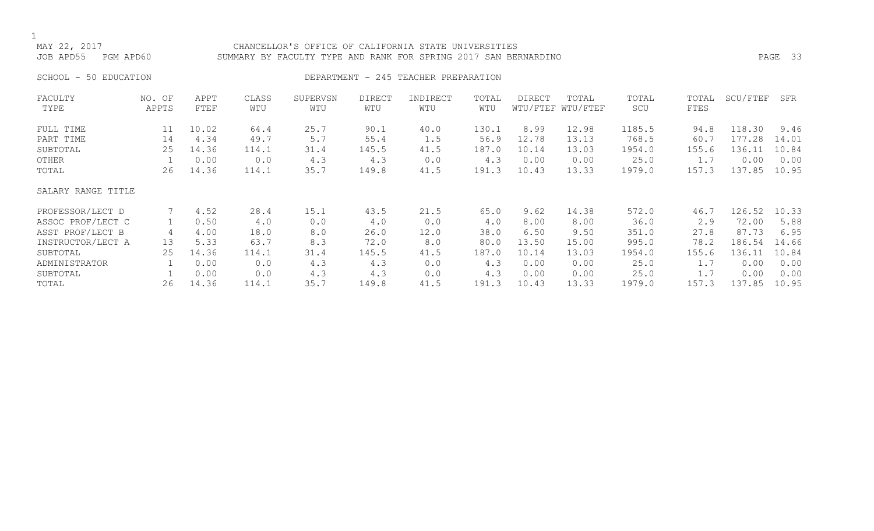## CHANCELLOR'S OFFICE OF CALIFORNIA STATE UNIVERSITIES JOB APD55 PGM APD60 SUMMARY BY FACULTY TYPE AND RANK FOR SPRING 2017 SAN BERNARDINO PAGE 33

## SCHOOL - 50 EDUCATION **DEPARTMENT - 245 TEACHER PREPARATION**

| FACULTY            | NO. OF | APPT  | CLASS | SUPERVSN | DIRECT | INDIRECT | TOTAL | <b>DIRECT</b> | TOTAL             | TOTAL  | TOTAL | SCU/FTEF | SFR   |
|--------------------|--------|-------|-------|----------|--------|----------|-------|---------------|-------------------|--------|-------|----------|-------|
| TYPE               | APPTS  | FTEF  | WTU   | WTU      | WTU    | WTU      | WTU   |               | WTU/FTEF WTU/FTEF | SCU    | FTES  |          |       |
| FULL TIME          | 11     | 10.02 | 64.4  | 25.7     | 90.1   | 40.0     | 130.1 | 8.99          | 12.98             | 1185.5 | 94.8  | 118.30   | 9.46  |
| PART TIME          | 14     | 4.34  | 49.7  | 5.7      | 55.4   | 1.5      | 56.9  | 12.78         | 13.13             | 768.5  | 60.7  | 177.28   | 14.01 |
| SUBTOTAL           | 25     | 14.36 | 114.1 | 31.4     | 145.5  | 41.5     | 187.0 | 10.14         | 13.03             | 1954.0 | 155.6 | 136.11   | 10.84 |
| OTHER              |        | 0.00  | 0.0   | 4.3      | 4.3    | 0.0      | 4.3   | 0.00          | 0.00              | 25.0   | 1.7   | 0.00     | 0.00  |
| TOTAL              | 26     | 14.36 | 114.1 | 35.7     | 149.8  | 41.5     | 191.3 | 10.43         | 13.33             | 1979.0 | 157.3 | 137.85   | 10.95 |
| SALARY RANGE TITLE |        |       |       |          |        |          |       |               |                   |        |       |          |       |
| PROFESSOR/LECT D   |        | 4.52  | 28.4  | 15.1     | 43.5   | 21.5     | 65.0  | 9.62          | 14.38             | 572.0  | 46.7  | 126.52   | 10.33 |
| ASSOC PROF/LECT C  |        | 0.50  | 4.0   | 0.0      | 4.0    | 0.0      | 4.0   | 8.00          | 8.00              | 36.0   | 2.9   | 72.00    | 5.88  |
| ASST PROF/LECT B   | 4      | 4.00  | 18.0  | 8.0      | 26.0   | 12.0     | 38.0  | 6.50          | 9.50              | 351.0  | 27.8  | 87.73    | 6.95  |
| INSTRUCTOR/LECT A  | 13     | 5.33  | 63.7  | 8.3      | 72.0   | 8.0      | 80.0  | 13.50         | 15.00             | 995.0  | 78.2  | 186.54   | 14.66 |
| SUBTOTAL           | 25     | 14.36 | 114.1 | 31.4     | 145.5  | 41.5     | 187.0 | 10.14         | 13.03             | 1954.0 | 155.6 | 136.11   | 10.84 |
| ADMINISTRATOR      |        | 0.00  | 0.0   | 4.3      | 4.3    | 0.0      | 4.3   | 0.00          | 0.00              | 25.0   | 1.7   | 0.00     | 0.00  |
| SUBTOTAL           |        | 0.00  | 0.0   | 4.3      | 4.3    | 0.0      | 4.3   | 0.00          | 0.00              | 25.0   | 1.7   | 0.00     | 0.00  |
| TOTAL              | 26     | 14.36 | 114.1 | 35.7     | 149.8  | 41.5     | 191.3 | 10.43         | 13.33             | 1979.0 | 157.3 | 137.85   | 10.95 |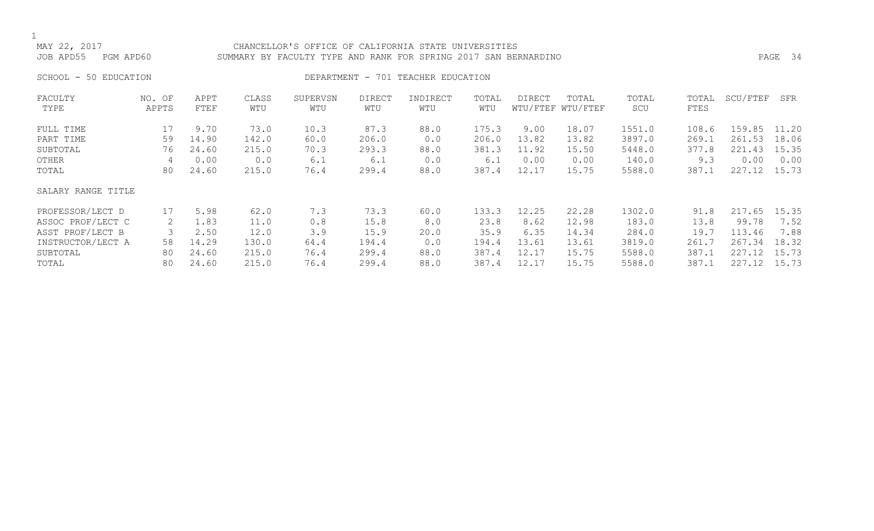## MAY 22, 2017 CHANCELLOR'S OFFICE OF CALIFORNIA STATE UNIVERSITIES JOB APD55 PGM APD60 SUMMARY BY FACULTY TYPE AND RANK FOR SPRING 2017 SAN BERNARDINO PAGE 34

SCHOOL - 50 EDUCATION **DEPARTMENT** - 701 TEACHER EDUCATION

| FACULTY            | NO. OF | APPT  | CLASS | SUPERVSN | <b>DIRECT</b> | INDIRECT | TOTAL | <b>DIRECT</b> | TOTAL             | TOTAL  | TOTAL | SCU/FTEF | SFR   |
|--------------------|--------|-------|-------|----------|---------------|----------|-------|---------------|-------------------|--------|-------|----------|-------|
| TYPE               | APPTS  | FTEF  | WTU   | WTU      | WTU           | WTU      | WTU   |               | WTU/FTEF WTU/FTEF | SCU    | FTES  |          |       |
| FULL TIME          | 17     | 9.70  | 73.0  | 10.3     | 87.3          | 88.0     | 175.3 | 9.00          | 18.07             | 1551.0 | 108.6 | 159.85   | 11.20 |
| PART TIME          | 59     | 14.90 | 142.0 | 60.0     | 206.0         | 0.0      | 206.0 | 13.82         | 13.82             | 3897.0 | 269.1 | 261.53   | 18.06 |
| SUBTOTAL           | 76     | 24.60 | 215.0 | 70.3     | 293.3         | 88.0     | 381.3 | 11.92         | 15.50             | 5448.0 | 377.8 | 221.43   | 15.35 |
| OTHER              | 4      | 0.00  | 0.0   | 6.1      | 6.1           | 0.0      | 6.1   | 0.00          | 0.00              | 140.0  | 9.3   | 0.00     | 0.00  |
| TOTAL              | 80     | 24.60 | 215.0 | 76.4     | 299.4         | 88.0     | 387.4 | 12.17         | 15.75             | 5588.0 | 387.1 | 227.12   | 15.73 |
| SALARY RANGE TITLE |        |       |       |          |               |          |       |               |                   |        |       |          |       |
| PROFESSOR/LECT D   | 17     | 5.98  | 62.0  | 7.3      | 73.3          | 60.0     | 133.3 | 12.25         | 22.28             | 1302.0 | 91.8  | 217.65   | 15.35 |
| ASSOC PROF/LECT C  |        | 1.83  | 11.0  | 0.8      | 15.8          | 8.0      | 23.8  | 8.62          | 12.98             | 183.0  | 13.8  | 99.78    | 7.52  |
| ASST PROF/LECT B   |        | 2.50  | 12.0  | 3.9      | 15.9          | 20.0     | 35.9  | 6.35          | 14.34             | 284.0  | 19.7  | 113.46   | 7.88  |
| INSTRUCTOR/LECT A  | 58     | 14.29 | 130.0 | 64.4     | 194.4         | 0.0      | 194.4 | 13.61         | 13.61             | 3819.0 | 261.7 | 267.34   | 18.32 |
| SUBTOTAL           | 80     | 24.60 | 215.0 | 76.4     | 299.4         | 88.0     | 387.4 | 12.17         | 15.75             | 5588.0 | 387.1 | 227.12   | 15.73 |
| TOTAL              | 80     | 24.60 | 215.0 | 76.4     | 299.4         | 88.0     | 387.4 | 12.17         | 15.75             | 5588.0 | 387.1 | 227.12   | 15.73 |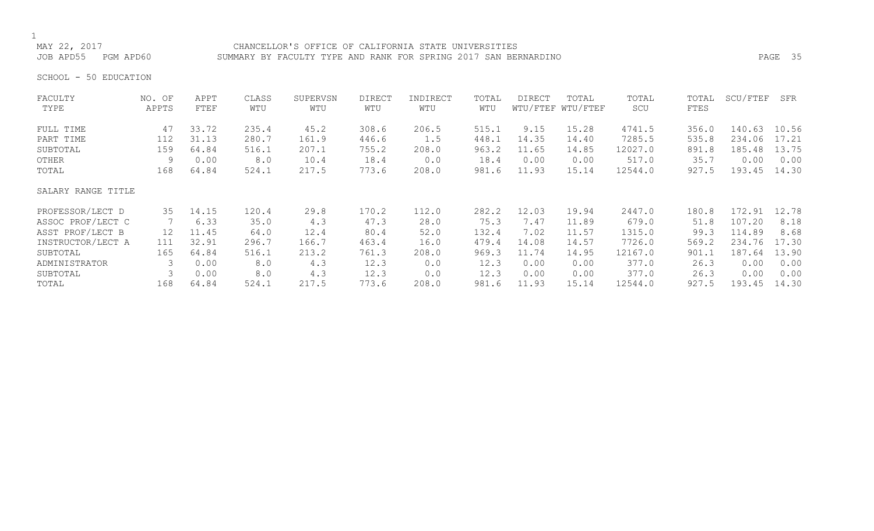## CHANCELLOR'S OFFICE OF CALIFORNIA STATE UNIVERSITIES JOB APD55 PGM APD60 SUMMARY BY FACULTY TYPE AND RANK FOR SPRING 2017 SAN BERNARDINO PAGE 35

SCHOOL - 50 EDUCATION

| FACULTY            | NO. OF | APPT  | CLASS | SUPERVSN | <b>DIRECT</b> | INDIRECT | TOTAL | <b>DIRECT</b> | TOTAL             | TOTAL   | TOTAL | SCU/FTEF | SFR   |
|--------------------|--------|-------|-------|----------|---------------|----------|-------|---------------|-------------------|---------|-------|----------|-------|
| TYPE               | APPTS  | FTEF  | WTU   | WTU      | WTU           | WTU      | WTU   |               | WTU/FTEF WTU/FTEF | SCU     | FTES  |          |       |
| FULL TIME          | 47     | 33.72 | 235.4 | 45.2     | 308.6         | 206.5    | 515.1 | 9.15          | 15.28             | 4741.5  | 356.0 | 140.63   | 10.56 |
| PART TIME          | 112    | 31.13 | 280.7 | 161.9    | 446.6         | 1.5      | 448.1 | 14.35         | 14.40             | 7285.5  | 535.8 | 234.06   | 17.21 |
| SUBTOTAL           | 159    | 64.84 | 516.1 | 207.1    | 755.2         | 208.0    | 963.2 | 11.65         | 14.85             | 12027.0 | 891.8 | 185.48   | 13.75 |
| OTHER              | 9      | 0.00  | 8.0   | 10.4     | 18.4          | 0.0      | 18.4  | 0.00          | 0.00              | 517.0   | 35.7  | 0.00     | 0.00  |
| TOTAL              | 168    | 64.84 | 524.1 | 217.5    | 773.6         | 208.0    | 981.6 | 11.93         | 15.14             | 12544.0 | 927.5 | 193.45   | 14.30 |
| SALARY RANGE TITLE |        |       |       |          |               |          |       |               |                   |         |       |          |       |
| PROFESSOR/LECT D   | 35     | 14.15 | 120.4 | 29.8     | 170.2         | 112.0    | 282.2 | 12.03         | 19.94             | 2447.0  | 180.8 | 172.91   | 12.78 |
| ASSOC PROF/LECT C  |        | 6.33  | 35.0  | 4.3      | 47.3          | 28.0     | 75.3  | 7.47          | 11.89             | 679.0   | 51.8  | 107.20   | 8.18  |
| ASST PROF/LECT B   | 12     | 11.45 | 64.0  | 12.4     | 80.4          | 52.0     | 132.4 | 7.02          | 11.57             | 1315.0  | 99.3  | 114.89   | 8.68  |
| INSTRUCTOR/LECT A  | 111    | 32.91 | 296.7 | 166.7    | 463.4         | 16.0     | 479.4 | 14.08         | 14.57             | 7726.0  | 569.2 | 234.76   | 17.30 |
| SUBTOTAL           | 165    | 64.84 | 516.1 | 213.2    | 761.3         | 208.0    | 969.3 | 11.74         | 14.95             | 12167.0 | 901.1 | 187.64   | 13.90 |
| ADMINISTRATOR      |        | 0.00  | 8.0   | 4.3      | 12.3          | 0.0      | 12.3  | 0.00          | 0.00              | 377.0   | 26.3  | 0.00     | 0.00  |
| SUBTOTAL           |        | 0.00  | 8.0   | 4.3      | 12.3          | 0.0      | 12.3  | 0.00          | 0.00              | 377.0   | 26.3  | 0.00     | 0.00  |
| TOTAL              | 168    | 64.84 | 524.1 | 217.5    | 773.6         | 208.0    | 981.6 | 11.93         | 15.14             | 12544.0 | 927.5 | 193.45   | 14.30 |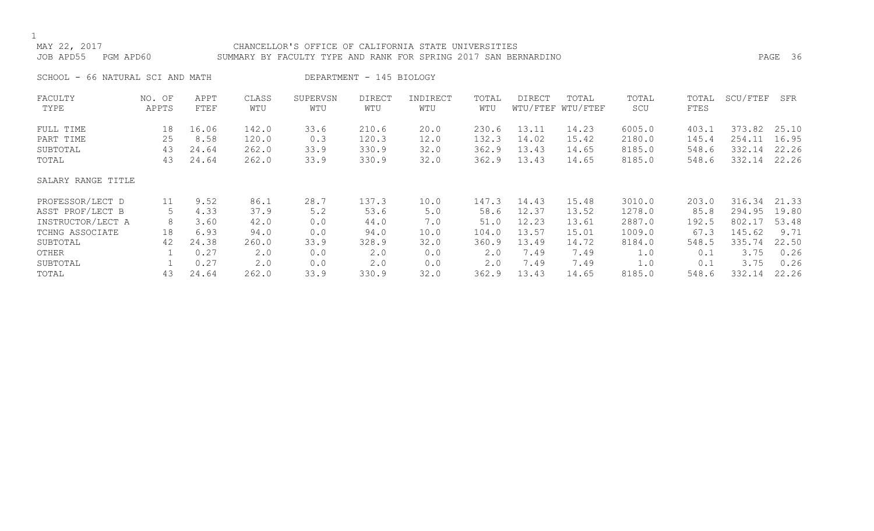# MAY 22, 2017 CHANCELLOR'S OFFICE OF CALIFORNIA STATE UNIVERSITIES JOB APD55 PGM APD60 SUMMARY BY FACULTY TYPE AND RANK FOR SPRING 2017 SAN BERNARDINO PAGE 36

SCHOOL - 66 NATURAL SCI AND MATH DEPARTMENT - 145 BIOLOGY

| FACULTY            | NO. OF | APPT  | CLASS       | SUPERVSN | <b>DIRECT</b> | INDIRECT | TOTAL | DIRECT | TOTAL             | TOTAL  | TOTAL | SCU/FTEF | SFR   |
|--------------------|--------|-------|-------------|----------|---------------|----------|-------|--------|-------------------|--------|-------|----------|-------|
| TYPE               | APPTS  | FTEF  | WTU         | WTU      | WTU           | WTU      | WTU   |        | WTU/FTEF WTU/FTEF | SCU    | FTES  |          |       |
| FULL TIME          | 18     | 16.06 | 142.0       | 33.6     | 210.6         | 20.0     | 230.6 | 13.11  | 14.23             | 6005.0 | 403.1 | 373.82   | 25.10 |
| PART TIME          | 25     | 8.58  | 120.0       | 0.3      | 120.3         | 12.0     | 132.3 | 14.02  | 15.42             | 2180.0 | 145.4 | 254.11   | 16.95 |
| SUBTOTAL           | 43     | 24.64 | 262.0       | 33.9     | 330.9         | 32.0     | 362.9 | 13.43  | 14.65             | 8185.0 | 548.6 | 332.14   | 22.26 |
| TOTAL              | 43     | 24.64 | 262.0       | 33.9     | 330.9         | 32.0     | 362.9 | 13.43  | 14.65             | 8185.0 | 548.6 | 332.14   | 22.26 |
| SALARY RANGE TITLE |        |       |             |          |               |          |       |        |                   |        |       |          |       |
| PROFESSOR/LECT D   | 11     | 9.52  | 86.1        | 28.7     | 137.3         | 10.0     | 147.3 | 14.43  | 15.48             | 3010.0 | 203.0 | 316.34   | 21.33 |
| ASST PROF/LECT B   | 5      | 4.33  | 37.9        | 5.2      | 53.6          | 5.0      | 58.6  | 12.37  | 13.52             | 1278.0 | 85.8  | 294.95   | 19.80 |
| INSTRUCTOR/LECT A  | 8      | 3.60  | 42.0        | 0.0      | 44.0          | 7.0      | 51.0  | 12.23  | 13.61             | 2887.0 | 192.5 | 802.17   | 53.48 |
| TCHNG ASSOCIATE    | 18     | 6.93  | 94.0        | 0.0      | 94.0          | 10.0     | 104.0 | 13.57  | 15.01             | 1009.0 | 67.3  | 145.62   | 9.71  |
| SUBTOTAL           | 42     | 24.38 | 260.0       | 33.9     | 328.9         | 32.0     | 360.9 | 13.49  | 14.72             | 8184.0 | 548.5 | 335.74   | 22.50 |
| OTHER              |        | 0.27  | $2 \cdot 0$ | 0.0      | 2.0           | 0.0      | 2.0   | 7.49   | 7.49              | 1.0    | 0.1   | 3.75     | 0.26  |
| SUBTOTAL           |        | 0.27  | $2 \cdot 0$ | 0.0      | 2.0           | 0.0      | 2.0   | 7.49   | 7.49              | 1.0    | 0.1   | 3.75     | 0.26  |
| TOTAL              | 43     | 24.64 | 262.0       | 33.9     | 330.9         | 32.0     | 362.9 | 13.43  | 14.65             | 8185.0 | 548.6 | 332.14   | 22.26 |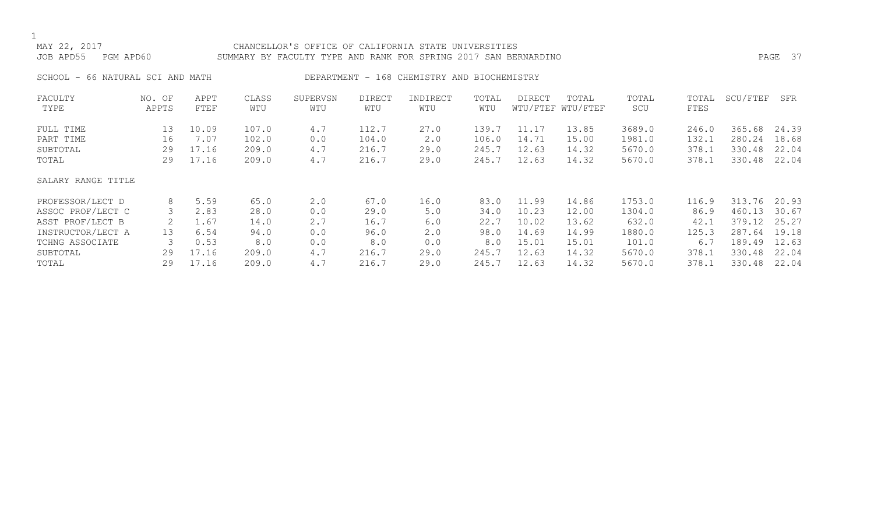## MAY 22, 2017 CHANCELLOR'S OFFICE OF CALIFORNIA STATE UNIVERSITIES JOB APD55 PGM APD60 SUMMARY BY FACULTY TYPE AND RANK FOR SPRING 2017 SAN BERNARDINO PAGE 37

SCHOOL - 66 NATURAL SCI AND MATH DEPARTMENT - 168 CHEMISTRY AND BIOCHEMISTRY

| FACULTY            | NO. OF | APPT  | CLASS | SUPERVSN | <b>DIRECT</b> | INDIRECT | TOTAL | DIRECT | TOTAL             | TOTAL  | TOTAL | SCU/FTEF | SFR   |
|--------------------|--------|-------|-------|----------|---------------|----------|-------|--------|-------------------|--------|-------|----------|-------|
| TYPE               | APPTS  | FTEF  | WTU   | WTU      | WTU           | WTU      | WTU   |        | WTU/FTEF WTU/FTEF | SCU    | FTES  |          |       |
| FULL TIME          | 13     | 10.09 | 107.0 | 4.7      | 112.7         | 27.0     | 139.7 | 11.17  | 13.85             | 3689.0 | 246.0 | 365.68   | 24.39 |
| PART TIME          | 16     | 7.07  | 102.0 | 0.0      | 104.0         | 2.0      | 106.0 | 14.71  | 15.00             | 1981.0 | 132.1 | 280.24   | 18.68 |
| SUBTOTAL           | 29     | 17.16 | 209.0 | 4.7      | 216.7         | 29.0     | 245.7 | 12.63  | 14.32             | 5670.0 | 378.1 | 330.48   | 22.04 |
| TOTAL              | 29     | 17.16 | 209.0 | 4.7      | 216.7         | 29.0     | 245.7 | 12.63  | 14.32             | 5670.0 | 378.1 | 330.48   | 22.04 |
| SALARY RANGE TITLE |        |       |       |          |               |          |       |        |                   |        |       |          |       |
| PROFESSOR/LECT D   | 8      | 5.59  | 65.0  | 2.0      | 67.0          | 16.0     | 83.0  | 11.99  | 14.86             | 1753.0 | 116.9 | 313.76   | 20.93 |
| ASSOC PROF/LECT C  |        | 2.83  | 28.0  | 0.0      | 29.0          | 5.0      | 34.0  | 10.23  | 12.00             | 1304.0 | 86.9  | 460.13   | 30.67 |
| ASST PROF/LECT B   |        | 1.67  | 14.0  | 2.7      | 16.7          | 6.0      | 22.7  | 10.02  | 13.62             | 632.0  | 42.1  | 379.12   | 25.27 |
| INSTRUCTOR/LECT A  | 13     | 6.54  | 94.0  | 0.0      | 96.0          | 2.0      | 98.0  | 14.69  | 14.99             | 1880.0 | 125.3 | 287.64   | 19.18 |
| TCHNG ASSOCIATE    |        | 0.53  | 8.0   | 0.0      | 8.0           | 0.0      | 8.0   | 15.01  | 15.01             | 101.0  | 6.7   | 189.49   | 12.63 |
| SUBTOTAL           | 29     | 17.16 | 209.0 | 4.7      | 216.7         | 29.0     | 245.7 | 12.63  | 14.32             | 5670.0 | 378.1 | 330.48   | 22.04 |
| TOTAL              | 29     | 17.16 | 209.0 | 4.7      | 216.7         | 29.0     | 245.7 | 12.63  | 14.32             | 5670.0 | 378.1 | 330.48   | 22.04 |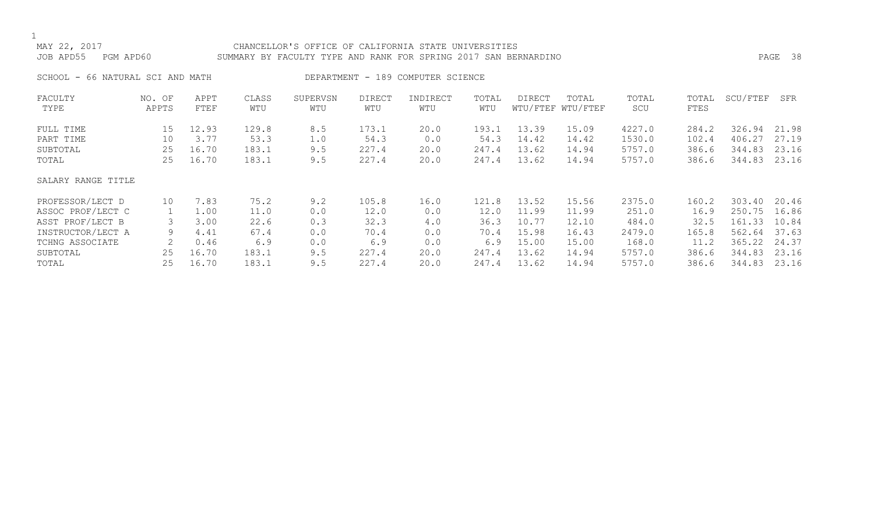# MAY 22, 2017 CHANCELLOR'S OFFICE OF CALIFORNIA STATE UNIVERSITIES JOB APD55 PGM APD60 SUMMARY BY FACULTY TYPE AND RANK FOR SPRING 2017 SAN BERNARDINO PAGE 38

SCHOOL - 66 NATURAL SCI AND MATH DEPARTMENT - 189 COMPUTER SCIENCE

| FACULTY            | NO. OF | APPT  | CLASS | SUPERVSN | <b>DIRECT</b> | INDIRECT | TOTAL | DIRECT | TOTAL             | TOTAL  | TOTAL | SCU/FTEF | SFR   |
|--------------------|--------|-------|-------|----------|---------------|----------|-------|--------|-------------------|--------|-------|----------|-------|
| TYPE               | APPTS  | FTEF  | WTU   | WTU      | WTU           | WTU      | WTU   |        | WTU/FTEF WTU/FTEF | SCU    | FTES  |          |       |
| FULL TIME          | 15     | 12.93 | 129.8 | 8.5      | 173.1         | 20.0     | 193.1 | 13.39  | 15.09             | 4227.0 | 284.2 | 326.94   | 21.98 |
| PART TIME          | 10     | 3.77  | 53.3  | 1.0      | 54.3          | 0.0      | 54.3  | 14.42  | 14.42             | 1530.0 | 102.4 | 406.27   | 27.19 |
| SUBTOTAL           | 25     | 16.70 | 183.1 | 9.5      | 227.4         | 20.0     | 247.4 | 13.62  | 14.94             | 5757.0 | 386.6 | 344.83   | 23.16 |
| TOTAL              | 25     | 16.70 | 183.1 | 9.5      | 227.4         | 20.0     | 247.4 | 13.62  | 14.94             | 5757.0 | 386.6 | 344.83   | 23.16 |
| SALARY RANGE TITLE |        |       |       |          |               |          |       |        |                   |        |       |          |       |
| PROFESSOR/LECT D   | 10     | 7.83  | 75.2  | 9.2      | 105.8         | 16.0     | 121.8 | 13.52  | 15.56             | 2375.0 | 160.2 | 303.40   | 20.46 |
| ASSOC PROF/LECT C  |        | 1.00  | 11.0  | 0.0      | 12.0          | 0.0      | 12.0  | 11.99  | 11.99             | 251.0  | 16.9  | 250.75   | 16.86 |
| ASST PROF/LECT B   |        | 3.00  | 22.6  | 0.3      | 32.3          | 4.0      | 36.3  | 10.77  | 12.10             | 484.0  | 32.5  | 161.33   | 10.84 |
| INSTRUCTOR/LECT A  | 9      | 4.41  | 67.4  | 0.0      | 70.4          | 0.0      | 70.4  | 15.98  | 16.43             | 2479.0 | 165.8 | 562.64   | 37.63 |
| TCHNG ASSOCIATE    |        | 0.46  | 6.9   | 0.0      | 6.9           | 0.0      | 6.9   | 15.00  | 15.00             | 168.0  | 11.2  | 365.22   | 24.37 |
| SUBTOTAL           | 25     | 16.70 | 183.1 | 9.5      | 227.4         | 20.0     | 247.4 | 13.62  | 14.94             | 5757.0 | 386.6 | 344.83   | 23.16 |
| TOTAL              | 25     | 16.70 | 183.1 | 9.5      | 227.4         | 20.0     | 247.4 | 13.62  | 14.94             | 5757.0 | 386.6 | 344.83   | 23.16 |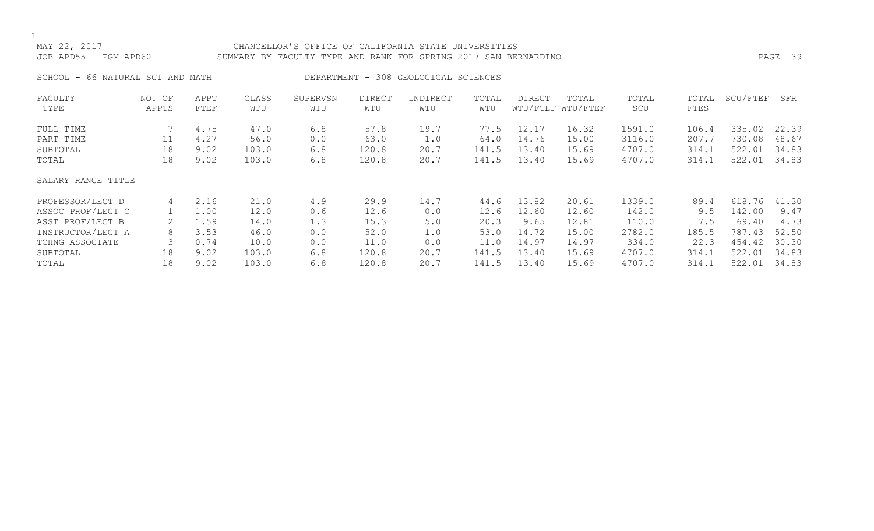# MAY 22, 2017 CHANCELLOR'S OFFICE OF CALIFORNIA STATE UNIVERSITIES JOB APD55 PGM APD60 SUMMARY BY FACULTY TYPE AND RANK FOR SPRING 2017 SAN BERNARDINO PAGE 39

SCHOOL - 66 NATURAL SCI AND MATH DEPARTMENT - 308 GEOLOGICAL SCIENCES

| FACULTY            | NO. OF | APPT | CLASS | SUPERVSN | <b>DIRECT</b> | INDIRECT | TOTAL | <b>DIRECT</b> | TOTAL             | TOTAL  | TOTAL | SCU/FTEF | SFR   |
|--------------------|--------|------|-------|----------|---------------|----------|-------|---------------|-------------------|--------|-------|----------|-------|
| TYPE               | APPTS  | FTEF | WTU   | WTU      | WTU           | WTU      | WTU   |               | WTU/FTEF WTU/FTEF | SCU    | FTES  |          |       |
| FULL TIME          |        | 4.75 | 47.0  | 6.8      | 57.8          | 19.7     | 77.5  | 12.17         | 16.32             | 1591.0 | 106.4 | 335.02   | 22.39 |
| PART TIME          | 11     | 4.27 | 56.0  | 0.0      | 63.0          | 1.0      | 64.0  | 14.76         | 15.00             | 3116.0 | 207.7 | 730.08   | 48.67 |
| SUBTOTAL           | 18     | 9.02 | 103.0 | 6.8      | 120.8         | 20.7     | 141.5 | 13.40         | 15.69             | 4707.0 | 314.1 | 522.01   | 34.83 |
| TOTAL              | 18     | 9.02 | 103.0 | 6.8      | 120.8         | 20.7     | 141.5 | 13.40         | 15.69             | 4707.0 | 314.1 | 522.01   | 34.83 |
| SALARY RANGE TITLE |        |      |       |          |               |          |       |               |                   |        |       |          |       |
| PROFESSOR/LECT D   | 4      | 2.16 | 21.0  | 4.9      | 29.9          | 14.7     | 44.6  | 13.82         | 20.61             | 1339.0 | 89.4  | 618.76   | 41.30 |
| ASSOC PROF/LECT C  |        | 1.00 | 12.0  | 0.6      | 12.6          | 0.0      | 12.6  | 12.60         | 12.60             | 142.0  | 9.5   | 142.00   | 9.47  |
| ASST PROF/LECT B   |        | 1.59 | 14.0  | 1.3      | 15.3          | 5.0      | 20.3  | 9.65          | 12.81             | 110.0  | 7.5   | 69.40    | 4.73  |
| INSTRUCTOR/LECT A  | 8      | 3.53 | 46.0  | 0.0      | 52.0          | 1.0      | 53.0  | 14.72         | 15.00             | 2782.0 | 185.5 | 787.43   | 52.50 |
| TCHNG ASSOCIATE    |        | 0.74 | 10.0  | 0.0      | 11.0          | 0.0      | 11.0  | 14.97         | 14.97             | 334.0  | 22.3  | 454.42   | 30.30 |
| SUBTOTAL           | 18     | 9.02 | 103.0 | 6.8      | 120.8         | 20.7     | 141.5 | 13.40         | 15.69             | 4707.0 | 314.1 | 522.01   | 34.83 |
| TOTAL              | 18     | 9.02 | 103.0 | 6.8      | 120.8         | 20.7     | 141.5 | 13.40         | 15.69             | 4707.0 | 314.1 | 522.01   | 34.83 |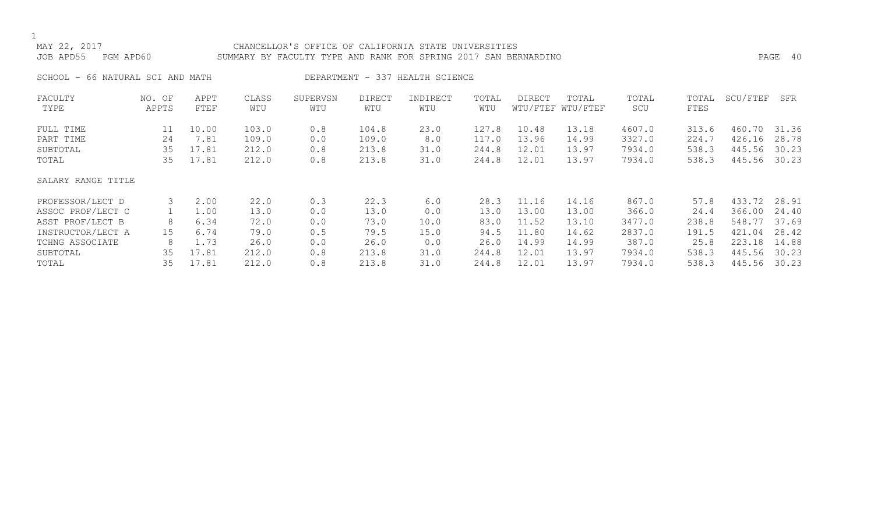# MAY 22, 2017 CHANCELLOR'S OFFICE OF CALIFORNIA STATE UNIVERSITIES JOB APD55 PGM APD60 SUMMARY BY FACULTY TYPE AND RANK FOR SPRING 2017 SAN BERNARDINO PAGE 40

SCHOOL - 66 NATURAL SCI AND MATH DEPARTMENT - 337 HEALTH SCIENCE

| FACULTY            | NO. OF          | APPT  | CLASS | SUPERVSN | <b>DIRECT</b> | INDIRECT | TOTAL | DIRECT | TOTAL             | TOTAL  | TOTAL | SCU/FTEF | SFR   |
|--------------------|-----------------|-------|-------|----------|---------------|----------|-------|--------|-------------------|--------|-------|----------|-------|
| TYPE               | APPTS           | FTEF  | WTU   | WTU      | WTU           | WTU      | WTU   |        | WTU/FTEF WTU/FTEF | SCU    | FTES  |          |       |
| FULL TIME          | 11              | 10.00 | 103.0 | 0.8      | 104.8         | 23.0     | 127.8 | 10.48  | 13.18             | 4607.0 | 313.6 | 460.70   | 31.36 |
| PART TIME          | 24              | 7.81  | 109.0 | 0.0      | 109.0         | 8.0      | 117.0 | 13.96  | 14.99             | 3327.0 | 224.7 | 426.16   | 28.78 |
| SUBTOTAL           | 35              | 17.81 | 212.0 | 0.8      | 213.8         | 31.0     | 244.8 | 12.01  | 13.97             | 7934.0 | 538.3 | 445.56   | 30.23 |
| TOTAL              | 35              | 17.81 | 212.0 | 0.8      | 213.8         | 31.0     | 244.8 | 12.01  | 13.97             | 7934.0 | 538.3 | 445.56   | 30.23 |
| SALARY RANGE TITLE |                 |       |       |          |               |          |       |        |                   |        |       |          |       |
| PROFESSOR/LECT D   | 3               | 2.00  | 22.0  | 0.3      | 22.3          | 6.0      | 28.3  | 11.16  | 14.16             | 867.0  | 57.8  | 433.72   | 28.91 |
| ASSOC PROF/LECT C  |                 | 1.00  | 13.0  | 0.0      | 13.0          | 0.0      | 13.0  | 13.00  | 13.00             | 366.0  | 24.4  | 366.00   | 24.40 |
| ASST PROF/LECT B   | 8               | 6.34  | 72.0  | 0.0      | 73.0          | 10.0     | 83.0  | 11.52  | 13.10             | 3477.0 | 238.8 | 548.77   | 37.69 |
| INSTRUCTOR/LECT A  | 15 <sub>1</sub> | 6.74  | 79.0  | 0.5      | 79.5          | 15.0     | 94.5  | 11.80  | 14.62             | 2837.0 | 191.5 | 421.04   | 28.42 |
| TCHNG ASSOCIATE    | 8               | 1.73  | 26.0  | 0.0      | 26.0          | 0.0      | 26.0  | 14.99  | 14.99             | 387.0  | 25.8  | 223.18   | 14.88 |
| SUBTOTAL           | 35              | 17.81 | 212.0 | 0.8      | 213.8         | 31.0     | 244.8 | 12.01  | 13.97             | 7934.0 | 538.3 | 445.56   | 30.23 |
| TOTAL              | 35              | 17.81 | 212.0 | 0.8      | 213.8         | 31.0     | 244.8 | 12.01  | 13.97             | 7934.0 | 538.3 | 445.56   | 30.23 |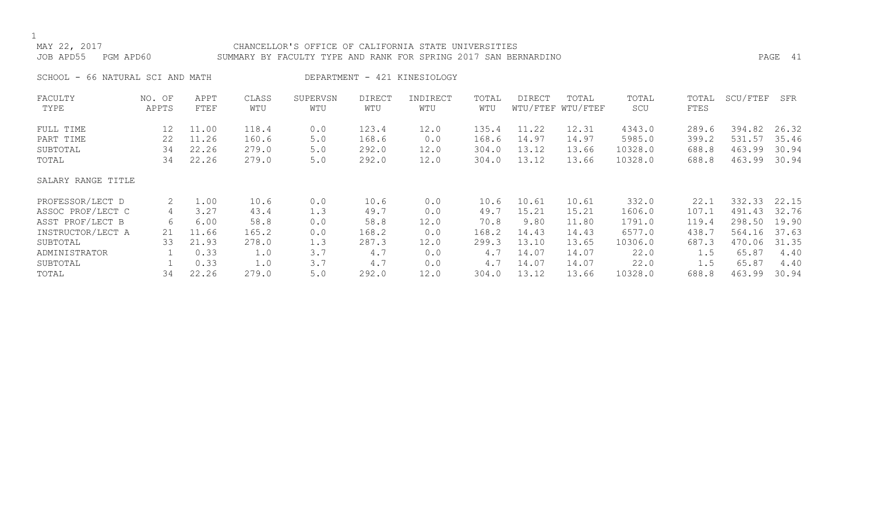# MAY 22, 2017 CHANCELLOR'S OFFICE OF CALIFORNIA STATE UNIVERSITIES JOB APD55 PGM APD60 SUMMARY BY FACULTY TYPE AND RANK FOR SPRING 2017 SAN BERNARDINO PAGE 41

SCHOOL - 66 NATURAL SCI AND MATH DEPARTMENT - 421 KINESIOLOGY

| FACULTY            | NO. OF | APPT  | CLASS | SUPERVSN | <b>DIRECT</b> | INDIRECT | TOTAL | DIRECT | TOTAL             | TOTAL   | TOTAL | SCU/FTEF | SFR   |
|--------------------|--------|-------|-------|----------|---------------|----------|-------|--------|-------------------|---------|-------|----------|-------|
| TYPE               | APPTS  | FTEF  | WTU   | WTU      | WTU           | WTU      | WTU   |        | WTU/FTEF WTU/FTEF | SCU     | FTES  |          |       |
| FULL TIME          | 12     | 11.00 | 118.4 | 0.0      | 123.4         | 12.0     | 135.4 | 11.22  | 12.31             | 4343.0  | 289.6 | 394.82   | 26.32 |
| PART TIME          | 22     | 11.26 | 160.6 | 5.0      | 168.6         | 0.0      | 168.6 | 14.97  | 14.97             | 5985.0  | 399.2 | 531.57   | 35.46 |
| SUBTOTAL           | 34     | 22.26 | 279.0 | 5.0      | 292.0         | 12.0     | 304.0 | 13.12  | 13.66             | 10328.0 | 688.8 | 463.99   | 30.94 |
| TOTAL              | 34     | 22.26 | 279.0 | $5.0$    | 292.0         | 12.0     | 304.0 | 13.12  | 13.66             | 10328.0 | 688.8 | 463.99   | 30.94 |
| SALARY RANGE TITLE |        |       |       |          |               |          |       |        |                   |         |       |          |       |
| PROFESSOR/LECT D   | 2.     | 1.00  | 10.6  | 0.0      | 10.6          | 0.0      | 10.6  | 10.61  | 10.61             | 332.0   | 22.1  | 332.33   | 22.15 |
| ASSOC PROF/LECT C  | 4      | 3.27  | 43.4  | 1.3      | 49.7          | 0.0      | 49.7  | 15.21  | 15.21             | 1606.0  | 107.1 | 491.43   | 32.76 |
| ASST PROF/LECT B   | 6      | 6.00  | 58.8  | 0.0      | 58.8          | 12.0     | 70.8  | 9.80   | 11.80             | 1791.0  | 119.4 | 298.50   | 19.90 |
| INSTRUCTOR/LECT A  | 21     | 11.66 | 165.2 | 0.0      | 168.2         | 0.0      | 168.2 | 14.43  | 14.43             | 6577.0  | 438.7 | 564.16   | 37.63 |
| SUBTOTAL           | 33     | 21.93 | 278.0 | 1.3      | 287.3         | 12.0     | 299.3 | 13.10  | 13.65             | 10306.0 | 687.3 | 470.06   | 31.35 |
| ADMINISTRATOR      |        | 0.33  | 1.0   | 3.7      | 4.7           | 0.0      | 4.7   | 14.07  | 14.07             | 22.0    | 1.5   | 65.87    | 4.40  |
| SUBTOTAL           |        | 0.33  | 1.0   | 3.7      | 4.7           | 0.0      | 4.7   | 14.07  | 14.07             | 22.0    | 1.5   | 65.87    | 4.40  |
| TOTAL              | 34     | 22.26 | 279.0 | $5.0$    | 292.0         | 12.0     | 304.0 | 13.12  | 13.66             | 10328.0 | 688.8 | 463.99   | 30.94 |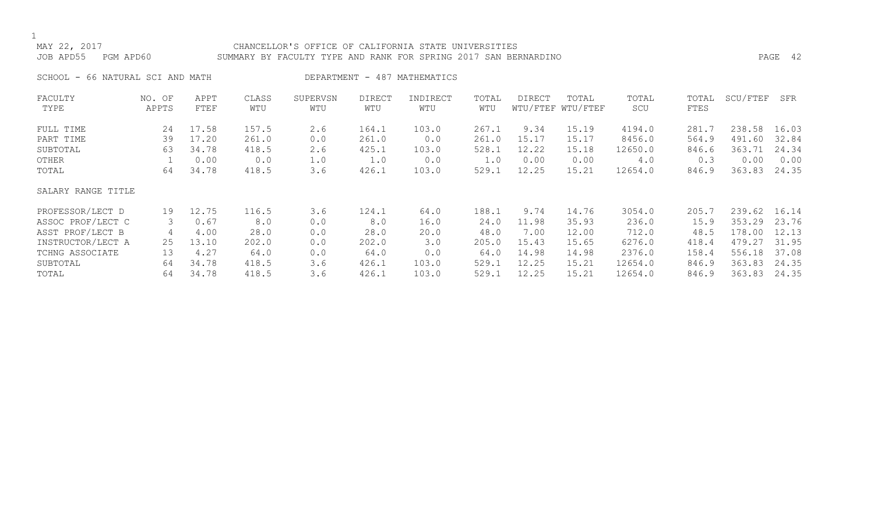# MAY 22, 2017 CHANCELLOR'S OFFICE OF CALIFORNIA STATE UNIVERSITIES JOB APD55 PGM APD60 SUMMARY BY FACULTY TYPE AND RANK FOR SPRING 2017 SAN BERNARDINO PAGE 42

SCHOOL - 66 NATURAL SCI AND MATH CONTROL DEPARTMENT - 487 MATHEMATICS

| FACULTY            | NO. OF | APPT  | CLASS | SUPERVSN | <b>DIRECT</b> | INDIRECT | TOTAL | DIRECT | TOTAL             | TOTAL   | TOTAL | SCU/FTEF | SFR   |
|--------------------|--------|-------|-------|----------|---------------|----------|-------|--------|-------------------|---------|-------|----------|-------|
| TYPE               | APPTS  | FTEF  | WTU   | WTU      | WTU           | WTU      | WTU   |        | WTU/FTEF WTU/FTEF | SCU     | FTES  |          |       |
| FULL TIME          | 24     | 17.58 | 157.5 | 2.6      | 164.1         | 103.0    | 267.1 | 9.34   | 15.19             | 4194.0  | 281.7 | 238.58   | 16.03 |
| PART TIME          | 39     | 17.20 | 261.0 | 0.0      | 261.0         | 0.0      | 261.0 | 15.17  | 15.17             | 8456.0  | 564.9 | 491.60   | 32.84 |
| SUBTOTAL           | 63     | 34.78 | 418.5 | 2.6      | 425.1         | 103.0    | 528.1 | 12.22  | 15.18             | 12650.0 | 846.6 | 363.71   | 24.34 |
| OTHER              |        | 0.00  | 0.0   | 1.0      | 1.0           | 0.0      | 1.0   | 0.00   | 0.00              | 4.0     | 0.3   | 0.00     | 0.00  |
| TOTAL              | 64     | 34.78 | 418.5 | 3.6      | 426.1         | 103.0    | 529.1 | 12.25  | 15.21             | 12654.0 | 846.9 | 363.83   | 24.35 |
| SALARY RANGE TITLE |        |       |       |          |               |          |       |        |                   |         |       |          |       |
| PROFESSOR/LECT D   | 19     | 12.75 | 116.5 | 3.6      | 124.1         | 64.0     | 188.1 | 9.74   | 14.76             | 3054.0  | 205.7 | 239.62   | 16.14 |
| ASSOC PROF/LECT C  | 3      | 0.67  | 8.0   | 0.0      | 8.0           | 16.0     | 24.0  | 11.98  | 35.93             | 236.0   | 15.9  | 353.29   | 23.76 |
| ASST PROF/LECT B   | 4      | 4.00  | 28.0  | 0.0      | 28.0          | 20.0     | 48.0  | 7.00   | 12.00             | 712.0   | 48.5  | 178.00   | 12.13 |
| INSTRUCTOR/LECT A  | 25     | 13.10 | 202.0 | 0.0      | 202.0         | 3.0      | 205.0 | 15.43  | 15.65             | 6276.0  | 418.4 | 479.27   | 31.95 |
| TCHNG ASSOCIATE    | 13     | 4.27  | 64.0  | 0.0      | 64.0          | 0.0      | 64.0  | 14.98  | 14.98             | 2376.0  | 158.4 | 556.18   | 37.08 |
| SUBTOTAL           | 64     | 34.78 | 418.5 | 3.6      | 426.1         | 103.0    | 529.1 | 12.25  | 15.21             | 12654.0 | 846.9 | 363.83   | 24.35 |
| TOTAL              | 64     | 34.78 | 418.5 | 3.6      | 426.1         | 103.0    | 529.1 | 12.25  | 15.21             | 12654.0 | 846.9 | 363.83   | 24.35 |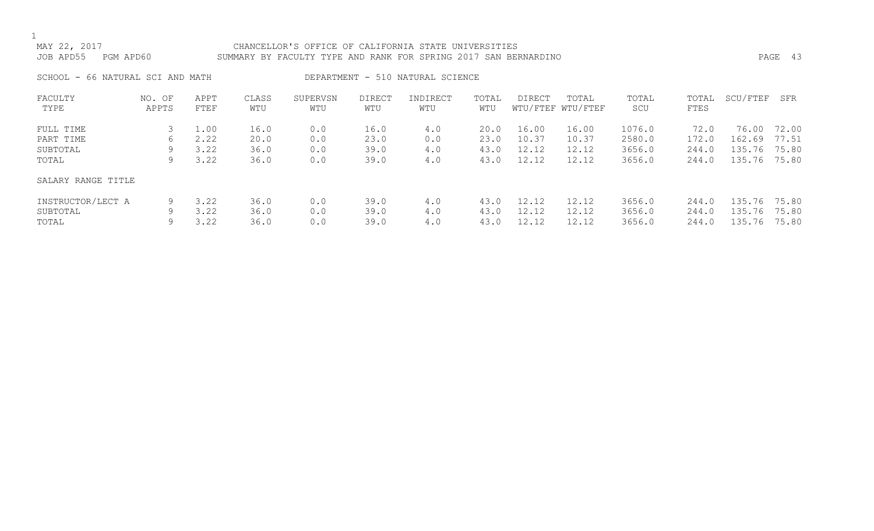# MAY 22, 2017 CHANCELLOR'S OFFICE OF CALIFORNIA STATE UNIVERSITIES JOB APD55 PGM APD60 SUMMARY BY FACULTY TYPE AND RANK FOR SPRING 2017 SAN BERNARDINO PAGE 43

SCHOOL - 66 NATURAL SCI AND MATH DEPARTMENT - 510 NATURAL SCIENCE

| FACULTY            | NO. OF | APPT | CLASS | SUPERVSN | <b>DIRECT</b> | INDIRECT | TOTAL | <b>DIRECT</b> | TOTAL             | TOTAL  | TOTAL | SCU/FTEF     | SFR   |
|--------------------|--------|------|-------|----------|---------------|----------|-------|---------------|-------------------|--------|-------|--------------|-------|
| TYPE               | APPTS  | FTEF | WTU   | WTU      | WTU           | WTU      | WTU   |               | WTU/FTEF WTU/FTEF | SCU    | FTES  |              |       |
| FULL TIME          |        | 1.00 | 16.0  |          | 16.0          | 4.0      | 20.0  | 16.00         | 16.00             | 1076.0 | 72.0  | 76.00        | 72.00 |
|                    |        |      |       | 0.0      |               |          |       |               |                   |        |       |              |       |
| PART TIME          | 6      | 2.22 | 20.0  | 0.0      | 23.0          | 0.0      | 23.0  | 10.37         | 10.37             | 2580.0 | 172.0 | 162.69       | 77.51 |
| SUBTOTAL           | 9      | 3.22 | 36.0  | 0.0      | 39.0          | 4.0      | 43.0  | 12.12         | 12.12             | 3656.0 | 244.0 | 135.76       | 75.80 |
| TOTAL              | 9      | 3.22 | 36.0  | 0.0      | 39.0          | 4.0      | 43.0  | 12.12         | 12.12             | 3656.0 | 244.0 | 135.76       | 75.80 |
| SALARY RANGE TITLE |        |      |       |          |               |          |       |               |                   |        |       |              |       |
| INSTRUCTOR/LECT A  | 9      | 3.22 | 36.0  | 0.0      | 39.0          | 4.0      | 43.0  | 12.12         | 12.12             | 3656.0 | 244.0 | 135.76 75.80 |       |
| SUBTOTAL           | 9      | 3.22 | 36.0  | 0.0      | 39.0          | 4.0      | 43.0  | 12.12         | 12.12             | 3656.0 | 244.0 | 135.76       | 75.80 |
| TOTAL              |        | 3.22 | 36.0  | 0.0      | 39.0          | 4.0      | 43.0  | 12.12         | 12.12             | 3656.0 | 244.0 | 135.76       | 75.80 |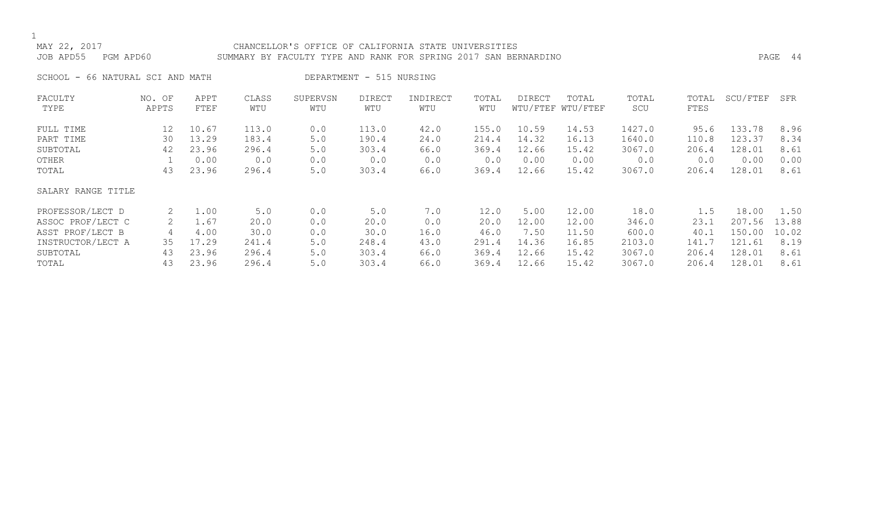# MAY 22, 2017 CHANCELLOR'S OFFICE OF CALIFORNIA STATE UNIVERSITIES JOB APD55 PGM APD60 SUMMARY BY FACULTY TYPE AND RANK FOR SPRING 2017 SAN BERNARDINO PAGE 44

SCHOOL - 66 NATURAL SCI AND MATH DEPARTMENT - 515 NURSING

| FACULTY            | NO. OF | APPT  | CLASS | SUPERVSN | <b>DIRECT</b> | INDIRECT | TOTAL | <b>DIRECT</b> | TOTAL             | TOTAL  | TOTAL | SCU/FTEF | SFR   |
|--------------------|--------|-------|-------|----------|---------------|----------|-------|---------------|-------------------|--------|-------|----------|-------|
| TYPE               | APPTS  | FTEF  | WTU   | WTU      | WTU           | WTU      | WTU   |               | WTU/FTEF WTU/FTEF | SCU    | FTES  |          |       |
| FULL TIME          | 12     | 10.67 | 113.0 | 0.0      | 113.0         | 42.0     | 155.0 | 10.59         | 14.53             | 1427.0 | 95.6  | 133.78   | 8.96  |
| PART TIME          | 30     | 13.29 | 183.4 | 5.0      | 190.4         | 24.0     | 214.4 | 14.32         | 16.13             | 1640.0 | 110.8 | 123.37   | 8.34  |
| SUBTOTAL           | 42     | 23.96 | 296.4 | 5.0      | 303.4         | 66.0     | 369.4 | 12.66         | 15.42             | 3067.0 | 206.4 | 128.01   | 8.61  |
| OTHER              |        | 0.00  | 0.0   | 0.0      | 0.0           | 0.0      | 0.0   | 0.00          | 0.00              | 0.0    | 0.0   | 0.00     | 0.00  |
| TOTAL              | 43     | 23.96 | 296.4 | 5.0      | 303.4         | 66.0     | 369.4 | 12.66         | 15.42             | 3067.0 | 206.4 | 128.01   | 8.61  |
| SALARY RANGE TITLE |        |       |       |          |               |          |       |               |                   |        |       |          |       |
| PROFESSOR/LECT D   | 2      | 1.00  | 5.0   | 0.0      | 5.0           | 7.0      | 12.0  | 5.00          | 12.00             | 18.0   | 1.5   | 18.00    | 1.50  |
| ASSOC PROF/LECT C  |        | 1.67  | 20.0  | 0.0      | 20.0          | 0.0      | 20.0  | 12.00         | 12.00             | 346.0  | 23.1  | 207.56   | 13.88 |
| ASST PROF/LECT B   | 4      | 4.00  | 30.0  | 0.0      | 30.0          | 16.0     | 46.0  | 7.50          | 11.50             | 600.0  | 40.1  | 150.00   | 10.02 |
| INSTRUCTOR/LECT A  | 35     | 17.29 | 241.4 | 5.0      | 248.4         | 43.0     | 291.4 | 14.36         | 16.85             | 2103.0 | 141.7 | 121.61   | 8.19  |
| SUBTOTAL           | 43     | 23.96 | 296.4 | 5.0      | 303.4         | 66.0     | 369.4 | 12.66         | 15.42             | 3067.0 | 206.4 | 128.01   | 8.61  |
| TOTAL              | 43     | 23.96 | 296.4 | 5.0      | 303.4         | 66.0     | 369.4 | 12.66         | 15.42             | 3067.0 | 206.4 | 128.01   | 8.61  |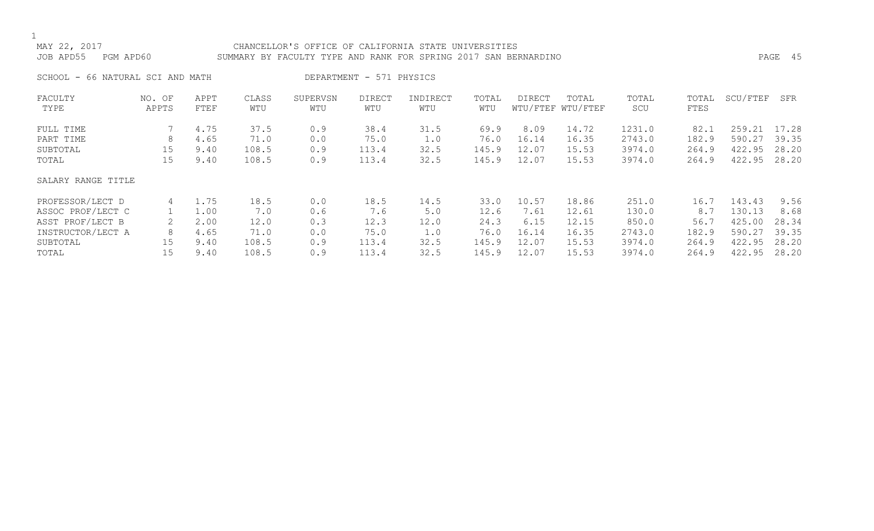# MAY 22, 2017 CHANCELLOR'S OFFICE OF CALIFORNIA STATE UNIVERSITIES JOB APD55 PGM APD60 SUMMARY BY FACULTY TYPE AND RANK FOR SPRING 2017 SAN BERNARDINO PAGE 45

SCHOOL - 66 NATURAL SCI AND MATH DEPARTMENT - 571 PHYSICS

| FACULTY            | NO. OF | APPT | CLASS | SUPERVSN | <b>DIRECT</b> | INDIRECT | TOTAL | <b>DIRECT</b> | TOTAL             | TOTAL  | TOTAL | SCU/FTEF | SFR   |
|--------------------|--------|------|-------|----------|---------------|----------|-------|---------------|-------------------|--------|-------|----------|-------|
| TYPE               | APPTS  | FTEF | WTU   | WTU      | WTU           | WTU      | WTU   |               | WTU/FTEF WTU/FTEF | SCU    | FTES  |          |       |
| FULL TIME          |        | 4.75 | 37.5  | 0.9      | 38.4          | 31.5     | 69.9  | 8.09          | 14.72             | 1231.0 | 82.1  | 259.21   | 17.28 |
| PART TIME          | 8      | 4.65 | 71.0  | 0.0      | 75.0          | 1.0      | 76.0  | 16.14         | 16.35             | 2743.0 | 182.9 | 590.27   | 39.35 |
| SUBTOTAL           | 15     | 9.40 | 108.5 | 0.9      | 113.4         | 32.5     | 145.9 | 12.07         | 15.53             | 3974.0 | 264.9 | 422.95   | 28.20 |
| TOTAL              | 15     | 9.40 | 108.5 | 0.9      | 113.4         | 32.5     | 145.9 | 12.07         | 15.53             | 3974.0 | 264.9 | 422.95   | 28.20 |
| SALARY RANGE TITLE |        |      |       |          |               |          |       |               |                   |        |       |          |       |
| PROFESSOR/LECT D   | 4      | 1.75 | 18.5  | 0.0      | 18.5          | 14.5     | 33.0  | 10.57         | 18.86             | 251.0  | 16.7  | 143.43   | 9.56  |
| ASSOC PROF/LECT C  |        | 1.00 | 7.0   | 0.6      | 7.6           | 5.0      | 12.6  | 7.61          | 12.61             | 130.0  | 8.7   | 130.13   | 8.68  |
| ASST PROF/LECT B   |        | 2.00 | 12.0  | 0.3      | 12.3          | 12.0     | 24.3  | 6.15          | 12.15             | 850.0  | 56.7  | 425.00   | 28.34 |
| INSTRUCTOR/LECT A  | 8      | 4.65 | 71.0  | 0.0      | 75.0          | 1.0      | 76.0  | 16.14         | 16.35             | 2743.0 | 182.9 | 590.27   | 39.35 |
| SUBTOTAL           | 15     | 9.40 | 108.5 | 0.9      | 113.4         | 32.5     | 145.9 | 12.07         | 15.53             | 3974.0 | 264.9 | 422.95   | 28.20 |
| TOTAL              | 15     | 9.40 | 108.5 | 0.9      | 113.4         | 32.5     | 145.9 | 12.07         | 15.53             | 3974.0 | 264.9 | 422.95   | 28.20 |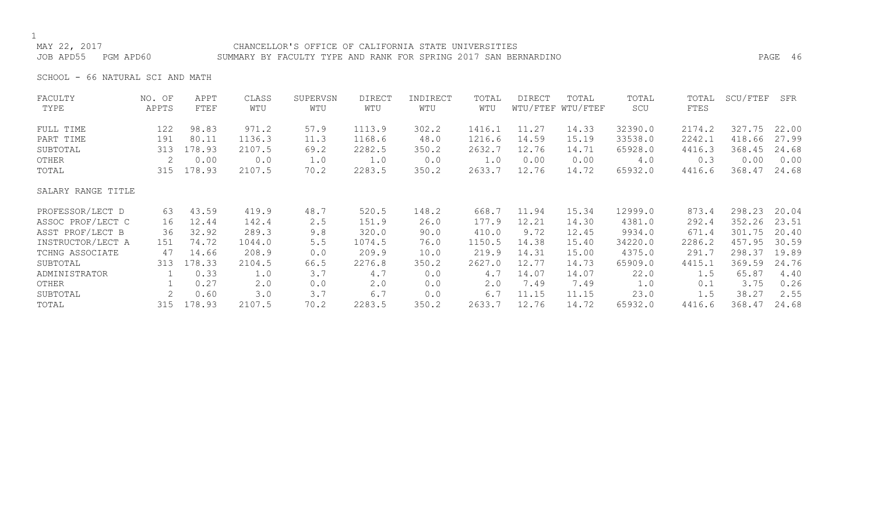## MAY 22, 2017 CHANCELLOR'S OFFICE OF CALIFORNIA STATE UNIVERSITIES JOB APD55 PGM APD60 SUMMARY BY FACULTY TYPE AND RANK FOR SPRING 2017 SAN BERNARDINO PAGE 46

SCHOOL - 66 NATURAL SCI AND MATH

| FACULTY            | NO. OF | APPT   | CLASS  | SUPERVSN | <b>DIRECT</b> | INDIRECT | TOTAL  | <b>DIRECT</b> | TOTAL             | TOTAL   | TOTAL  | SCU/FTEF | SFR   |
|--------------------|--------|--------|--------|----------|---------------|----------|--------|---------------|-------------------|---------|--------|----------|-------|
| TYPE               | APPTS  | FTEF   | WTU    | WTU      | WTU           | WTU      | WTU    |               | WTU/FTEF WTU/FTEF | SCU     | FTES   |          |       |
| FULL TIME          | 122    | 98.83  | 971.2  | 57.9     | 1113.9        | 302.2    | 1416.1 | 11.27         | 14.33             | 32390.0 | 2174.2 | 327.75   | 22.00 |
| PART TIME          | 191    | 80.11  | 1136.3 | 11.3     | 1168.6        | 48.0     | 1216.6 | 14.59         | 15.19             | 33538.0 | 2242.1 | 418.66   | 27.99 |
| SUBTOTAL           | 313    | 178.93 | 2107.5 | 69.2     | 2282.5        | 350.2    | 2632.7 | 12.76         | 14.71             | 65928.0 | 4416.3 | 368.45   | 24.68 |
| OTHER              | 2      | 0.00   | 0.0    | 1.0      | 1.0           | 0.0      | 1.0    | 0.00          | 0.00              | 4.0     | 0.3    | 0.00     | 0.00  |
| TOTAL              | 315    | 178.93 | 2107.5 | 70.2     | 2283.5        | 350.2    | 2633.7 | 12.76         | 14.72             | 65932.0 | 4416.6 | 368.47   | 24.68 |
| SALARY RANGE TITLE |        |        |        |          |               |          |        |               |                   |         |        |          |       |
| PROFESSOR/LECT D   | 63     | 43.59  | 419.9  | 48.7     | 520.5         | 148.2    | 668.7  | 11.94         | 15.34             | 12999.0 | 873.4  | 298.23   | 20.04 |
| ASSOC PROF/LECT C  | 16     | 12.44  | 142.4  | 2.5      | 151.9         | 26.0     | 177.9  | 12.21         | 14.30             | 4381.0  | 292.4  | 352.26   | 23.51 |
| ASST PROF/LECT B   | 36     | 32.92  | 289.3  | 9.8      | 320.0         | 90.0     | 410.0  | 9.72          | 12.45             | 9934.0  | 671.4  | 301.75   | 20.40 |
| INSTRUCTOR/LECT A  | 151    | 74.72  | 1044.0 | $5.5$    | 1074.5        | 76.0     | 1150.5 | 14.38         | 15.40             | 34220.0 | 2286.2 | 457.95   | 30.59 |
| TCHNG ASSOCIATE    | 47     | 14.66  | 208.9  | 0.0      | 209.9         | 10.0     | 219.9  | 14.31         | 15.00             | 4375.0  | 291.7  | 298.37   | 19.89 |
| SUBTOTAL           | 313    | 178.33 | 2104.5 | 66.5     | 2276.8        | 350.2    | 2627.0 | 12.77         | 14.73             | 65909.0 | 4415.1 | 369.59   | 24.76 |
| ADMINISTRATOR      |        | 0.33   | 1.0    | 3.7      | 4.7           | 0.0      | 4.7    | 14.07         | 14.07             | 22.0    | 1.5    | 65.87    | 4.40  |
| OTHER              |        | 0.27   | 2.0    | 0.0      | 2.0           | 0.0      | 2.0    | 7.49          | 7.49              | 1.0     | 0.1    | 3.75     | 0.26  |
| SUBTOTAL           |        | 0.60   | 3.0    | 3.7      | 6.7           | 0.0      | 6.7    | 11.15         | 11.15             | 23.0    | 1.5    | 38.27    | 2.55  |
| TOTAL              | 315    | 178.93 | 2107.5 | 70.2     | 2283.5        | 350.2    | 2633.7 | 12.76         | 14.72             | 65932.0 | 4416.6 | 368.47   | 24.68 |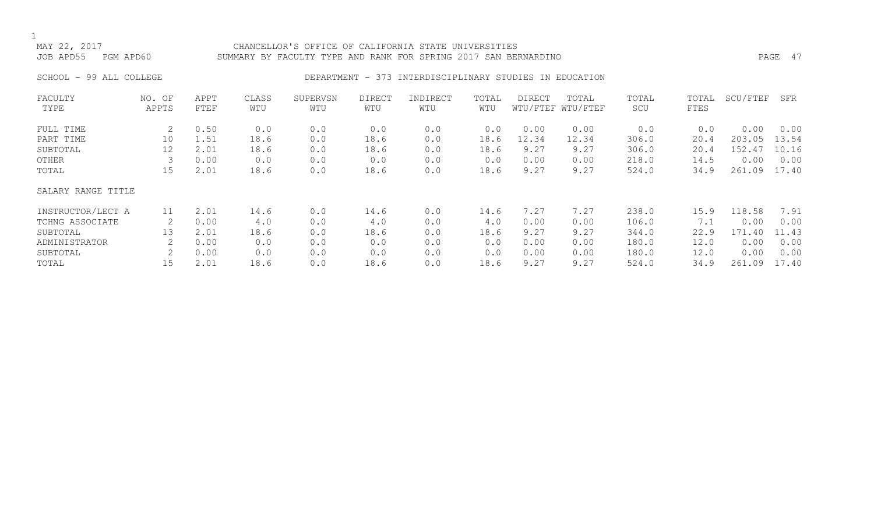## CHANCELLOR'S OFFICE OF CALIFORNIA STATE UNIVERSITIES JOB APD55 PGM APD60 SUMMARY BY FACULTY TYPE AND RANK FOR SPRING 2017 SAN BERNARDINO PAGE 47

# SCHOOL - 99 ALL COLLEGE **DEPARTMENT - 373 INTERDISCIPLINARY STUDIES IN EDUCATION**

| FACULTY            | NO. OF | APPT | CLASS | SUPERVSN | DIRECT | INDIRECT | TOTAL | DIRECT | TOTAL             | TOTAL | TOTAL | SCU/FTEF | SFR   |
|--------------------|--------|------|-------|----------|--------|----------|-------|--------|-------------------|-------|-------|----------|-------|
| TYPE               | APPTS  | FTEF | WTU   | WTU      | WTU    | WTU      | WTU   |        | WTU/FTEF WTU/FTEF | SCU   | FTES  |          |       |
| FULL TIME          | 2      | 0.50 | 0.0   | 0.0      | 0.0    | 0.0      | 0.0   | 0.00   | 0.00              | 0.0   | 0.0   | 0.00     | 0.00  |
| PART TIME          | 10     | 1.51 | 18.6  | 0.0      | 18.6   | 0.0      | 18.6  | 12.34  | 12.34             | 306.0 | 20.4  | 203.05   | 13.54 |
| SUBTOTAL           | 12     | 2.01 | 18.6  | 0.0      | 18.6   | 0.0      | 18.6  | 9.27   | 9.27              | 306.0 | 20.4  | 152.47   | 10.16 |
| OTHER              |        | 0.00 | 0.0   | 0.0      | 0.0    | 0.0      | 0.0   | 0.00   | 0.00              | 218.0 | 14.5  | 0.00     | 0.00  |
| TOTAL              | 15     | 2.01 | 18.6  | 0.0      | 18.6   | 0.0      | 18.6  | 9.27   | 9.27              | 524.0 | 34.9  | 261.09   | 17.40 |
| SALARY RANGE TITLE |        |      |       |          |        |          |       |        |                   |       |       |          |       |
| INSTRUCTOR/LECT A  | 11     | 2.01 | 14.6  | 0.0      | 14.6   | 0.0      | 14.6  | 7.27   | 7.27              | 238.0 | 15.9  | 118.58   | 7.91  |
| TCHNG ASSOCIATE    |        | 0.00 | 4.0   | 0.0      | 4.0    | 0.0      | 4.0   | 0.00   | 0.00              | 106.0 | 7.1   | 0.00     | 0.00  |
| SUBTOTAL           | 13     | 2.01 | 18.6  | 0.0      | 18.6   | 0.0      | 18.6  | 9.27   | 9.27              | 344.0 | 22.9  | 171.40   | 11.43 |
| ADMINISTRATOR      |        | 0.00 | 0.0   | 0.0      | 0.0    | 0.0      | 0.0   | 0.00   | 0.00              | 180.0 | 12.0  | 0.00     | 0.00  |
| SUBTOTAL           |        | 0.00 | 0.0   | 0.0      | 0.0    | 0.0      | 0.0   | 0.00   | 0.00              | 180.0 | 12.0  | 0.00     | 0.00  |
| TOTAL              | 15     | 2.01 | 18.6  | 0.0      | 18.6   | 0.0      | 18.6  | 9.27   | 9.27              | 524.0 | 34.9  | 261.09   | 17.40 |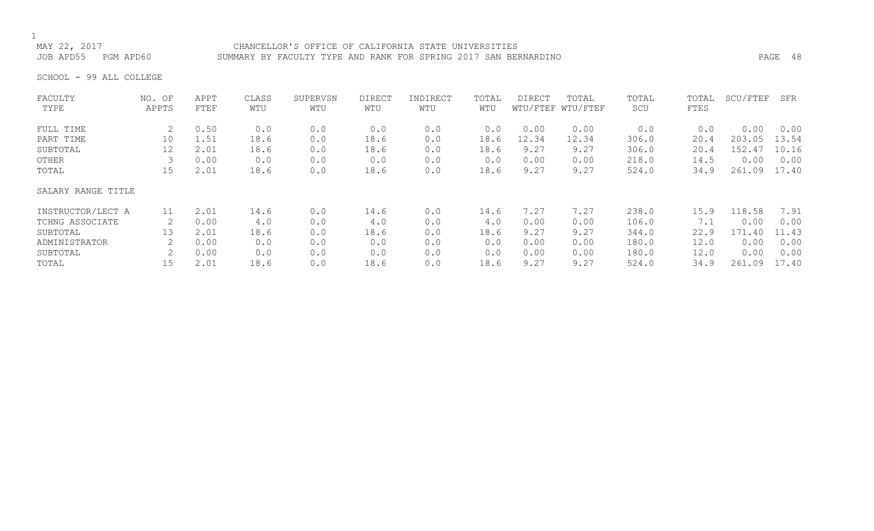## CHANCELLOR'S OFFICE OF CALIFORNIA STATE UNIVERSITIES JOB APD55 PGM APD60 SUMMARY BY FACULTY TYPE AND RANK FOR SPRING 2017 SAN BERNARDINO PAGE 48

SCHOOL - 99 ALL COLLEGE

| FACULTY            | NO. OF            | APPT | CLASS | SUPERVSN | <b>DIRECT</b> | INDIRECT | TOTAL | <b>DIRECT</b> | TOTAL             | TOTAL | TOTAL | SCU/FTEF | SFR   |
|--------------------|-------------------|------|-------|----------|---------------|----------|-------|---------------|-------------------|-------|-------|----------|-------|
| TYPE               | APPTS             | FTEF | WTU   | WTU      | WTU           | WTU      | WTU   |               | WTU/FTEF WTU/FTEF | SCU   | FTES  |          |       |
| FULL TIME          | 2                 | 0.50 | 0.0   | 0.0      | 0.0           | 0.0      | 0.0   | 0.00          | 0.00              | 0.0   | 0.0   | 0.00     | 0.00  |
| PART TIME          | 10                | 1.51 | 18.6  | 0.0      | 18.6          | 0.0      | 18.6  | 12.34         | 12.34             | 306.0 | 20.4  | 203.05   | 13.54 |
| SUBTOTAL           | $12 \overline{ }$ | 2.01 | 18.6  | 0.0      | 18.6          | 0.0      | 18.6  | 9.27          | 9.27              | 306.0 | 20.4  | 152.47   | 10.16 |
| OTHER              |                   | 0.00 | 0.0   | 0.0      | 0.0           | 0.0      | 0.0   | 0.00          | 0.00              | 218.0 | 14.5  | 0.00     | 0.00  |
| TOTAL              | 15                | 2.01 | 18.6  | 0.0      | 18.6          | 0.0      | 18.6  | 9.27          | 9.27              | 524.0 | 34.9  | 261.09   | 17.40 |
| SALARY RANGE TITLE |                   |      |       |          |               |          |       |               |                   |       |       |          |       |
| INSTRUCTOR/LECT A  | 11                | 2.01 | 14.6  | 0.0      | 14.6          | 0.0      | 14.6  | 7.27          | 7.27              | 238.0 | 15.9  | 118.58   | 7.91  |
| TCHNG ASSOCIATE    |                   | 0.00 | 4.0   | 0.0      | 4.0           | 0.0      | 4.0   | 0.00          | 0.00              | 106.0 | 7.1   | 0.00     | 0.00  |
| SUBTOTAL           | 13                | 2.01 | 18.6  | 0.0      | 18.6          | 0.0      | 18.6  | 9.27          | 9.27              | 344.0 | 22.9  | 171.40   | 11.43 |
| ADMINISTRATOR      |                   | 0.00 | 0.0   | 0.0      | 0.0           | 0.0      | 0.0   | 0.00          | 0.00              | 180.0 | 12.0  | 0.00     | 0.00  |
| SUBTOTAL           | 2                 | 0.00 | 0.0   | 0.0      | 0.0           | 0.0      | 0.0   | 0.00          | 0.00              | 180.0 | 12.0  | 0.00     | 0.00  |
| TOTAL              | 15                | 2.01 | 18.6  | 0.0      | 18.6          | 0.0      | 18.6  | 9.27          | 9.27              | 524.0 | 34.9  | 261.09   | 17.40 |